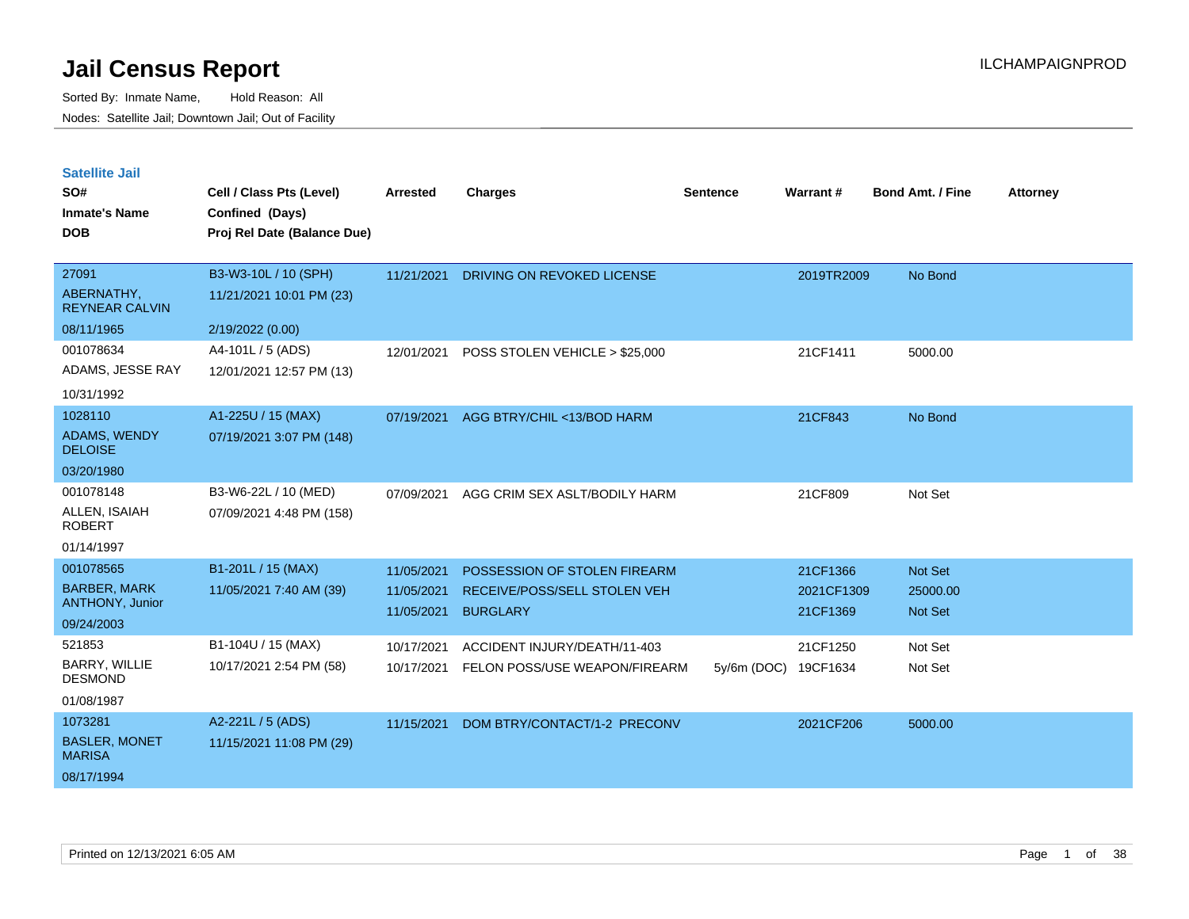| <b>Satellite Jail</b> |  |
|-----------------------|--|
|                       |  |

| SO#<br><b>Inmate's Name</b><br><b>DOB</b>                         | Cell / Class Pts (Level)<br>Confined (Days)<br>Proj Rel Date (Balance Due) | <b>Arrested</b>                        | Charges                                                                         | <b>Sentence</b> | Warrant#                           | <b>Bond Amt. / Fine</b>        | <b>Attorney</b> |
|-------------------------------------------------------------------|----------------------------------------------------------------------------|----------------------------------------|---------------------------------------------------------------------------------|-----------------|------------------------------------|--------------------------------|-----------------|
| 27091<br>ABERNATHY,<br><b>REYNEAR CALVIN</b><br>08/11/1965        | B3-W3-10L / 10 (SPH)<br>11/21/2021 10:01 PM (23)<br>2/19/2022 (0.00)       | 11/21/2021                             | DRIVING ON REVOKED LICENSE                                                      |                 | 2019TR2009                         | No Bond                        |                 |
| 001078634<br>ADAMS, JESSE RAY<br>10/31/1992                       | A4-101L / 5 (ADS)<br>12/01/2021 12:57 PM (13)                              | 12/01/2021                             | POSS STOLEN VEHICLE > \$25,000                                                  |                 | 21CF1411                           | 5000.00                        |                 |
| 1028110<br><b>ADAMS, WENDY</b><br><b>DELOISE</b><br>03/20/1980    | A1-225U / 15 (MAX)<br>07/19/2021 3:07 PM (148)                             | 07/19/2021                             | AGG BTRY/CHIL <13/BOD HARM                                                      |                 | 21CF843                            | No Bond                        |                 |
| 001078148<br>ALLEN, ISAIAH<br><b>ROBERT</b><br>01/14/1997         | B3-W6-22L / 10 (MED)<br>07/09/2021 4:48 PM (158)                           | 07/09/2021                             | AGG CRIM SEX ASLT/BODILY HARM                                                   |                 | 21CF809                            | Not Set                        |                 |
| 001078565<br><b>BARBER, MARK</b><br>ANTHONY, Junior<br>09/24/2003 | B1-201L / 15 (MAX)<br>11/05/2021 7:40 AM (39)                              | 11/05/2021<br>11/05/2021<br>11/05/2021 | POSSESSION OF STOLEN FIREARM<br>RECEIVE/POSS/SELL STOLEN VEH<br><b>BURGLARY</b> |                 | 21CF1366<br>2021CF1309<br>21CF1369 | Not Set<br>25000.00<br>Not Set |                 |
| 521853<br><b>BARRY, WILLIE</b><br><b>DESMOND</b><br>01/08/1987    | B1-104U / 15 (MAX)<br>10/17/2021 2:54 PM (58)                              | 10/17/2021<br>10/17/2021               | ACCIDENT INJURY/DEATH/11-403<br>FELON POSS/USE WEAPON/FIREARM                   | $5y/6m$ (DOC)   | 21CF1250<br>19CF1634               | Not Set<br>Not Set             |                 |
| 1073281<br><b>BASLER, MONET</b><br><b>MARISA</b><br>08/17/1994    | A2-221L / 5 (ADS)<br>11/15/2021 11:08 PM (29)                              | 11/15/2021                             | DOM BTRY/CONTACT/1-2 PRECONV                                                    |                 | 2021CF206                          | 5000.00                        |                 |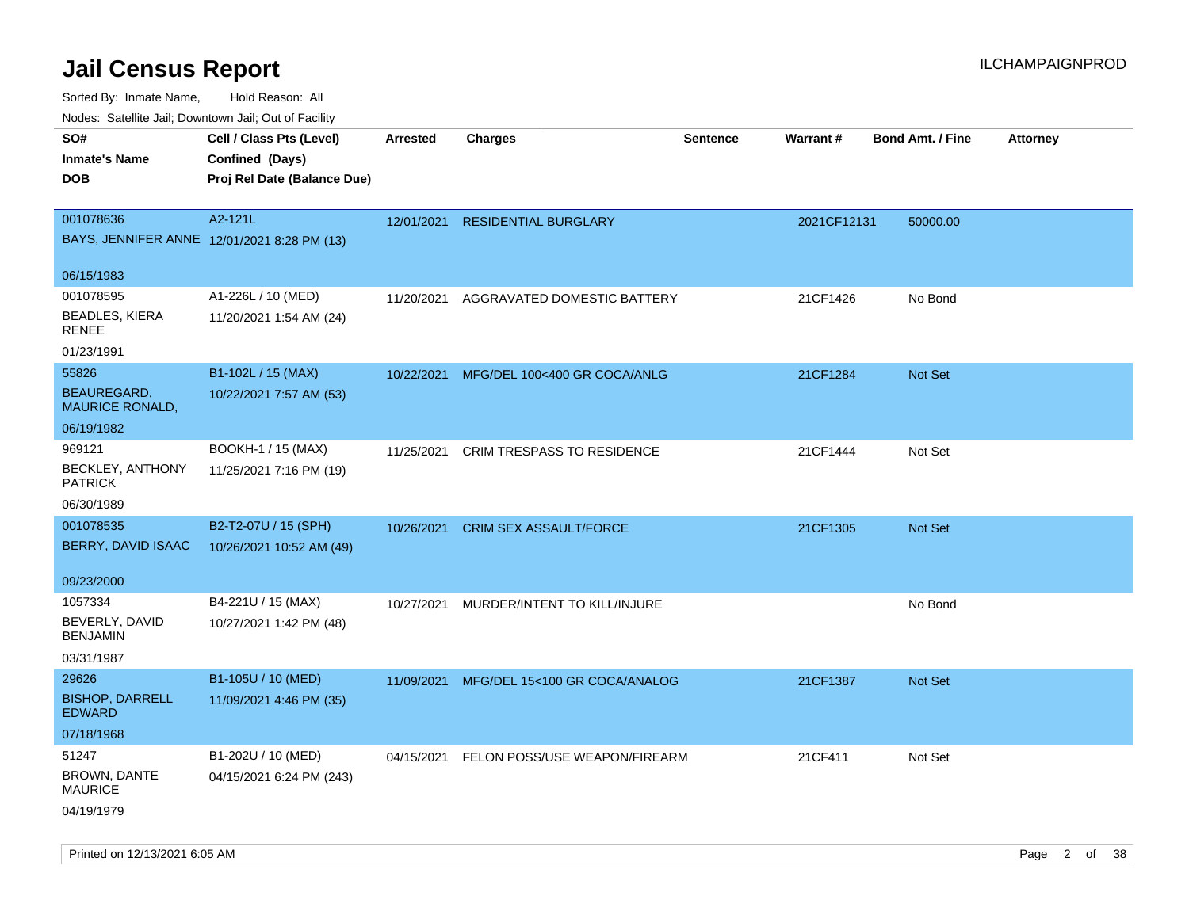| rouco. Calcillo Jali, Downtown Jali, Out of Facility |                             |                 |                                          |                 |             |                         |                 |
|------------------------------------------------------|-----------------------------|-----------------|------------------------------------------|-----------------|-------------|-------------------------|-----------------|
| SO#                                                  | Cell / Class Pts (Level)    | <b>Arrested</b> | <b>Charges</b>                           | <b>Sentence</b> | Warrant#    | <b>Bond Amt. / Fine</b> | <b>Attorney</b> |
| <b>Inmate's Name</b>                                 | Confined (Days)             |                 |                                          |                 |             |                         |                 |
| <b>DOB</b>                                           | Proj Rel Date (Balance Due) |                 |                                          |                 |             |                         |                 |
|                                                      |                             |                 |                                          |                 |             |                         |                 |
| 001078636                                            | A2-121L                     | 12/01/2021      | <b>RESIDENTIAL BURGLARY</b>              |                 | 2021CF12131 | 50000.00                |                 |
| BAYS, JENNIFER ANNE 12/01/2021 8:28 PM (13)          |                             |                 |                                          |                 |             |                         |                 |
| 06/15/1983                                           |                             |                 |                                          |                 |             |                         |                 |
| 001078595                                            | A1-226L / 10 (MED)          | 11/20/2021      | AGGRAVATED DOMESTIC BATTERY              |                 | 21CF1426    | No Bond                 |                 |
| <b>BEADLES, KIERA</b><br>RENEE                       | 11/20/2021 1:54 AM (24)     |                 |                                          |                 |             |                         |                 |
| 01/23/1991                                           |                             |                 |                                          |                 |             |                         |                 |
| 55826                                                | B1-102L / 15 (MAX)          | 10/22/2021      | MFG/DEL 100<400 GR COCA/ANLG             |                 | 21CF1284    | Not Set                 |                 |
| BEAUREGARD,<br><b>MAURICE RONALD,</b>                | 10/22/2021 7:57 AM (53)     |                 |                                          |                 |             |                         |                 |
| 06/19/1982                                           |                             |                 |                                          |                 |             |                         |                 |
| 969121                                               | BOOKH-1 / 15 (MAX)          | 11/25/2021      | CRIM TRESPASS TO RESIDENCE               |                 | 21CF1444    | Not Set                 |                 |
| BECKLEY, ANTHONY<br><b>PATRICK</b>                   | 11/25/2021 7:16 PM (19)     |                 |                                          |                 |             |                         |                 |
| 06/30/1989                                           |                             |                 |                                          |                 |             |                         |                 |
| 001078535                                            | B2-T2-07U / 15 (SPH)        | 10/26/2021      | <b>CRIM SEX ASSAULT/FORCE</b>            |                 | 21CF1305    | Not Set                 |                 |
| BERRY, DAVID ISAAC                                   | 10/26/2021 10:52 AM (49)    |                 |                                          |                 |             |                         |                 |
| 09/23/2000                                           |                             |                 |                                          |                 |             |                         |                 |
| 1057334                                              | B4-221U / 15 (MAX)          | 10/27/2021      | MURDER/INTENT TO KILL/INJURE             |                 |             | No Bond                 |                 |
| BEVERLY, DAVID<br><b>BENJAMIN</b>                    | 10/27/2021 1:42 PM (48)     |                 |                                          |                 |             |                         |                 |
| 03/31/1987                                           |                             |                 |                                          |                 |             |                         |                 |
| 29626                                                | B1-105U / 10 (MED)          |                 | 11/09/2021 MFG/DEL 15<100 GR COCA/ANALOG |                 | 21CF1387    | Not Set                 |                 |
| <b>BISHOP, DARRELL</b><br><b>EDWARD</b>              | 11/09/2021 4:46 PM (35)     |                 |                                          |                 |             |                         |                 |
| 07/18/1968                                           |                             |                 |                                          |                 |             |                         |                 |
| 51247                                                | B1-202U / 10 (MED)          |                 | 04/15/2021 FELON POSS/USE WEAPON/FIREARM |                 | 21CF411     | Not Set                 |                 |
| BROWN, DANTE<br><b>MAURICE</b>                       | 04/15/2021 6:24 PM (243)    |                 |                                          |                 |             |                         |                 |
| 04/19/1979                                           |                             |                 |                                          |                 |             |                         |                 |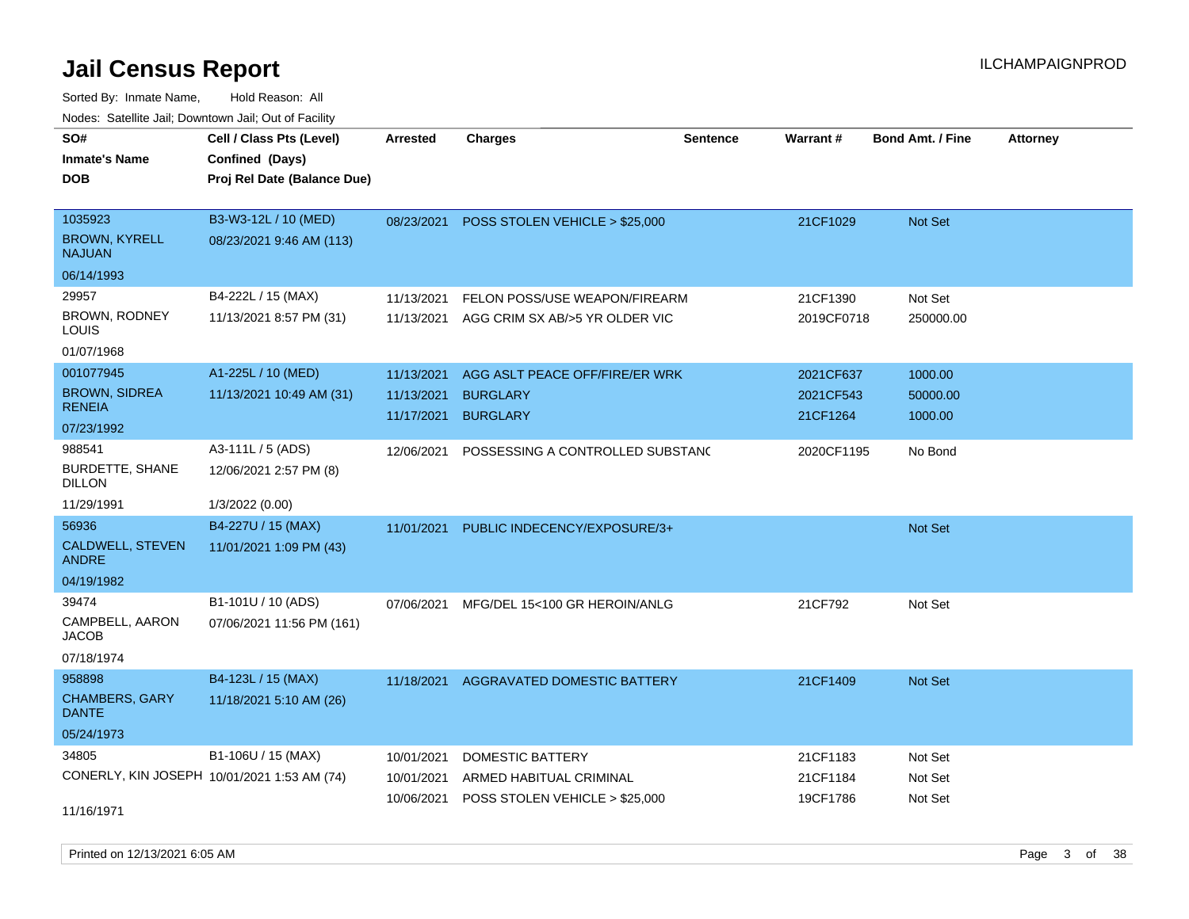Sorted By: Inmate Name, Hold Reason: All Nodes: Satellite Jail; Downtown Jail; Out of Facility

| SO#<br><b>Inmate's Name</b><br><b>DOB</b>          | Cell / Class Pts (Level)<br>Confined (Days)<br>Proj Rel Date (Balance Due) | Arrested                               | <b>Charges</b>                                                       | <b>Sentence</b> | Warrant#                           | <b>Bond Amt. / Fine</b>        | <b>Attorney</b> |
|----------------------------------------------------|----------------------------------------------------------------------------|----------------------------------------|----------------------------------------------------------------------|-----------------|------------------------------------|--------------------------------|-----------------|
| 1035923<br><b>BROWN, KYRELL</b><br><b>NAJUAN</b>   | B3-W3-12L / 10 (MED)<br>08/23/2021 9:46 AM (113)                           | 08/23/2021                             | POSS STOLEN VEHICLE > \$25,000                                       |                 | 21CF1029                           | Not Set                        |                 |
| 06/14/1993                                         |                                                                            |                                        |                                                                      |                 |                                    |                                |                 |
| 29957<br>BROWN, RODNEY<br>LOUIS                    | B4-222L / 15 (MAX)<br>11/13/2021 8:57 PM (31)                              | 11/13/2021<br>11/13/2021               | FELON POSS/USE WEAPON/FIREARM<br>AGG CRIM SX AB/>5 YR OLDER VIC      |                 | 21CF1390<br>2019CF0718             | Not Set<br>250000.00           |                 |
| 01/07/1968                                         |                                                                            |                                        |                                                                      |                 |                                    |                                |                 |
| 001077945<br><b>BROWN, SIDREA</b><br><b>RENEIA</b> | A1-225L / 10 (MED)<br>11/13/2021 10:49 AM (31)                             | 11/13/2021<br>11/13/2021<br>11/17/2021 | AGG ASLT PEACE OFF/FIRE/ER WRK<br><b>BURGLARY</b><br><b>BURGLARY</b> |                 | 2021CF637<br>2021CF543<br>21CF1264 | 1000.00<br>50000.00<br>1000.00 |                 |
| 07/23/1992                                         |                                                                            |                                        |                                                                      |                 |                                    |                                |                 |
| 988541<br><b>BURDETTE, SHANE</b><br><b>DILLON</b>  | A3-111L / 5 (ADS)<br>12/06/2021 2:57 PM (8)                                | 12/06/2021                             | POSSESSING A CONTROLLED SUBSTANC                                     |                 | 2020CF1195                         | No Bond                        |                 |
| 11/29/1991                                         | 1/3/2022 (0.00)                                                            |                                        |                                                                      |                 |                                    |                                |                 |
| 56936                                              | B4-227U / 15 (MAX)                                                         | 11/01/2021                             | PUBLIC INDECENCY/EXPOSURE/3+                                         |                 |                                    | Not Set                        |                 |
| CALDWELL, STEVEN<br><b>ANDRE</b>                   | 11/01/2021 1:09 PM (43)                                                    |                                        |                                                                      |                 |                                    |                                |                 |
| 04/19/1982                                         |                                                                            |                                        |                                                                      |                 |                                    |                                |                 |
| 39474                                              | B1-101U / 10 (ADS)                                                         | 07/06/2021                             | MFG/DEL 15<100 GR HEROIN/ANLG                                        |                 | 21CF792                            | Not Set                        |                 |
| CAMPBELL, AARON<br><b>JACOB</b>                    | 07/06/2021 11:56 PM (161)                                                  |                                        |                                                                      |                 |                                    |                                |                 |
| 07/18/1974                                         |                                                                            |                                        |                                                                      |                 |                                    |                                |                 |
| 958898                                             | B4-123L / 15 (MAX)                                                         | 11/18/2021                             | AGGRAVATED DOMESTIC BATTERY                                          |                 | 21CF1409                           | <b>Not Set</b>                 |                 |
| <b>CHAMBERS, GARY</b><br><b>DANTE</b>              | 11/18/2021 5:10 AM (26)                                                    |                                        |                                                                      |                 |                                    |                                |                 |
| 05/24/1973                                         |                                                                            |                                        |                                                                      |                 |                                    |                                |                 |
| 34805                                              | B1-106U / 15 (MAX)                                                         | 10/01/2021                             | DOMESTIC BATTERY                                                     |                 | 21CF1183                           | Not Set                        |                 |
| CONERLY, KIN JOSEPH 10/01/2021 1:53 AM (74)        |                                                                            | 10/01/2021                             | ARMED HABITUAL CRIMINAL                                              |                 | 21CF1184                           | Not Set                        |                 |
| 11/16/1971                                         |                                                                            | 10/06/2021                             | POSS STOLEN VEHICLE > \$25,000                                       |                 | 19CF1786                           | Not Set                        |                 |

Printed on  $12/13/2021$  6:05 AM Page 3 of 38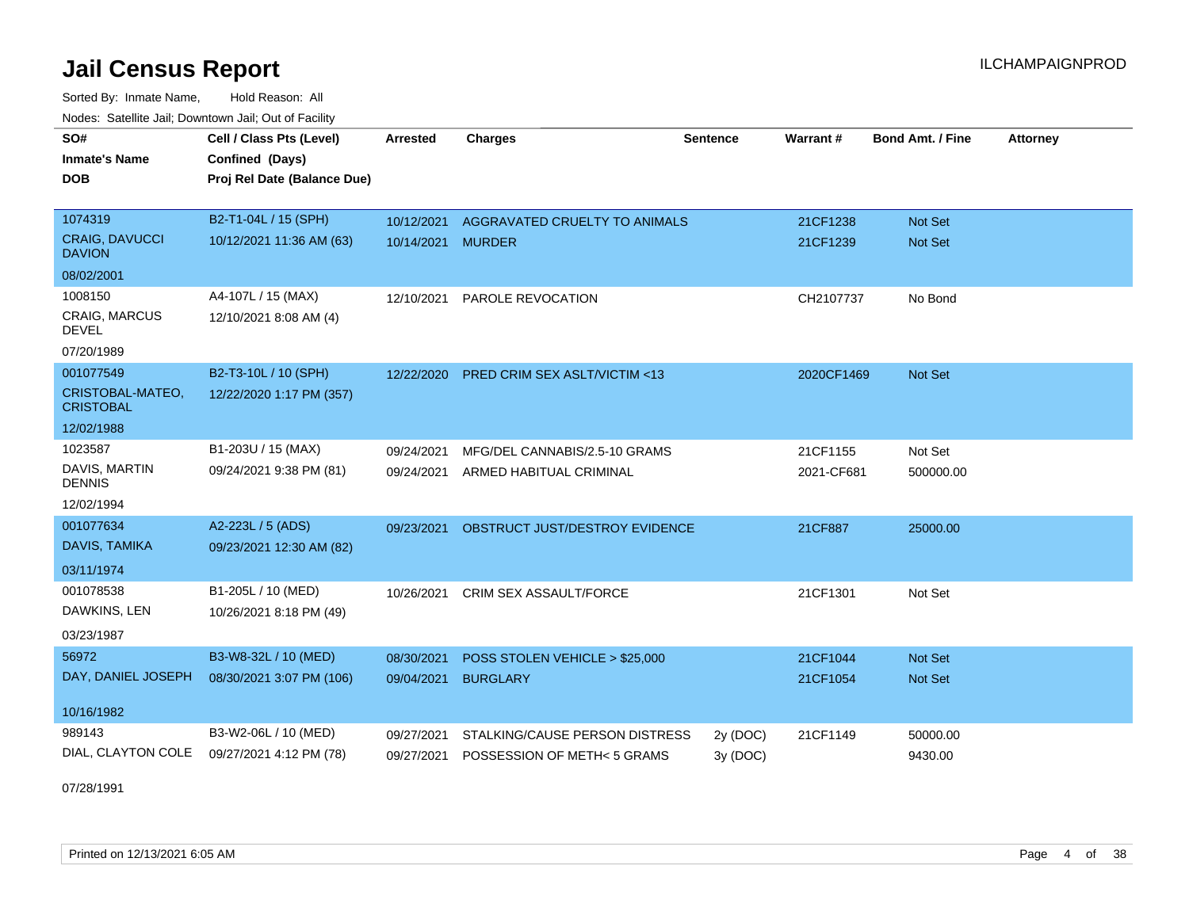Sorted By: Inmate Name, Hold Reason: All Nodes: Satellite Jail; Downtown Jail; Out of Facility

| SO#                                    |                             |                   |                                         |                 |            |                         |                 |
|----------------------------------------|-----------------------------|-------------------|-----------------------------------------|-----------------|------------|-------------------------|-----------------|
|                                        | Cell / Class Pts (Level)    | <b>Arrested</b>   | <b>Charges</b>                          | <b>Sentence</b> | Warrant#   | <b>Bond Amt. / Fine</b> | <b>Attorney</b> |
| <b>Inmate's Name</b>                   | Confined (Days)             |                   |                                         |                 |            |                         |                 |
| <b>DOB</b>                             | Proj Rel Date (Balance Due) |                   |                                         |                 |            |                         |                 |
|                                        |                             |                   |                                         |                 |            |                         |                 |
| 1074319                                | B2-T1-04L / 15 (SPH)        | 10/12/2021        | AGGRAVATED CRUELTY TO ANIMALS           |                 | 21CF1238   | <b>Not Set</b>          |                 |
| <b>CRAIG, DAVUCCI</b><br><b>DAVION</b> | 10/12/2021 11:36 AM (63)    | 10/14/2021 MURDER |                                         |                 | 21CF1239   | Not Set                 |                 |
| 08/02/2001                             |                             |                   |                                         |                 |            |                         |                 |
| 1008150                                | A4-107L / 15 (MAX)          | 12/10/2021        | PAROLE REVOCATION                       |                 | CH2107737  | No Bond                 |                 |
| CRAIG, MARCUS<br><b>DEVEL</b>          | 12/10/2021 8:08 AM (4)      |                   |                                         |                 |            |                         |                 |
| 07/20/1989                             |                             |                   |                                         |                 |            |                         |                 |
| 001077549                              | B2-T3-10L / 10 (SPH)        | 12/22/2020        | <b>PRED CRIM SEX ASLT/VICTIM &lt;13</b> |                 | 2020CF1469 | Not Set                 |                 |
| CRISTOBAL-MATEO,<br><b>CRISTOBAL</b>   | 12/22/2020 1:17 PM (357)    |                   |                                         |                 |            |                         |                 |
| 12/02/1988                             |                             |                   |                                         |                 |            |                         |                 |
| 1023587                                | B1-203U / 15 (MAX)          | 09/24/2021        | MFG/DEL CANNABIS/2.5-10 GRAMS           |                 | 21CF1155   | Not Set                 |                 |
| DAVIS, MARTIN<br><b>DENNIS</b>         | 09/24/2021 9:38 PM (81)     |                   | 09/24/2021 ARMED HABITUAL CRIMINAL      |                 | 2021-CF681 | 500000.00               |                 |
| 12/02/1994                             |                             |                   |                                         |                 |            |                         |                 |
| 001077634                              | A2-223L / 5 (ADS)           | 09/23/2021        | OBSTRUCT JUST/DESTROY EVIDENCE          |                 | 21CF887    | 25000.00                |                 |
| DAVIS, TAMIKA                          | 09/23/2021 12:30 AM (82)    |                   |                                         |                 |            |                         |                 |
| 03/11/1974                             |                             |                   |                                         |                 |            |                         |                 |
| 001078538                              | B1-205L / 10 (MED)          | 10/26/2021        | <b>CRIM SEX ASSAULT/FORCE</b>           |                 | 21CF1301   | Not Set                 |                 |
| DAWKINS, LEN                           | 10/26/2021 8:18 PM (49)     |                   |                                         |                 |            |                         |                 |
| 03/23/1987                             |                             |                   |                                         |                 |            |                         |                 |
| 56972                                  | B3-W8-32L / 10 (MED)        | 08/30/2021        | POSS STOLEN VEHICLE > \$25,000          |                 | 21CF1044   | Not Set                 |                 |
| DAY, DANIEL JOSEPH                     | 08/30/2021 3:07 PM (106)    | 09/04/2021        | <b>BURGLARY</b>                         |                 | 21CF1054   | <b>Not Set</b>          |                 |
| 10/16/1982                             |                             |                   |                                         |                 |            |                         |                 |
| 989143                                 | B3-W2-06L / 10 (MED)        | 09/27/2021        | STALKING/CAUSE PERSON DISTRESS          | 2y (DOC)        | 21CF1149   | 50000.00                |                 |
| DIAL, CLAYTON COLE                     | 09/27/2021 4:12 PM (78)     |                   | 09/27/2021 POSSESSION OF METH< 5 GRAMS  | 3y (DOC)        |            | 9430.00                 |                 |

07/28/1991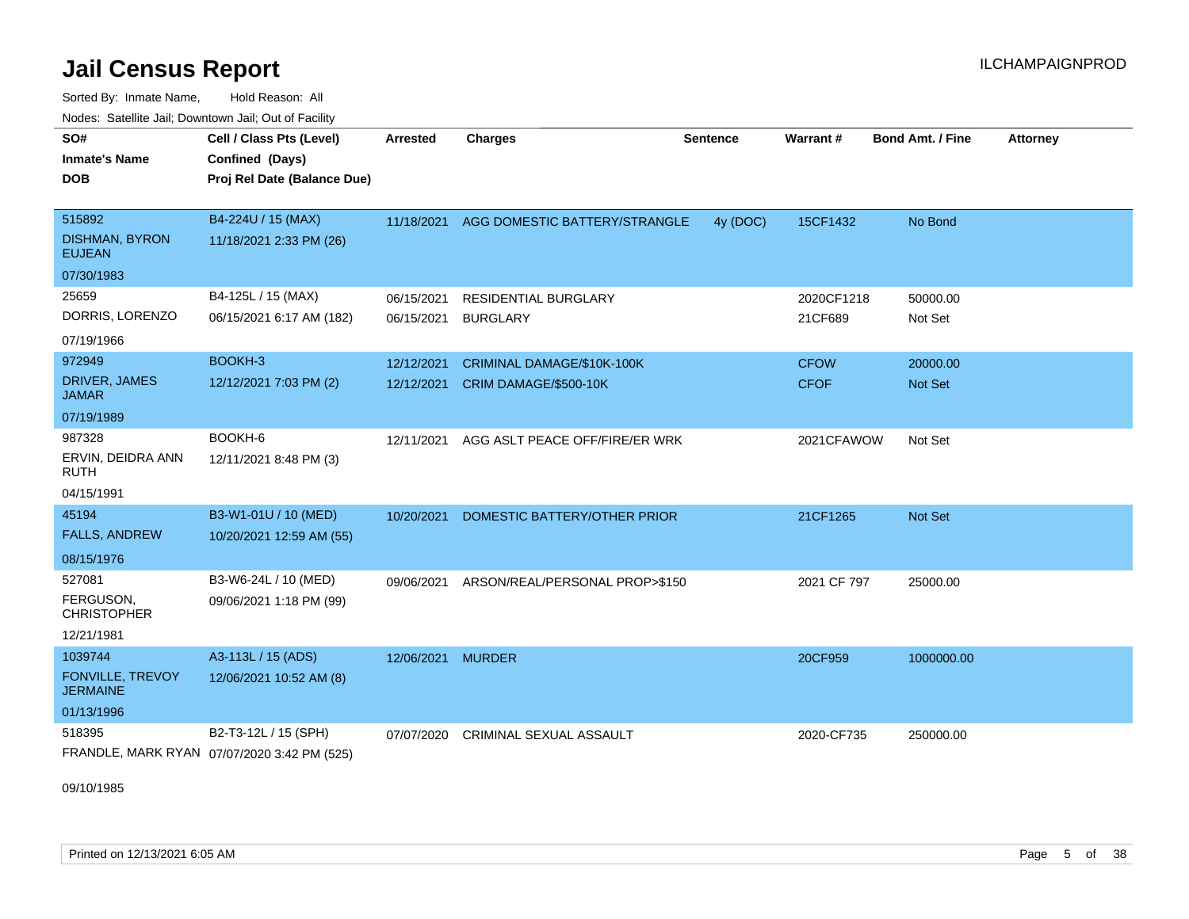Sorted By: Inmate Name, Hold Reason: All Nodes: Satellite Jail; Downtown Jail; Out of Facility

| SO#<br><b>Inmate's Name</b><br><b>DOB</b>        | Cell / Class Pts (Level)<br>Confined (Days)<br>Proj Rel Date (Balance Due) | Arrested   | <b>Charges</b>                           | <b>Sentence</b> | <b>Warrant#</b> | Bond Amt. / Fine | <b>Attorney</b> |
|--------------------------------------------------|----------------------------------------------------------------------------|------------|------------------------------------------|-----------------|-----------------|------------------|-----------------|
| 515892<br><b>DISHMAN, BYRON</b><br><b>EUJEAN</b> | B4-224U / 15 (MAX)<br>11/18/2021 2:33 PM (26)                              |            | 11/18/2021 AGG DOMESTIC BATTERY/STRANGLE | 4y (DOC)        | 15CF1432        | No Bond          |                 |
| 07/30/1983                                       |                                                                            |            |                                          |                 |                 |                  |                 |
| 25659                                            | B4-125L / 15 (MAX)                                                         | 06/15/2021 | <b>RESIDENTIAL BURGLARY</b>              |                 | 2020CF1218      | 50000.00         |                 |
| DORRIS, LORENZO                                  | 06/15/2021 6:17 AM (182)                                                   | 06/15/2021 | <b>BURGLARY</b>                          |                 | 21CF689         | Not Set          |                 |
| 07/19/1966                                       |                                                                            |            |                                          |                 |                 |                  |                 |
| 972949                                           | BOOKH-3                                                                    | 12/12/2021 | CRIMINAL DAMAGE/\$10K-100K               |                 | <b>CFOW</b>     | 20000.00         |                 |
| DRIVER, JAMES<br><b>JAMAR</b>                    | 12/12/2021 7:03 PM (2)                                                     | 12/12/2021 | CRIM DAMAGE/\$500-10K                    |                 | <b>CFOF</b>     | <b>Not Set</b>   |                 |
| 07/19/1989                                       |                                                                            |            |                                          |                 |                 |                  |                 |
| 987328                                           | BOOKH-6                                                                    | 12/11/2021 | AGG ASLT PEACE OFF/FIRE/ER WRK           |                 | 2021CFAWOW      | Not Set          |                 |
| ERVIN, DEIDRA ANN<br><b>RUTH</b>                 | 12/11/2021 8:48 PM (3)                                                     |            |                                          |                 |                 |                  |                 |
| 04/15/1991                                       |                                                                            |            |                                          |                 |                 |                  |                 |
| 45194                                            | B3-W1-01U / 10 (MED)                                                       | 10/20/2021 | DOMESTIC BATTERY/OTHER PRIOR             |                 | 21CF1265        | Not Set          |                 |
| <b>FALLS, ANDREW</b>                             | 10/20/2021 12:59 AM (55)                                                   |            |                                          |                 |                 |                  |                 |
| 08/15/1976                                       |                                                                            |            |                                          |                 |                 |                  |                 |
| 527081                                           | B3-W6-24L / 10 (MED)                                                       | 09/06/2021 | ARSON/REAL/PERSONAL PROP>\$150           |                 | 2021 CF 797     | 25000.00         |                 |
| FERGUSON,<br><b>CHRISTOPHER</b>                  | 09/06/2021 1:18 PM (99)                                                    |            |                                          |                 |                 |                  |                 |
| 12/21/1981                                       |                                                                            |            |                                          |                 |                 |                  |                 |
| 1039744                                          | A3-113L / 15 (ADS)                                                         | 12/06/2021 | <b>MURDER</b>                            |                 | 20CF959         | 1000000.00       |                 |
| <b>FONVILLE, TREVOY</b><br><b>JERMAINE</b>       | 12/06/2021 10:52 AM (8)                                                    |            |                                          |                 |                 |                  |                 |
| 01/13/1996                                       |                                                                            |            |                                          |                 |                 |                  |                 |
| 518395                                           | B2-T3-12L / 15 (SPH)                                                       | 07/07/2020 | <b>CRIMINAL SEXUAL ASSAULT</b>           |                 | 2020-CF735      | 250000.00        |                 |
|                                                  | FRANDLE, MARK RYAN 07/07/2020 3:42 PM (525)                                |            |                                          |                 |                 |                  |                 |

09/10/1985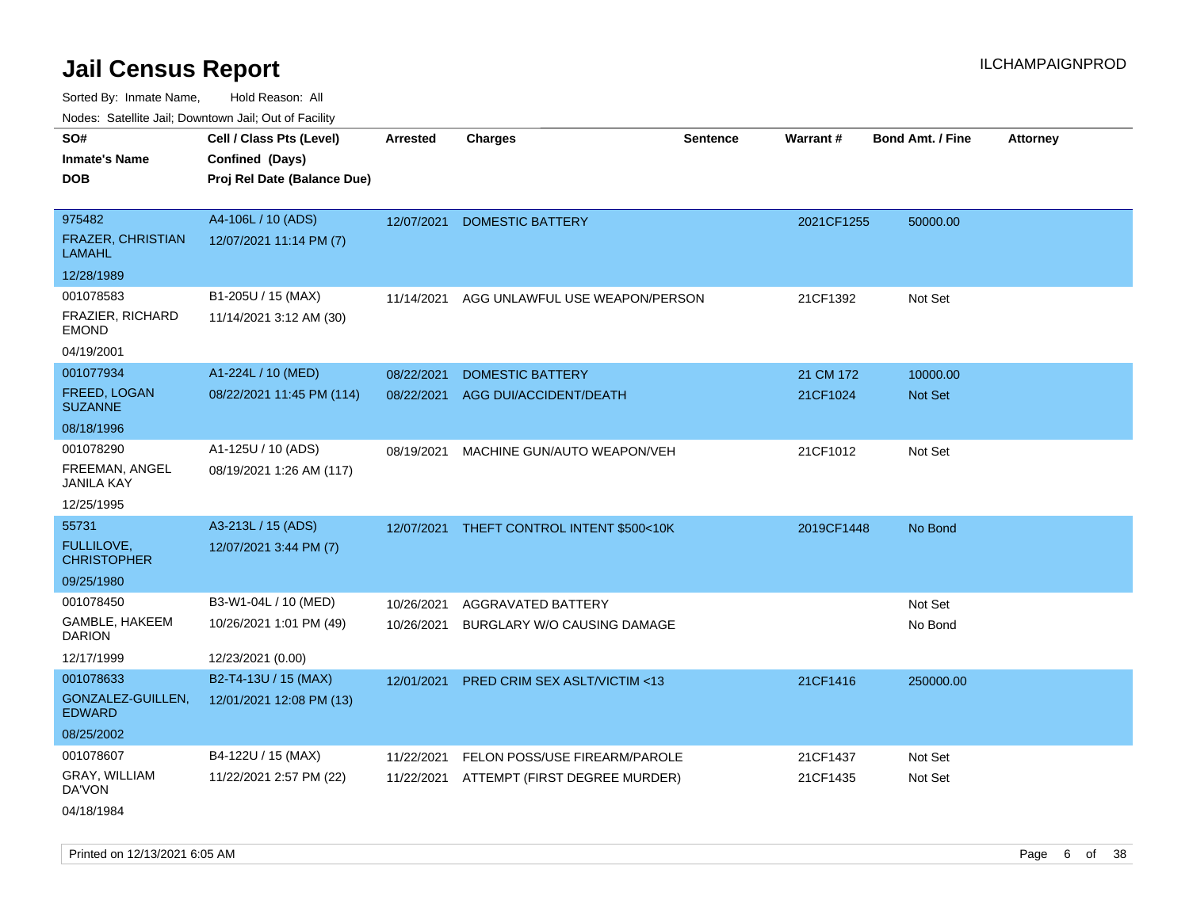| Todoo. Catolino can, Bowritown can, Oat or I domt |                                                                            |                 |                                           |                 |            |                         |                 |
|---------------------------------------------------|----------------------------------------------------------------------------|-----------------|-------------------------------------------|-----------------|------------|-------------------------|-----------------|
| SO#<br><b>Inmate's Name</b><br><b>DOB</b>         | Cell / Class Pts (Level)<br>Confined (Days)<br>Proj Rel Date (Balance Due) | <b>Arrested</b> | <b>Charges</b>                            | <b>Sentence</b> | Warrant#   | <b>Bond Amt. / Fine</b> | <b>Attorney</b> |
| 975482                                            | A4-106L / 10 (ADS)                                                         | 12/07/2021      | <b>DOMESTIC BATTERY</b>                   |                 | 2021CF1255 | 50000.00                |                 |
| <b>FRAZER, CHRISTIAN</b><br><b>LAMAHL</b>         | 12/07/2021 11:14 PM (7)                                                    |                 |                                           |                 |            |                         |                 |
| 12/28/1989                                        |                                                                            |                 |                                           |                 |            |                         |                 |
| 001078583                                         | B1-205U / 15 (MAX)                                                         | 11/14/2021      | AGG UNLAWFUL USE WEAPON/PERSON            |                 | 21CF1392   | Not Set                 |                 |
| FRAZIER, RICHARD<br><b>EMOND</b>                  | 11/14/2021 3:12 AM (30)                                                    |                 |                                           |                 |            |                         |                 |
| 04/19/2001                                        |                                                                            |                 |                                           |                 |            |                         |                 |
| 001077934                                         | A1-224L / 10 (MED)                                                         | 08/22/2021      | <b>DOMESTIC BATTERY</b>                   |                 | 21 CM 172  | 10000.00                |                 |
| <b>FREED, LOGAN</b><br><b>SUZANNE</b>             | 08/22/2021 11:45 PM (114)                                                  | 08/22/2021      | AGG DUI/ACCIDENT/DEATH                    |                 | 21CF1024   | Not Set                 |                 |
| 08/18/1996                                        |                                                                            |                 |                                           |                 |            |                         |                 |
| 001078290                                         | A1-125U / 10 (ADS)                                                         | 08/19/2021      | MACHINE GUN/AUTO WEAPON/VEH               |                 | 21CF1012   | Not Set                 |                 |
| FREEMAN, ANGEL<br><b>JANILA KAY</b>               | 08/19/2021 1:26 AM (117)                                                   |                 |                                           |                 |            |                         |                 |
| 12/25/1995                                        |                                                                            |                 |                                           |                 |            |                         |                 |
| 55731                                             | A3-213L / 15 (ADS)                                                         |                 | 12/07/2021 THEFT CONTROL INTENT \$500<10K |                 | 2019CF1448 | No Bond                 |                 |
| <b>FULLILOVE.</b><br><b>CHRISTOPHER</b>           | 12/07/2021 3:44 PM (7)                                                     |                 |                                           |                 |            |                         |                 |
| 09/25/1980                                        |                                                                            |                 |                                           |                 |            |                         |                 |
| 001078450                                         | B3-W1-04L / 10 (MED)                                                       | 10/26/2021      | AGGRAVATED BATTERY                        |                 |            | Not Set                 |                 |
| GAMBLE, HAKEEM<br><b>DARION</b>                   | 10/26/2021 1:01 PM (49)                                                    | 10/26/2021      | BURGLARY W/O CAUSING DAMAGE               |                 |            | No Bond                 |                 |
| 12/17/1999                                        | 12/23/2021 (0.00)                                                          |                 |                                           |                 |            |                         |                 |
| 001078633                                         | B2-T4-13U / 15 (MAX)                                                       | 12/01/2021      | PRED CRIM SEX ASLT/VICTIM <13             |                 | 21CF1416   | 250000.00               |                 |
| GONZALEZ-GUILLEN,<br><b>EDWARD</b>                | 12/01/2021 12:08 PM (13)                                                   |                 |                                           |                 |            |                         |                 |
| 08/25/2002                                        |                                                                            |                 |                                           |                 |            |                         |                 |
| 001078607                                         | B4-122U / 15 (MAX)                                                         | 11/22/2021      | FELON POSS/USE FIREARM/PAROLE             |                 | 21CF1437   | Not Set                 |                 |
| GRAY, WILLIAM<br>DA'VON                           | 11/22/2021 2:57 PM (22)                                                    | 11/22/2021      | ATTEMPT (FIRST DEGREE MURDER)             |                 | 21CF1435   | Not Set                 |                 |
| 04/18/1984                                        |                                                                            |                 |                                           |                 |            |                         |                 |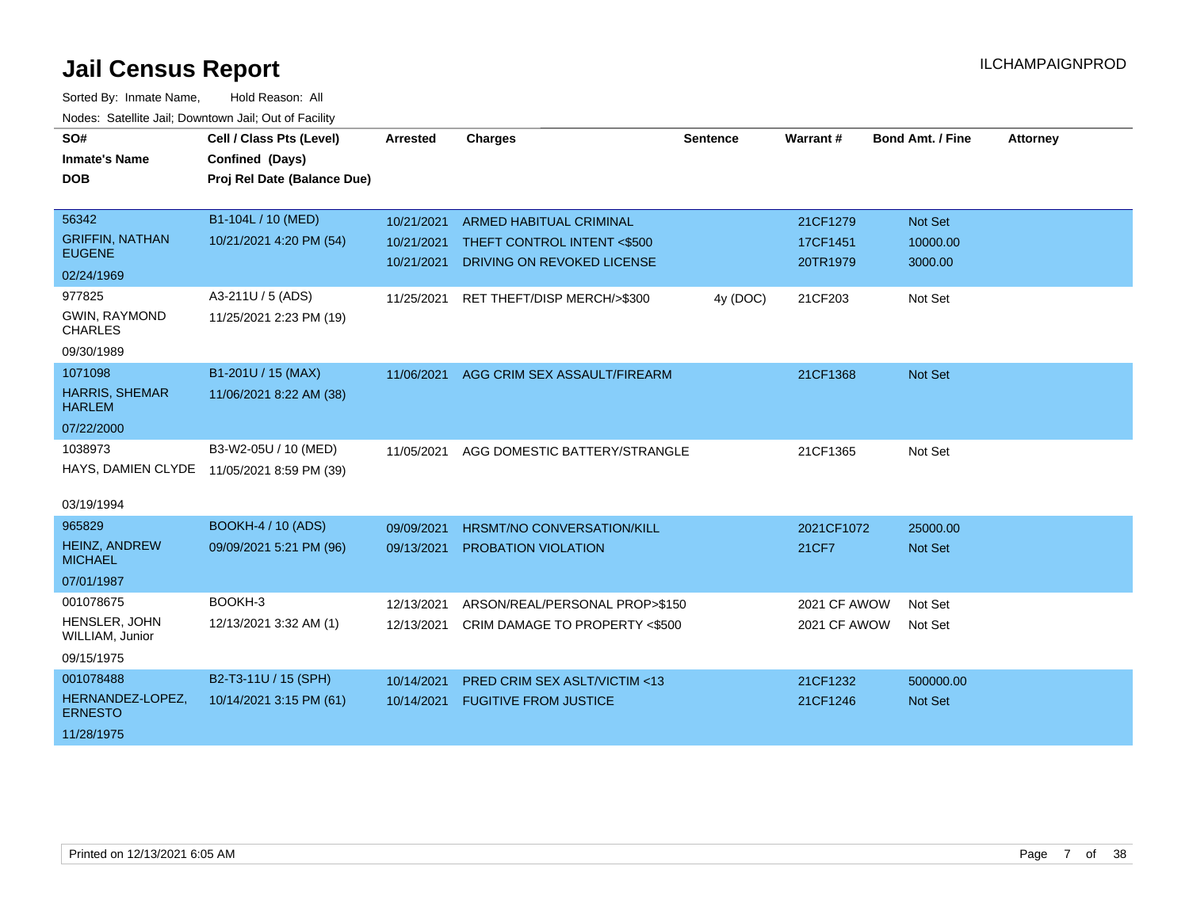| SO#<br><b>Inmate's Name</b>            | Cell / Class Pts (Level)<br>Confined (Days) | <b>Arrested</b> | <b>Charges</b>                          | <b>Sentence</b> | Warrant#     | <b>Bond Amt. / Fine</b> | <b>Attorney</b> |
|----------------------------------------|---------------------------------------------|-----------------|-----------------------------------------|-----------------|--------------|-------------------------|-----------------|
| <b>DOB</b>                             | Proj Rel Date (Balance Due)                 |                 |                                         |                 |              |                         |                 |
|                                        |                                             |                 |                                         |                 |              |                         |                 |
| 56342                                  | B1-104L / 10 (MED)                          | 10/21/2021      | <b>ARMED HABITUAL CRIMINAL</b>          |                 | 21CF1279     | Not Set                 |                 |
| <b>GRIFFIN, NATHAN</b>                 | 10/21/2021 4:20 PM (54)                     | 10/21/2021      | THEFT CONTROL INTENT <\$500             |                 | 17CF1451     | 10000.00                |                 |
| <b>EUGENE</b><br>02/24/1969            |                                             | 10/21/2021      | DRIVING ON REVOKED LICENSE              |                 | 20TR1979     | 3000.00                 |                 |
| 977825                                 | A3-211U / 5 (ADS)                           |                 |                                         |                 |              |                         |                 |
| <b>GWIN, RAYMOND</b>                   | 11/25/2021 2:23 PM (19)                     | 11/25/2021      | RET THEFT/DISP MERCH/>\$300             | 4y (DOC)        | 21CF203      | Not Set                 |                 |
| <b>CHARLES</b>                         |                                             |                 |                                         |                 |              |                         |                 |
| 09/30/1989                             |                                             |                 |                                         |                 |              |                         |                 |
| 1071098                                | B1-201U / 15 (MAX)                          | 11/06/2021      | AGG CRIM SEX ASSAULT/FIREARM            |                 | 21CF1368     | <b>Not Set</b>          |                 |
| <b>HARRIS, SHEMAR</b><br><b>HARLEM</b> | 11/06/2021 8:22 AM (38)                     |                 |                                         |                 |              |                         |                 |
| 07/22/2000                             |                                             |                 |                                         |                 |              |                         |                 |
| 1038973                                | B3-W2-05U / 10 (MED)                        | 11/05/2021      | AGG DOMESTIC BATTERY/STRANGLE           |                 | 21CF1365     | Not Set                 |                 |
|                                        | HAYS, DAMIEN CLYDE 11/05/2021 8:59 PM (39)  |                 |                                         |                 |              |                         |                 |
| 03/19/1994                             |                                             |                 |                                         |                 |              |                         |                 |
| 965829                                 | BOOKH-4 / 10 (ADS)                          | 09/09/2021      | HRSMT/NO CONVERSATION/KILL              |                 | 2021CF1072   | 25000.00                |                 |
| <b>HEINZ, ANDREW</b><br><b>MICHAEL</b> | 09/09/2021 5:21 PM (96)                     | 09/13/2021      | <b>PROBATION VIOLATION</b>              |                 | 21CF7        | <b>Not Set</b>          |                 |
| 07/01/1987                             |                                             |                 |                                         |                 |              |                         |                 |
| 001078675                              | BOOKH-3                                     | 12/13/2021      | ARSON/REAL/PERSONAL PROP>\$150          |                 | 2021 CF AWOW | Not Set                 |                 |
| HENSLER, JOHN<br>WILLIAM, Junior       | 12/13/2021 3:32 AM (1)                      | 12/13/2021      | CRIM DAMAGE TO PROPERTY <\$500          |                 | 2021 CF AWOW | Not Set                 |                 |
| 09/15/1975                             |                                             |                 |                                         |                 |              |                         |                 |
| 001078488                              | B2-T3-11U / 15 (SPH)                        | 10/14/2021      | <b>PRED CRIM SEX ASLT/VICTIM &lt;13</b> |                 | 21CF1232     | 500000.00               |                 |
| HERNANDEZ-LOPEZ,<br><b>ERNESTO</b>     | 10/14/2021 3:15 PM (61)                     | 10/14/2021      | <b>FUGITIVE FROM JUSTICE</b>            |                 | 21CF1246     | <b>Not Set</b>          |                 |
| 11/28/1975                             |                                             |                 |                                         |                 |              |                         |                 |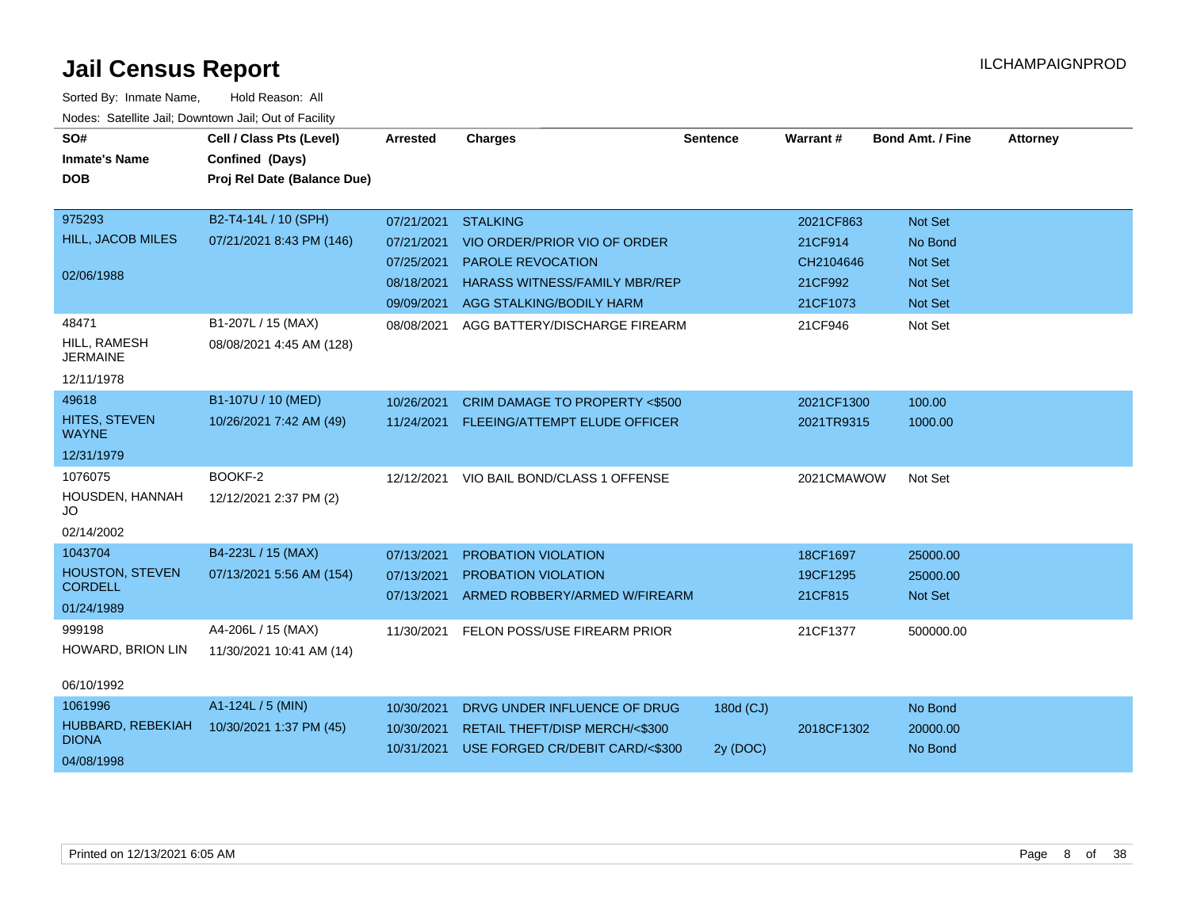| SO#                               | Cell / Class Pts (Level)    | Arrested   | <b>Charges</b>                           | <b>Sentence</b> | <b>Warrant#</b> | <b>Bond Amt. / Fine</b> | <b>Attorney</b> |
|-----------------------------------|-----------------------------|------------|------------------------------------------|-----------------|-----------------|-------------------------|-----------------|
| <b>Inmate's Name</b>              | Confined (Days)             |            |                                          |                 |                 |                         |                 |
| <b>DOB</b>                        | Proj Rel Date (Balance Due) |            |                                          |                 |                 |                         |                 |
|                                   |                             |            |                                          |                 |                 |                         |                 |
| 975293                            | B2-T4-14L / 10 (SPH)        | 07/21/2021 | <b>STALKING</b>                          |                 | 2021CF863       | <b>Not Set</b>          |                 |
| HILL, JACOB MILES                 | 07/21/2021 8:43 PM (146)    | 07/21/2021 | VIO ORDER/PRIOR VIO OF ORDER             |                 | 21CF914         | No Bond                 |                 |
|                                   |                             | 07/25/2021 | PAROLE REVOCATION                        |                 | CH2104646       | <b>Not Set</b>          |                 |
| 02/06/1988                        |                             | 08/18/2021 | <b>HARASS WITNESS/FAMILY MBR/REP</b>     |                 | 21CF992         | <b>Not Set</b>          |                 |
|                                   |                             | 09/09/2021 | AGG STALKING/BODILY HARM                 |                 | 21CF1073        | <b>Not Set</b>          |                 |
| 48471                             | B1-207L / 15 (MAX)          | 08/08/2021 | AGG BATTERY/DISCHARGE FIREARM            |                 | 21CF946         | Not Set                 |                 |
| HILL, RAMESH<br><b>JERMAINE</b>   | 08/08/2021 4:45 AM (128)    |            |                                          |                 |                 |                         |                 |
| 12/11/1978                        |                             |            |                                          |                 |                 |                         |                 |
| 49618                             | B1-107U / 10 (MED)          | 10/26/2021 | CRIM DAMAGE TO PROPERTY <\$500           |                 | 2021CF1300      | 100.00                  |                 |
| HITES, STEVEN<br><b>WAYNE</b>     | 10/26/2021 7:42 AM (49)     | 11/24/2021 | FLEEING/ATTEMPT ELUDE OFFICER            |                 | 2021TR9315      | 1000.00                 |                 |
| 12/31/1979                        |                             |            |                                          |                 |                 |                         |                 |
| 1076075                           | BOOKF-2                     |            | 12/12/2021 VIO BAIL BOND/CLASS 1 OFFENSE |                 | 2021CMAWOW      | Not Set                 |                 |
| HOUSDEN, HANNAH<br>JO             | 12/12/2021 2:37 PM (2)      |            |                                          |                 |                 |                         |                 |
| 02/14/2002                        |                             |            |                                          |                 |                 |                         |                 |
| 1043704                           | B4-223L / 15 (MAX)          | 07/13/2021 | <b>PROBATION VIOLATION</b>               |                 | 18CF1697        | 25000.00                |                 |
| <b>HOUSTON, STEVEN</b>            | 07/13/2021 5:56 AM (154)    | 07/13/2021 | <b>PROBATION VIOLATION</b>               |                 | 19CF1295        | 25000.00                |                 |
| <b>CORDELL</b>                    |                             | 07/13/2021 | ARMED ROBBERY/ARMED W/FIREARM            |                 | 21CF815         | Not Set                 |                 |
| 01/24/1989                        |                             |            |                                          |                 |                 |                         |                 |
| 999198                            | A4-206L / 15 (MAX)          | 11/30/2021 | FELON POSS/USE FIREARM PRIOR             |                 | 21CF1377        | 500000.00               |                 |
| HOWARD, BRION LIN                 | 11/30/2021 10:41 AM (14)    |            |                                          |                 |                 |                         |                 |
|                                   |                             |            |                                          |                 |                 |                         |                 |
| 06/10/1992                        |                             |            |                                          |                 |                 |                         |                 |
| 1061996                           | A1-124L / 5 (MIN)           | 10/30/2021 | DRVG UNDER INFLUENCE OF DRUG             | 180d (CJ)       |                 | No Bond                 |                 |
| HUBBARD, REBEKIAH<br><b>DIONA</b> | 10/30/2021 1:37 PM (45)     | 10/30/2021 | RETAIL THEFT/DISP MERCH/<\$300           |                 | 2018CF1302      | 20000.00                |                 |
| 04/08/1998                        |                             | 10/31/2021 | USE FORGED CR/DEBIT CARD/<\$300          | 2y (DOC)        |                 | No Bond                 |                 |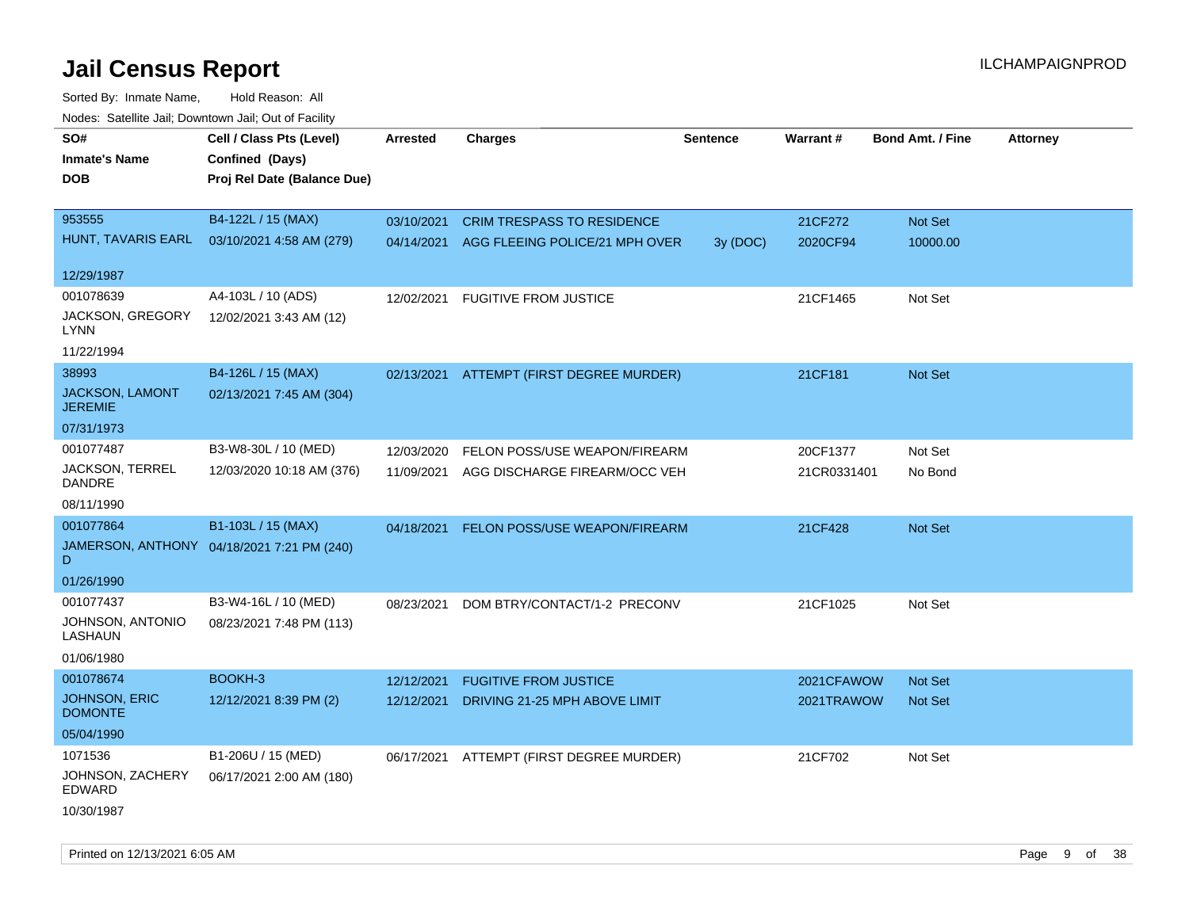| rouce. Calcinic Jan, Downtown Jan, Out or Facility |                                            |                 |                                          |          |             |                         |                 |
|----------------------------------------------------|--------------------------------------------|-----------------|------------------------------------------|----------|-------------|-------------------------|-----------------|
| SO#                                                | Cell / Class Pts (Level)                   | <b>Arrested</b> | <b>Charges</b>                           | Sentence | Warrant#    | <b>Bond Amt. / Fine</b> | <b>Attorney</b> |
| <b>Inmate's Name</b>                               | Confined (Days)                            |                 |                                          |          |             |                         |                 |
| DOB                                                | Proj Rel Date (Balance Due)                |                 |                                          |          |             |                         |                 |
|                                                    |                                            |                 |                                          |          |             |                         |                 |
| 953555                                             | B4-122L / 15 (MAX)                         | 03/10/2021      | <b>CRIM TRESPASS TO RESIDENCE</b>        |          | 21CF272     | Not Set                 |                 |
| HUNT, TAVARIS EARL                                 | 03/10/2021 4:58 AM (279)                   | 04/14/2021      | AGG FLEEING POLICE/21 MPH OVER           | 3y(DOC)  | 2020CF94    | 10000.00                |                 |
|                                                    |                                            |                 |                                          |          |             |                         |                 |
| 12/29/1987                                         |                                            |                 |                                          |          |             |                         |                 |
| 001078639                                          | A4-103L / 10 (ADS)                         | 12/02/2021      | <b>FUGITIVE FROM JUSTICE</b>             |          | 21CF1465    | Not Set                 |                 |
| JACKSON, GREGORY<br>LYNN                           | 12/02/2021 3:43 AM (12)                    |                 |                                          |          |             |                         |                 |
| 11/22/1994                                         |                                            |                 |                                          |          |             |                         |                 |
| 38993                                              | B4-126L / 15 (MAX)                         | 02/13/2021      | ATTEMPT (FIRST DEGREE MURDER)            |          | 21CF181     | Not Set                 |                 |
| JACKSON, LAMONT<br><b>JEREMIE</b>                  | 02/13/2021 7:45 AM (304)                   |                 |                                          |          |             |                         |                 |
| 07/31/1973                                         |                                            |                 |                                          |          |             |                         |                 |
| 001077487                                          | B3-W8-30L / 10 (MED)                       | 12/03/2020      | FELON POSS/USE WEAPON/FIREARM            |          | 20CF1377    | Not Set                 |                 |
| JACKSON, TERREL<br>DANDRE                          | 12/03/2020 10:18 AM (376)                  | 11/09/2021      | AGG DISCHARGE FIREARM/OCC VEH            |          | 21CR0331401 | No Bond                 |                 |
| 08/11/1990                                         |                                            |                 |                                          |          |             |                         |                 |
| 001077864                                          | B1-103L / 15 (MAX)                         | 04/18/2021      | FELON POSS/USE WEAPON/FIREARM            |          | 21CF428     | Not Set                 |                 |
| D                                                  | JAMERSON, ANTHONY 04/18/2021 7:21 PM (240) |                 |                                          |          |             |                         |                 |
| 01/26/1990                                         |                                            |                 |                                          |          |             |                         |                 |
| 001077437                                          | B3-W4-16L / 10 (MED)                       | 08/23/2021      | DOM BTRY/CONTACT/1-2 PRECONV             |          | 21CF1025    | Not Set                 |                 |
| JOHNSON, ANTONIO<br>LASHAUN                        | 08/23/2021 7:48 PM (113)                   |                 |                                          |          |             |                         |                 |
| 01/06/1980                                         |                                            |                 |                                          |          |             |                         |                 |
| 001078674                                          | BOOKH-3                                    | 12/12/2021      | <b>FUGITIVE FROM JUSTICE</b>             |          | 2021CFAWOW  | <b>Not Set</b>          |                 |
| <b>JOHNSON, ERIC</b><br><b>DOMONTE</b>             | 12/12/2021 8:39 PM (2)                     | 12/12/2021      | DRIVING 21-25 MPH ABOVE LIMIT            |          | 2021TRAWOW  | Not Set                 |                 |
| 05/04/1990                                         |                                            |                 |                                          |          |             |                         |                 |
| 1071536                                            | B1-206U / 15 (MED)                         |                 | 06/17/2021 ATTEMPT (FIRST DEGREE MURDER) |          | 21CF702     | Not Set                 |                 |
| JOHNSON, ZACHERY<br>EDWARD                         | 06/17/2021 2:00 AM (180)                   |                 |                                          |          |             |                         |                 |
| 10/30/1987                                         |                                            |                 |                                          |          |             |                         |                 |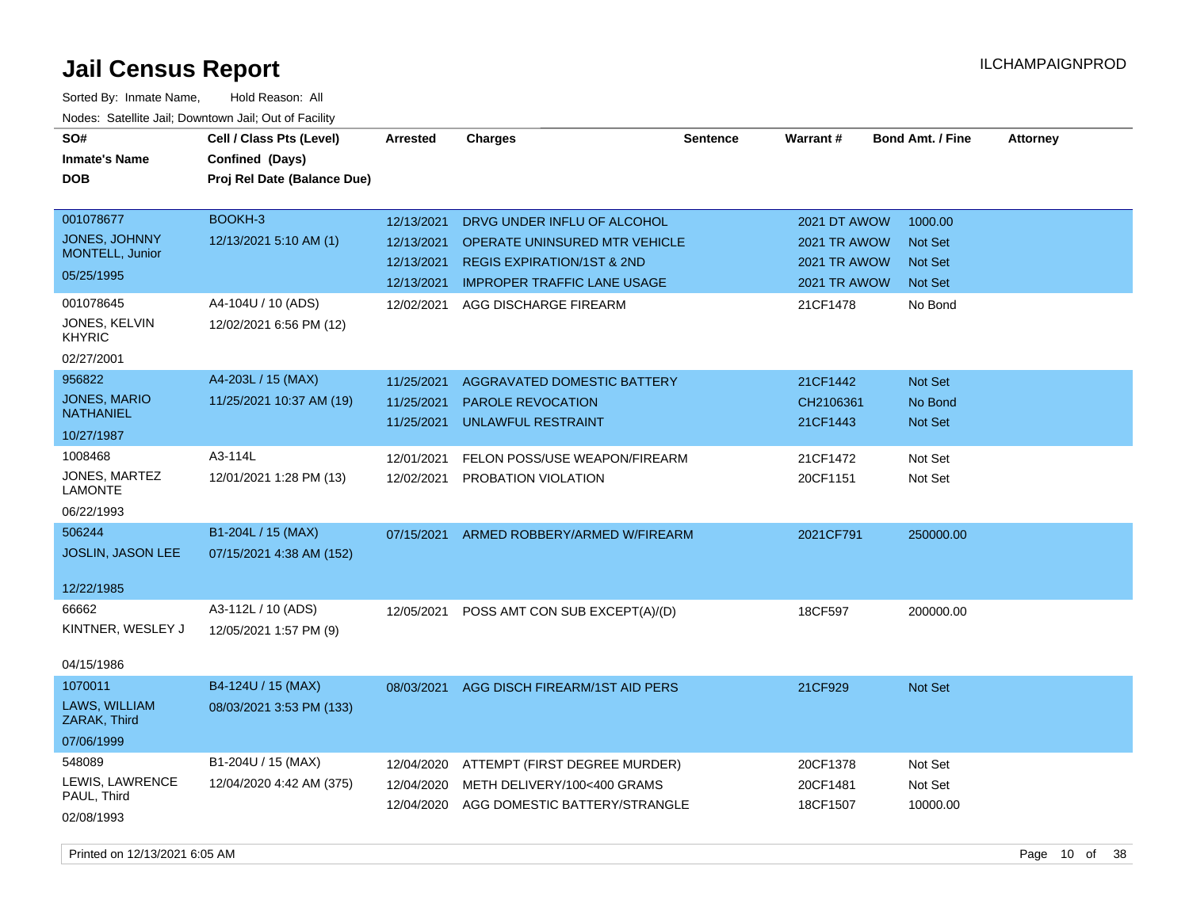| SO#<br><b>Inmate's Name</b><br><b>DOB</b>                                                 | Cell / Class Pts (Level)<br>Confined (Days)<br>Proj Rel Date (Balance Due) | <b>Arrested</b>                                                    | <b>Charges</b>                                                                                                                                                       | <b>Sentence</b> | Warrant#                                                                               | <b>Bond Amt. / Fine</b>                                           | <b>Attorney</b> |
|-------------------------------------------------------------------------------------------|----------------------------------------------------------------------------|--------------------------------------------------------------------|----------------------------------------------------------------------------------------------------------------------------------------------------------------------|-----------------|----------------------------------------------------------------------------------------|-------------------------------------------------------------------|-----------------|
| 001078677<br>JONES, JOHNNY<br>MONTELL, Junior<br>05/25/1995<br>001078645<br>JONES, KELVIN | BOOKH-3<br>12/13/2021 5:10 AM (1)<br>A4-104U / 10 (ADS)                    | 12/13/2021<br>12/13/2021<br>12/13/2021<br>12/13/2021<br>12/02/2021 | DRVG UNDER INFLU OF ALCOHOL<br>OPERATE UNINSURED MTR VEHICLE<br><b>REGIS EXPIRATION/1ST &amp; 2ND</b><br><b>IMPROPER TRAFFIC LANE USAGE</b><br>AGG DISCHARGE FIREARM |                 | 2021 DT AWOW<br><b>2021 TR AWOW</b><br><b>2021 TR AWOW</b><br>2021 TR AWOW<br>21CF1478 | 1000.00<br><b>Not Set</b><br>Not Set<br><b>Not Set</b><br>No Bond |                 |
| <b>KHYRIC</b><br>02/27/2001                                                               | 12/02/2021 6:56 PM (12)                                                    |                                                                    |                                                                                                                                                                      |                 |                                                                                        |                                                                   |                 |
| 956822<br>JONES, MARIO<br><b>NATHANIEL</b><br>10/27/1987                                  | A4-203L / 15 (MAX)<br>11/25/2021 10:37 AM (19)                             | 11/25/2021<br>11/25/2021<br>11/25/2021                             | AGGRAVATED DOMESTIC BATTERY<br><b>PAROLE REVOCATION</b><br><b>UNLAWFUL RESTRAINT</b>                                                                                 |                 | 21CF1442<br>CH2106361<br>21CF1443                                                      | Not Set<br>No Bond<br><b>Not Set</b>                              |                 |
| 1008468<br>JONES, MARTEZ<br><b>LAMONTE</b><br>06/22/1993                                  | A3-114L<br>12/01/2021 1:28 PM (13)                                         | 12/01/2021<br>12/02/2021                                           | FELON POSS/USE WEAPON/FIREARM<br>PROBATION VIOLATION                                                                                                                 |                 | 21CF1472<br>20CF1151                                                                   | Not Set<br>Not Set                                                |                 |
| 506244<br>JOSLIN, JASON LEE<br>12/22/1985                                                 | B1-204L / 15 (MAX)<br>07/15/2021 4:38 AM (152)                             | 07/15/2021                                                         | ARMED ROBBERY/ARMED W/FIREARM                                                                                                                                        |                 | 2021CF791                                                                              | 250000.00                                                         |                 |
| 66662<br>KINTNER, WESLEY J<br>04/15/1986                                                  | A3-112L / 10 (ADS)<br>12/05/2021 1:57 PM (9)                               | 12/05/2021                                                         | POSS AMT CON SUB EXCEPT(A)/(D)                                                                                                                                       |                 | 18CF597                                                                                | 200000.00                                                         |                 |
| 1070011<br>LAWS, WILLIAM<br>ZARAK, Third<br>07/06/1999                                    | B4-124U / 15 (MAX)<br>08/03/2021 3:53 PM (133)                             | 08/03/2021                                                         | AGG DISCH FIREARM/1ST AID PERS                                                                                                                                       |                 | 21CF929                                                                                | Not Set                                                           |                 |
| 548089<br>LEWIS, LAWRENCE<br>PAUL, Third<br>02/08/1993                                    | B1-204U / 15 (MAX)<br>12/04/2020 4:42 AM (375)                             | 12/04/2020<br>12/04/2020<br>12/04/2020                             | ATTEMPT (FIRST DEGREE MURDER)<br>METH DELIVERY/100<400 GRAMS<br>AGG DOMESTIC BATTERY/STRANGLE                                                                        |                 | 20CF1378<br>20CF1481<br>18CF1507                                                       | Not Set<br>Not Set<br>10000.00                                    |                 |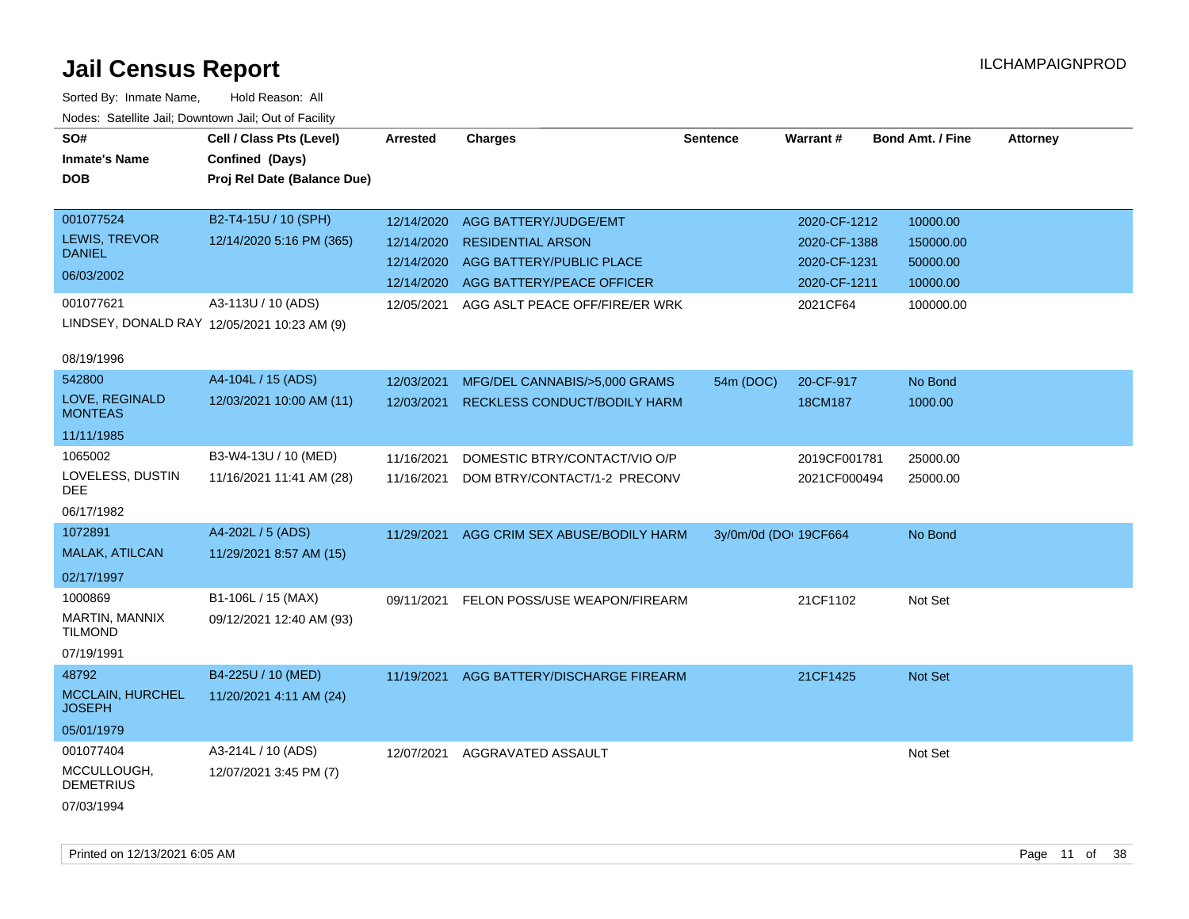| SO#<br><b>Inmate's Name</b><br><b>DOB</b>     | Cell / Class Pts (Level)<br>Confined (Days)<br>Proj Rel Date (Balance Due) | <b>Arrested</b> | <b>Charges</b>                      | <b>Sentence</b>       | <b>Warrant#</b> | <b>Bond Amt. / Fine</b> | <b>Attorney</b> |
|-----------------------------------------------|----------------------------------------------------------------------------|-----------------|-------------------------------------|-----------------------|-----------------|-------------------------|-----------------|
| 001077524                                     | B2-T4-15U / 10 (SPH)                                                       | 12/14/2020      | AGG BATTERY/JUDGE/EMT               |                       | 2020-CF-1212    | 10000.00                |                 |
| <b>LEWIS, TREVOR</b><br><b>DANIEL</b>         | 12/14/2020 5:16 PM (365)                                                   | 12/14/2020      | <b>RESIDENTIAL ARSON</b>            |                       | 2020-CF-1388    | 150000.00               |                 |
| 06/03/2002                                    |                                                                            | 12/14/2020      | AGG BATTERY/PUBLIC PLACE            |                       | 2020-CF-1231    | 50000.00                |                 |
|                                               |                                                                            | 12/14/2020      | AGG BATTERY/PEACE OFFICER           |                       | 2020-CF-1211    | 10000.00                |                 |
| 001077621                                     | A3-113U / 10 (ADS)<br>LINDSEY, DONALD RAY 12/05/2021 10:23 AM (9)          | 12/05/2021      | AGG ASLT PEACE OFF/FIRE/ER WRK      |                       | 2021CF64        | 100000.00               |                 |
| 08/19/1996                                    |                                                                            |                 |                                     |                       |                 |                         |                 |
| 542800                                        | A4-104L / 15 (ADS)                                                         | 12/03/2021      | MFG/DEL CANNABIS/>5,000 GRAMS       | 54m (DOC)             | 20-CF-917       | No Bond                 |                 |
| LOVE, REGINALD<br><b>MONTEAS</b>              | 12/03/2021 10:00 AM (11)                                                   | 12/03/2021      | <b>RECKLESS CONDUCT/BODILY HARM</b> |                       | 18CM187         | 1000.00                 |                 |
| 11/11/1985                                    |                                                                            |                 |                                     |                       |                 |                         |                 |
| 1065002                                       | B3-W4-13U / 10 (MED)                                                       | 11/16/2021      | DOMESTIC BTRY/CONTACT/VIO O/P       |                       | 2019CF001781    | 25000.00                |                 |
| LOVELESS, DUSTIN<br>DEE                       | 11/16/2021 11:41 AM (28)                                                   | 11/16/2021      | DOM BTRY/CONTACT/1-2 PRECONV        |                       | 2021CF000494    | 25000.00                |                 |
| 06/17/1982                                    |                                                                            |                 |                                     |                       |                 |                         |                 |
| 1072891                                       | A4-202L / 5 (ADS)                                                          | 11/29/2021      | AGG CRIM SEX ABUSE/BODILY HARM      | 3y/0m/0d (DO: 19CF664 |                 | No Bond                 |                 |
| MALAK, ATILCAN                                | 11/29/2021 8:57 AM (15)                                                    |                 |                                     |                       |                 |                         |                 |
| 02/17/1997                                    |                                                                            |                 |                                     |                       |                 |                         |                 |
| 1000869<br>MARTIN, MANNIX<br><b>TILMOND</b>   | B1-106L / 15 (MAX)<br>09/12/2021 12:40 AM (93)                             | 09/11/2021      | FELON POSS/USE WEAPON/FIREARM       |                       | 21CF1102        | Not Set                 |                 |
| 07/19/1991                                    |                                                                            |                 |                                     |                       |                 |                         |                 |
| 48792                                         | B4-225U / 10 (MED)                                                         | 11/19/2021      | AGG BATTERY/DISCHARGE FIREARM       |                       | 21CF1425        | Not Set                 |                 |
| <b>MCCLAIN, HURCHEL</b><br><b>JOSEPH</b>      | 11/20/2021 4:11 AM (24)                                                    |                 |                                     |                       |                 |                         |                 |
| 05/01/1979                                    |                                                                            |                 |                                     |                       |                 |                         |                 |
| 001077404                                     | A3-214L / 10 (ADS)                                                         | 12/07/2021      | AGGRAVATED ASSAULT                  |                       |                 | Not Set                 |                 |
| MCCULLOUGH,<br><b>DEMETRIUS</b><br>07/03/1994 | 12/07/2021 3:45 PM (7)                                                     |                 |                                     |                       |                 |                         |                 |
|                                               |                                                                            |                 |                                     |                       |                 |                         |                 |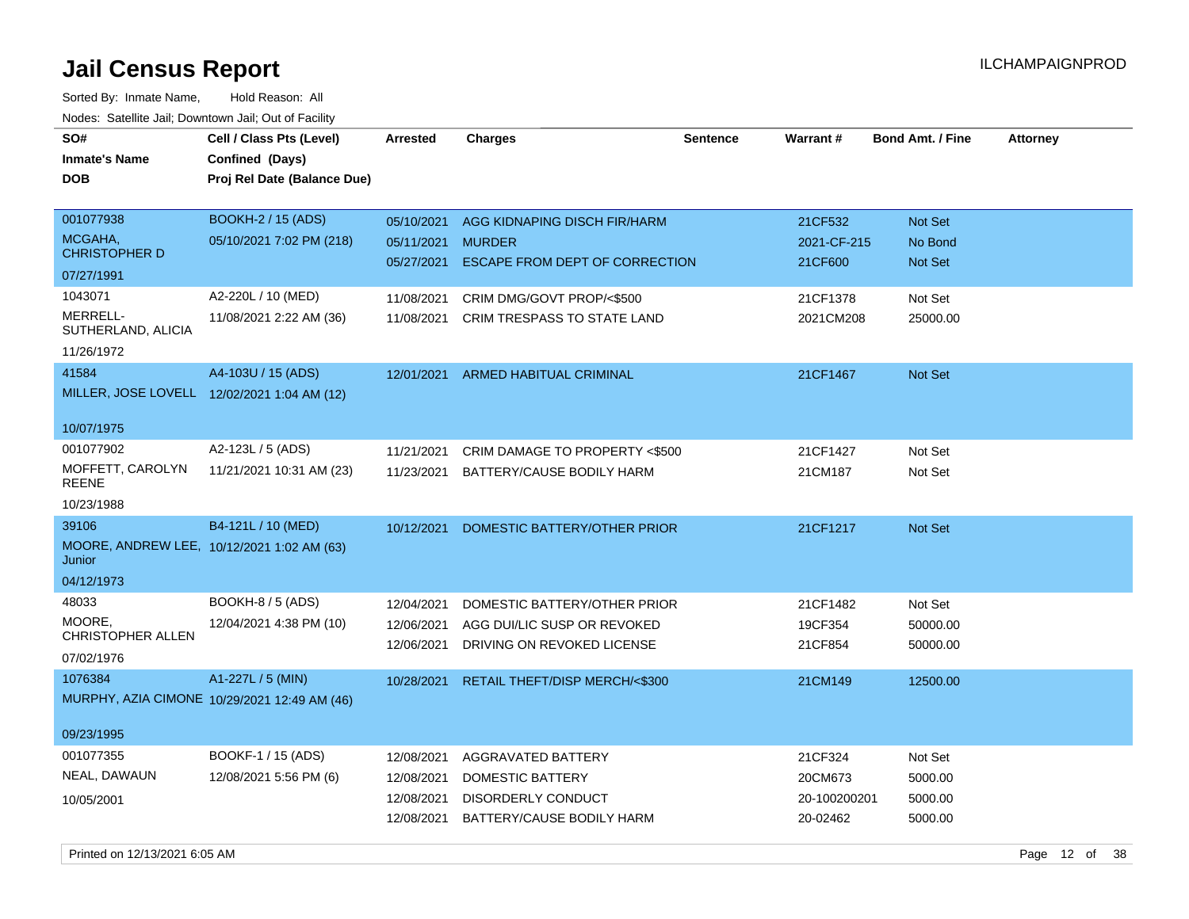| SO#                              | Cell / Class Pts (Level)                     | <b>Arrested</b> | Charges                            | <b>Sentence</b> | <b>Warrant#</b> | <b>Bond Amt. / Fine</b> | <b>Attorney</b> |
|----------------------------------|----------------------------------------------|-----------------|------------------------------------|-----------------|-----------------|-------------------------|-----------------|
| <b>Inmate's Name</b>             | Confined (Days)                              |                 |                                    |                 |                 |                         |                 |
| <b>DOB</b>                       | Proj Rel Date (Balance Due)                  |                 |                                    |                 |                 |                         |                 |
|                                  |                                              |                 |                                    |                 |                 |                         |                 |
| 001077938                        | BOOKH-2 / 15 (ADS)                           | 05/10/2021      | AGG KIDNAPING DISCH FIR/HARM       |                 | 21CF532         | <b>Not Set</b>          |                 |
| MCGAHA,                          | 05/10/2021 7:02 PM (218)                     | 05/11/2021      | <b>MURDER</b>                      |                 | 2021-CF-215     | No Bond                 |                 |
| <b>CHRISTOPHER D</b>             |                                              | 05/27/2021      | ESCAPE FROM DEPT OF CORRECTION     |                 | 21CF600         | <b>Not Set</b>          |                 |
| 07/27/1991                       |                                              |                 |                                    |                 |                 |                         |                 |
| 1043071                          | A2-220L / 10 (MED)                           | 11/08/2021      | CRIM DMG/GOVT PROP/<\$500          |                 | 21CF1378        | Not Set                 |                 |
| MERRELL-<br>SUTHERLAND, ALICIA   | 11/08/2021 2:22 AM (36)                      | 11/08/2021      | CRIM TRESPASS TO STATE LAND        |                 | 2021CM208       | 25000.00                |                 |
| 11/26/1972                       |                                              |                 |                                    |                 |                 |                         |                 |
| 41584                            | A4-103U / 15 (ADS)                           |                 | 12/01/2021 ARMED HABITUAL CRIMINAL |                 | 21CF1467        | Not Set                 |                 |
|                                  | MILLER, JOSE LOVELL 12/02/2021 1:04 AM (12)  |                 |                                    |                 |                 |                         |                 |
|                                  |                                              |                 |                                    |                 |                 |                         |                 |
| 10/07/1975                       |                                              |                 |                                    |                 |                 |                         |                 |
| 001077902                        | A2-123L / 5 (ADS)                            | 11/21/2021      | CRIM DAMAGE TO PROPERTY <\$500     |                 | 21CF1427        | Not Set                 |                 |
| MOFFETT, CAROLYN<br><b>REENE</b> | 11/21/2021 10:31 AM (23)                     | 11/23/2021      | BATTERY/CAUSE BODILY HARM          |                 | 21CM187         | Not Set                 |                 |
| 10/23/1988                       |                                              |                 |                                    |                 |                 |                         |                 |
| 39106                            | B4-121L / 10 (MED)                           | 10/12/2021      | DOMESTIC BATTERY/OTHER PRIOR       |                 | 21CF1217        | Not Set                 |                 |
| Junior                           | MOORE, ANDREW LEE, 10/12/2021 1:02 AM (63)   |                 |                                    |                 |                 |                         |                 |
| 04/12/1973                       |                                              |                 |                                    |                 |                 |                         |                 |
| 48033                            | <b>BOOKH-8 / 5 (ADS)</b>                     | 12/04/2021      | DOMESTIC BATTERY/OTHER PRIOR       |                 | 21CF1482        | Not Set                 |                 |
| MOORE.                           | 12/04/2021 4:38 PM (10)                      | 12/06/2021      | AGG DUI/LIC SUSP OR REVOKED        |                 | 19CF354         | 50000.00                |                 |
| <b>CHRISTOPHER ALLEN</b>         |                                              | 12/06/2021      | DRIVING ON REVOKED LICENSE         |                 | 21CF854         | 50000.00                |                 |
| 07/02/1976                       |                                              |                 |                                    |                 |                 |                         |                 |
| 1076384                          | A1-227L / 5 (MIN)                            | 10/28/2021      | RETAIL THEFT/DISP MERCH/<\$300     |                 | 21CM149         | 12500.00                |                 |
|                                  | MURPHY, AZIA CIMONE 10/29/2021 12:49 AM (46) |                 |                                    |                 |                 |                         |                 |
| 09/23/1995                       |                                              |                 |                                    |                 |                 |                         |                 |
| 001077355                        | BOOKF-1 / 15 (ADS)                           | 12/08/2021      | AGGRAVATED BATTERY                 |                 | 21CF324         | Not Set                 |                 |
| NEAL, DAWAUN                     | 12/08/2021 5:56 PM (6)                       | 12/08/2021      | DOMESTIC BATTERY                   |                 | 20CM673         | 5000.00                 |                 |
|                                  |                                              | 12/08/2021      | DISORDERLY CONDUCT                 |                 | 20-100200201    | 5000.00                 |                 |
| 10/05/2001                       |                                              | 12/08/2021      | BATTERY/CAUSE BODILY HARM          |                 | 20-02462        | 5000.00                 |                 |
|                                  |                                              |                 |                                    |                 |                 |                         |                 |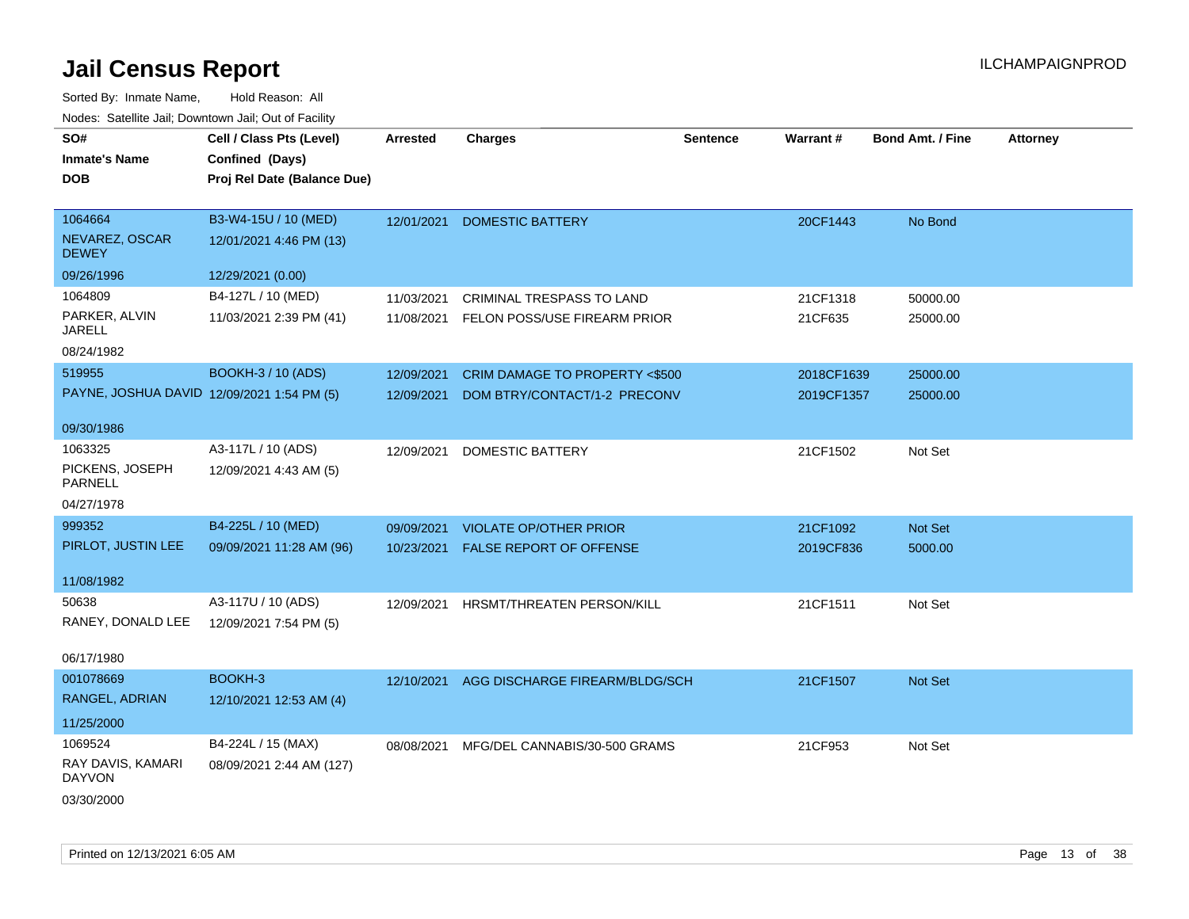| SO#                                        | Cell / Class Pts (Level)    | <b>Arrested</b> | <b>Charges</b>                          | <b>Sentence</b> | Warrant#   | Bond Amt. / Fine | <b>Attorney</b> |
|--------------------------------------------|-----------------------------|-----------------|-----------------------------------------|-----------------|------------|------------------|-----------------|
| <b>Inmate's Name</b>                       | Confined (Days)             |                 |                                         |                 |            |                  |                 |
| <b>DOB</b>                                 | Proj Rel Date (Balance Due) |                 |                                         |                 |            |                  |                 |
|                                            |                             |                 |                                         |                 |            |                  |                 |
| 1064664                                    | B3-W4-15U / 10 (MED)        | 12/01/2021      | <b>DOMESTIC BATTERY</b>                 |                 | 20CF1443   | No Bond          |                 |
| NEVAREZ, OSCAR<br><b>DEWEY</b>             | 12/01/2021 4:46 PM (13)     |                 |                                         |                 |            |                  |                 |
| 09/26/1996                                 | 12/29/2021 (0.00)           |                 |                                         |                 |            |                  |                 |
| 1064809                                    | B4-127L / 10 (MED)          | 11/03/2021      | <b>CRIMINAL TRESPASS TO LAND</b>        |                 | 21CF1318   | 50000.00         |                 |
| PARKER, ALVIN<br><b>JARELL</b>             | 11/03/2021 2:39 PM (41)     |                 | 11/08/2021 FELON POSS/USE FIREARM PRIOR |                 | 21CF635    | 25000.00         |                 |
| 08/24/1982                                 |                             |                 |                                         |                 |            |                  |                 |
| 519955                                     | <b>BOOKH-3 / 10 (ADS)</b>   | 12/09/2021      | CRIM DAMAGE TO PROPERTY <\$500          |                 | 2018CF1639 | 25000.00         |                 |
| PAYNE, JOSHUA DAVID 12/09/2021 1:54 PM (5) |                             | 12/09/2021      | DOM BTRY/CONTACT/1-2 PRECONV            |                 | 2019CF1357 | 25000.00         |                 |
|                                            |                             |                 |                                         |                 |            |                  |                 |
| 09/30/1986                                 |                             |                 |                                         |                 |            |                  |                 |
| 1063325                                    | A3-117L / 10 (ADS)          | 12/09/2021      | <b>DOMESTIC BATTERY</b>                 |                 | 21CF1502   | Not Set          |                 |
| PICKENS, JOSEPH<br><b>PARNELL</b>          | 12/09/2021 4:43 AM (5)      |                 |                                         |                 |            |                  |                 |
| 04/27/1978                                 |                             |                 |                                         |                 |            |                  |                 |
| 999352                                     | B4-225L / 10 (MED)          | 09/09/2021      | <b>VIOLATE OP/OTHER PRIOR</b>           |                 | 21CF1092   | Not Set          |                 |
| PIRLOT, JUSTIN LEE                         | 09/09/2021 11:28 AM (96)    | 10/23/2021      | FALSE REPORT OF OFFENSE                 |                 | 2019CF836  | 5000.00          |                 |
|                                            |                             |                 |                                         |                 |            |                  |                 |
| 11/08/1982                                 |                             |                 |                                         |                 |            |                  |                 |
| 50638                                      | A3-117U / 10 (ADS)          | 12/09/2021      | HRSMT/THREATEN PERSON/KILL              |                 | 21CF1511   | Not Set          |                 |
| RANEY, DONALD LEE                          | 12/09/2021 7:54 PM (5)      |                 |                                         |                 |            |                  |                 |
| 06/17/1980                                 |                             |                 |                                         |                 |            |                  |                 |
| 001078669                                  | BOOKH-3                     |                 | AGG DISCHARGE FIREARM/BLDG/SCH          |                 | 21CF1507   | Not Set          |                 |
| RANGEL, ADRIAN                             | 12/10/2021 12:53 AM (4)     | 12/10/2021      |                                         |                 |            |                  |                 |
|                                            |                             |                 |                                         |                 |            |                  |                 |
| 11/25/2000                                 |                             |                 |                                         |                 |            |                  |                 |
| 1069524                                    | B4-224L / 15 (MAX)          | 08/08/2021      | MFG/DEL CANNABIS/30-500 GRAMS           |                 | 21CF953    | Not Set          |                 |
| RAY DAVIS, KAMARI<br><b>DAYVON</b>         | 08/09/2021 2:44 AM (127)    |                 |                                         |                 |            |                  |                 |
| 03/30/2000                                 |                             |                 |                                         |                 |            |                  |                 |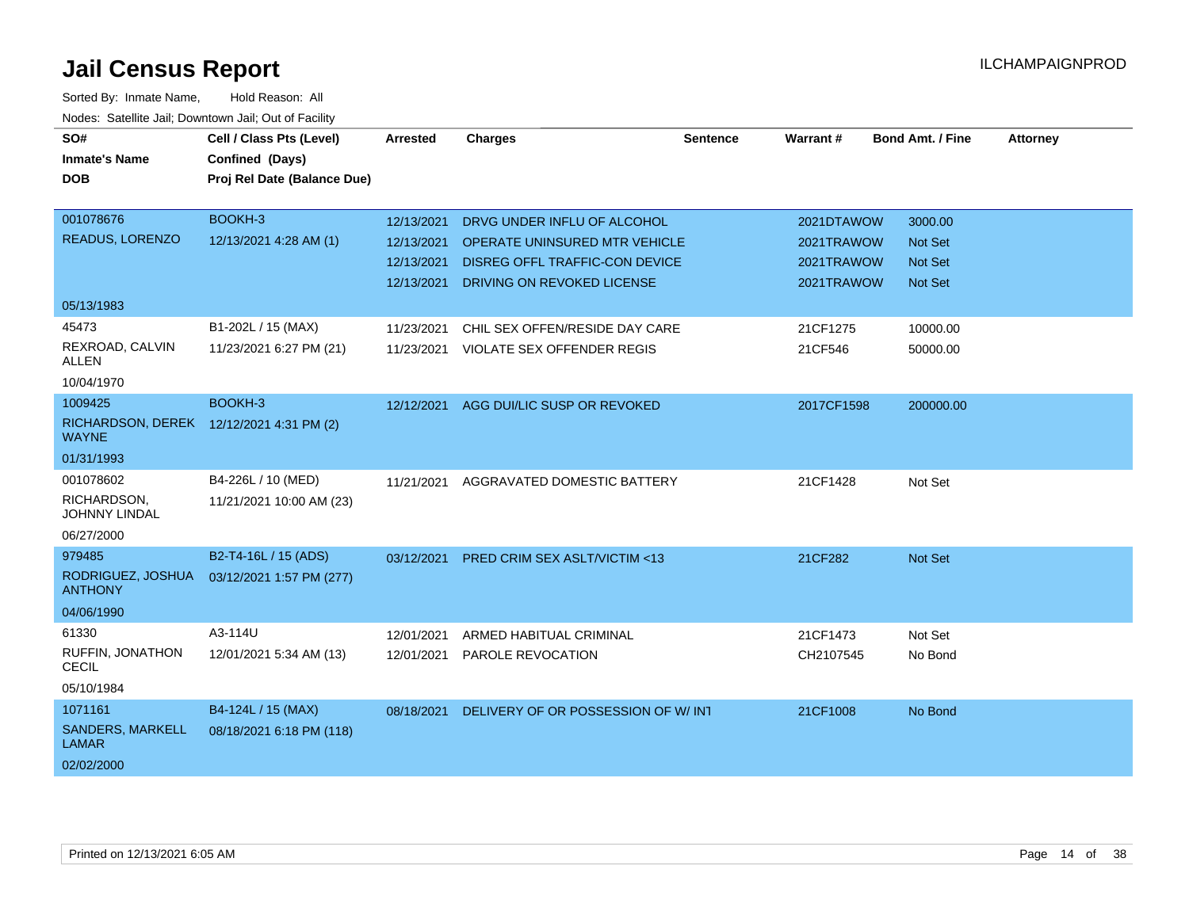| SO#<br><b>Inmate's Name</b><br><b>DOB</b> | Cell / Class Pts (Level)<br>Confined (Days)<br>Proj Rel Date (Balance Due) | <b>Arrested</b> | <b>Charges</b>                        | <b>Sentence</b> | Warrant#   | <b>Bond Amt. / Fine</b> | <b>Attorney</b> |
|-------------------------------------------|----------------------------------------------------------------------------|-----------------|---------------------------------------|-----------------|------------|-------------------------|-----------------|
|                                           |                                                                            |                 |                                       |                 |            |                         |                 |
| 001078676                                 | BOOKH-3                                                                    | 12/13/2021      | DRVG UNDER INFLU OF ALCOHOL           |                 | 2021DTAWOW | 3000.00                 |                 |
| READUS, LORENZO                           | 12/13/2021 4:28 AM (1)                                                     | 12/13/2021      | OPERATE UNINSURED MTR VEHICLE         |                 | 2021TRAWOW | <b>Not Set</b>          |                 |
|                                           |                                                                            | 12/13/2021      | <b>DISREG OFFL TRAFFIC-CON DEVICE</b> |                 | 2021TRAWOW | <b>Not Set</b>          |                 |
|                                           |                                                                            | 12/13/2021      | DRIVING ON REVOKED LICENSE            |                 | 2021TRAWOW | <b>Not Set</b>          |                 |
| 05/13/1983                                |                                                                            |                 |                                       |                 |            |                         |                 |
| 45473                                     | B1-202L / 15 (MAX)                                                         | 11/23/2021      | CHIL SEX OFFEN/RESIDE DAY CARE        |                 | 21CF1275   | 10000.00                |                 |
| REXROAD, CALVIN<br>ALLEN                  | 11/23/2021 6:27 PM (21)                                                    | 11/23/2021      | VIOLATE SEX OFFENDER REGIS            |                 | 21CF546    | 50000.00                |                 |
| 10/04/1970                                |                                                                            |                 |                                       |                 |            |                         |                 |
| 1009425                                   | BOOKH-3                                                                    | 12/12/2021      | AGG DUI/LIC SUSP OR REVOKED           |                 | 2017CF1598 | 200000.00               |                 |
| <b>RICHARDSON, DEREK</b><br><b>WAYNE</b>  | 12/12/2021 4:31 PM (2)                                                     |                 |                                       |                 |            |                         |                 |
| 01/31/1993                                |                                                                            |                 |                                       |                 |            |                         |                 |
| 001078602                                 | B4-226L / 10 (MED)                                                         | 11/21/2021      | AGGRAVATED DOMESTIC BATTERY           |                 | 21CF1428   | Not Set                 |                 |
| RICHARDSON,<br>JOHNNY LINDAL              | 11/21/2021 10:00 AM (23)                                                   |                 |                                       |                 |            |                         |                 |
| 06/27/2000                                |                                                                            |                 |                                       |                 |            |                         |                 |
| 979485                                    | B2-T4-16L / 15 (ADS)                                                       | 03/12/2021      | PRED CRIM SEX ASLT/VICTIM <13         |                 | 21CF282    | Not Set                 |                 |
| RODRIGUEZ, JOSHUA<br><b>ANTHONY</b>       | 03/12/2021 1:57 PM (277)                                                   |                 |                                       |                 |            |                         |                 |
| 04/06/1990                                |                                                                            |                 |                                       |                 |            |                         |                 |
| 61330                                     | A3-114U                                                                    | 12/01/2021      | ARMED HABITUAL CRIMINAL               |                 | 21CF1473   | Not Set                 |                 |
| RUFFIN, JONATHON<br><b>CECIL</b>          | 12/01/2021 5:34 AM (13)                                                    | 12/01/2021      | PAROLE REVOCATION                     |                 | CH2107545  | No Bond                 |                 |
| 05/10/1984                                |                                                                            |                 |                                       |                 |            |                         |                 |
| 1071161                                   | B4-124L / 15 (MAX)                                                         | 08/18/2021      | DELIVERY OF OR POSSESSION OF W/INT    |                 | 21CF1008   | No Bond                 |                 |
| SANDERS, MARKELL<br><b>LAMAR</b>          | 08/18/2021 6:18 PM (118)                                                   |                 |                                       |                 |            |                         |                 |
| 02/02/2000                                |                                                                            |                 |                                       |                 |            |                         |                 |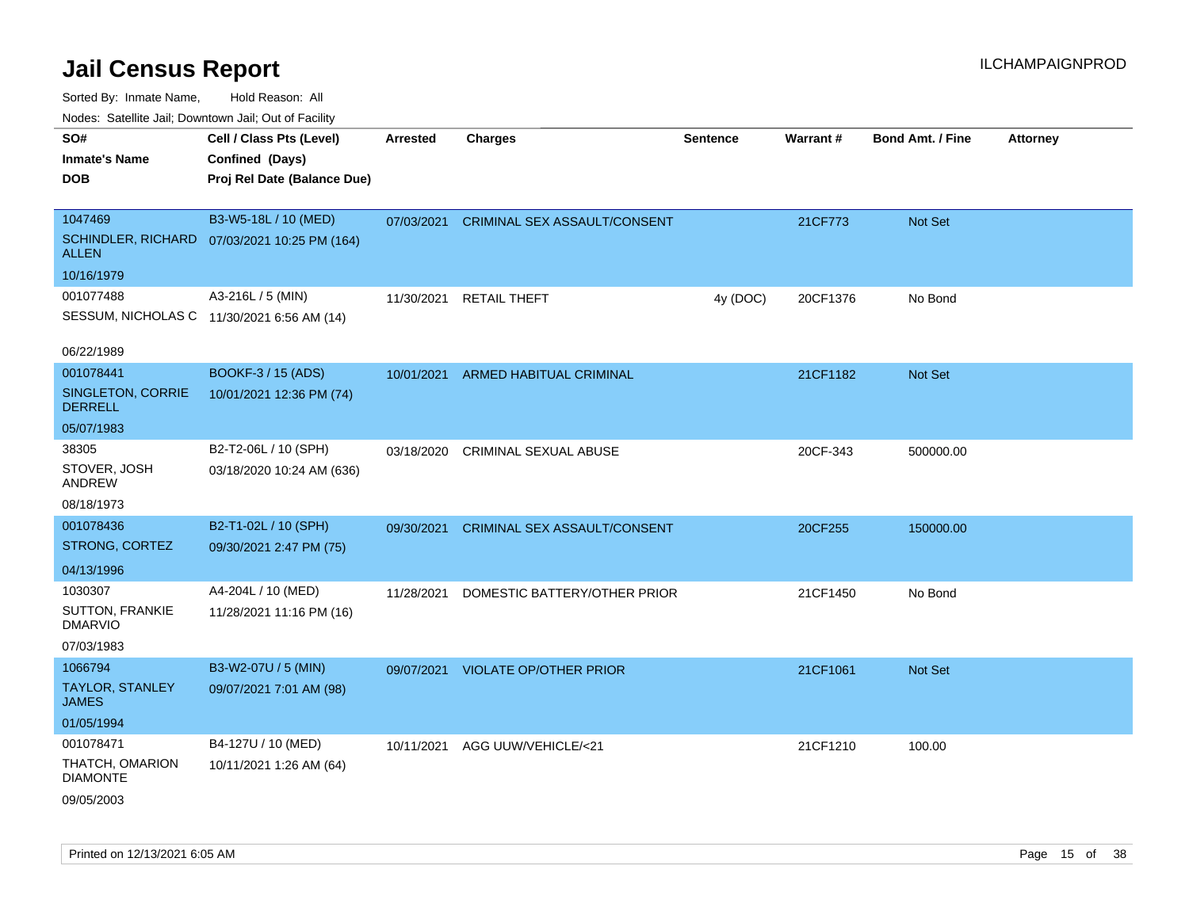Sorted By: Inmate Name, Hold Reason: All

| Nodes: Satellite Jail; Downtown Jail; Out of Facility |                                              |                 |                               |                 |                 |                  |                 |
|-------------------------------------------------------|----------------------------------------------|-----------------|-------------------------------|-----------------|-----------------|------------------|-----------------|
| SO#                                                   | Cell / Class Pts (Level)                     | <b>Arrested</b> | <b>Charges</b>                | <b>Sentence</b> | <b>Warrant#</b> | Bond Amt. / Fine | <b>Attorney</b> |
| <b>Inmate's Name</b>                                  | Confined (Days)                              |                 |                               |                 |                 |                  |                 |
| <b>DOB</b>                                            | Proj Rel Date (Balance Due)                  |                 |                               |                 |                 |                  |                 |
|                                                       |                                              |                 |                               |                 |                 |                  |                 |
| 1047469                                               | B3-W5-18L / 10 (MED)                         | 07/03/2021      | CRIMINAL SEX ASSAULT/CONSENT  |                 | 21CF773         | Not Set          |                 |
| <b>ALLEN</b>                                          | SCHINDLER, RICHARD 07/03/2021 10:25 PM (164) |                 |                               |                 |                 |                  |                 |
| 10/16/1979                                            |                                              |                 |                               |                 |                 |                  |                 |
| 001077488                                             | A3-216L / 5 (MIN)                            | 11/30/2021      | <b>RETAIL THEFT</b>           | 4y (DOC)        | 20CF1376        | No Bond          |                 |
|                                                       | SESSUM, NICHOLAS C 11/30/2021 6:56 AM (14)   |                 |                               |                 |                 |                  |                 |
| 06/22/1989                                            |                                              |                 |                               |                 |                 |                  |                 |
| 001078441                                             | BOOKF-3 / 15 (ADS)                           | 10/01/2021      | ARMED HABITUAL CRIMINAL       |                 | 21CF1182        | Not Set          |                 |
| SINGLETON, CORRIE                                     | 10/01/2021 12:36 PM (74)                     |                 |                               |                 |                 |                  |                 |
| <b>DERRELL</b>                                        |                                              |                 |                               |                 |                 |                  |                 |
| 05/07/1983                                            |                                              |                 |                               |                 |                 |                  |                 |
| 38305                                                 | B2-T2-06L / 10 (SPH)                         | 03/18/2020      | <b>CRIMINAL SEXUAL ABUSE</b>  |                 | 20CF-343        | 500000.00        |                 |
| STOVER, JOSH<br>ANDREW                                | 03/18/2020 10:24 AM (636)                    |                 |                               |                 |                 |                  |                 |
| 08/18/1973                                            |                                              |                 |                               |                 |                 |                  |                 |
| 001078436                                             | B2-T1-02L / 10 (SPH)                         | 09/30/2021      | CRIMINAL SEX ASSAULT/CONSENT  |                 | 20CF255         | 150000.00        |                 |
| STRONG, CORTEZ                                        | 09/30/2021 2:47 PM (75)                      |                 |                               |                 |                 |                  |                 |
| 04/13/1996                                            |                                              |                 |                               |                 |                 |                  |                 |
| 1030307                                               | A4-204L / 10 (MED)                           | 11/28/2021      | DOMESTIC BATTERY/OTHER PRIOR  |                 | 21CF1450        | No Bond          |                 |
| <b>SUTTON, FRANKIE</b><br><b>DMARVIO</b>              | 11/28/2021 11:16 PM (16)                     |                 |                               |                 |                 |                  |                 |
| 07/03/1983                                            |                                              |                 |                               |                 |                 |                  |                 |
| 1066794                                               | B3-W2-07U / 5 (MIN)                          | 09/07/2021      | <b>VIOLATE OP/OTHER PRIOR</b> |                 | 21CF1061        | Not Set          |                 |
| <b>TAYLOR, STANLEY</b><br><b>JAMES</b>                | 09/07/2021 7:01 AM (98)                      |                 |                               |                 |                 |                  |                 |
| 01/05/1994                                            |                                              |                 |                               |                 |                 |                  |                 |
| 001078471                                             | B4-127U / 10 (MED)                           | 10/11/2021      | AGG UUW/VEHICLE/<21           |                 | 21CF1210        | 100.00           |                 |
| THATCH, OMARION<br><b>DIAMONTE</b>                    | 10/11/2021 1:26 AM (64)                      |                 |                               |                 |                 |                  |                 |
| 09/05/2003                                            |                                              |                 |                               |                 |                 |                  |                 |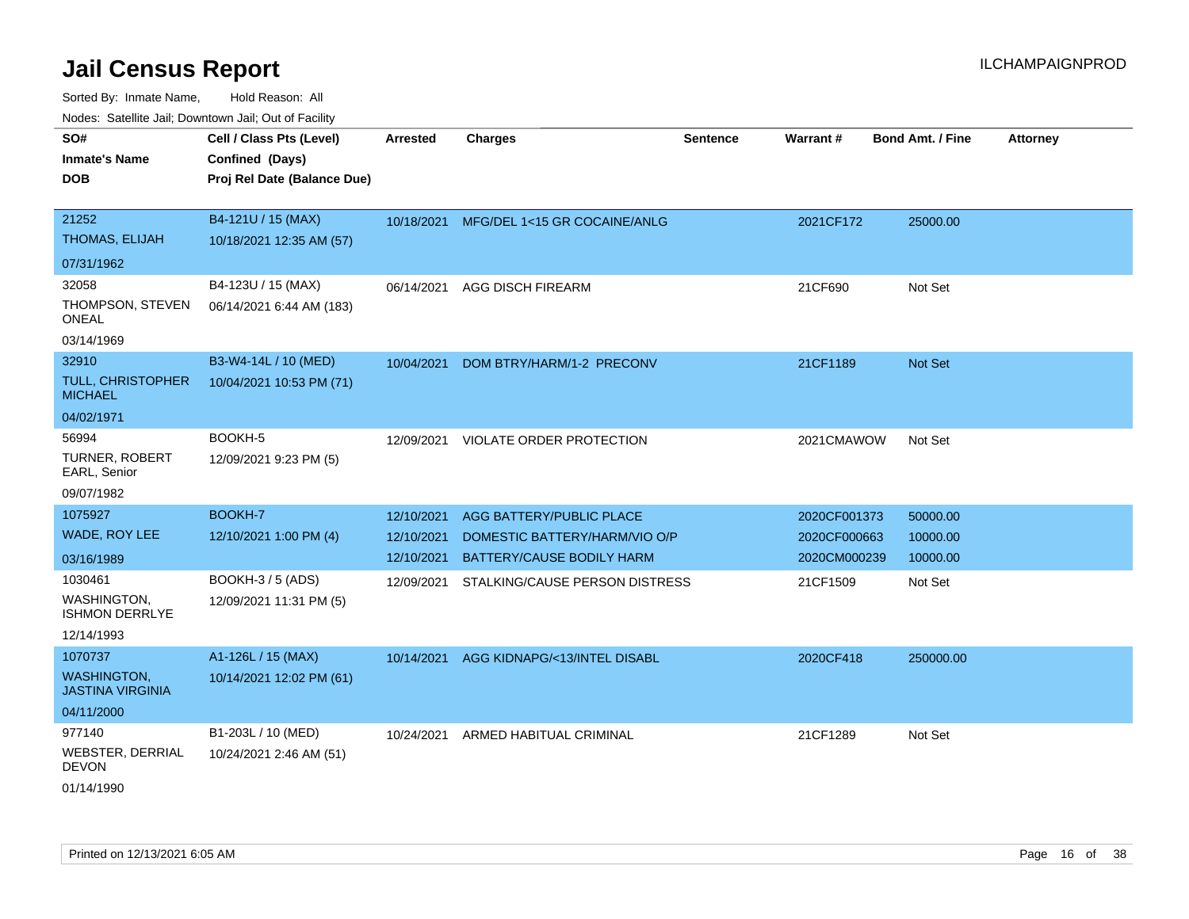| SO#                                           | Cell / Class Pts (Level)    | <b>Arrested</b> | <b>Charges</b>                      | <b>Sentence</b> | Warrant#     | <b>Bond Amt. / Fine</b> | <b>Attorney</b> |
|-----------------------------------------------|-----------------------------|-----------------|-------------------------------------|-----------------|--------------|-------------------------|-----------------|
| <b>Inmate's Name</b>                          | Confined (Days)             |                 |                                     |                 |              |                         |                 |
| <b>DOB</b>                                    | Proj Rel Date (Balance Due) |                 |                                     |                 |              |                         |                 |
|                                               |                             |                 |                                     |                 |              |                         |                 |
| 21252                                         | B4-121U / 15 (MAX)          | 10/18/2021      | MFG/DEL 1<15 GR COCAINE/ANLG        |                 | 2021CF172    | 25000.00                |                 |
| <b>THOMAS, ELIJAH</b>                         | 10/18/2021 12:35 AM (57)    |                 |                                     |                 |              |                         |                 |
| 07/31/1962                                    |                             |                 |                                     |                 |              |                         |                 |
| 32058                                         | B4-123U / 15 (MAX)          | 06/14/2021      | <b>AGG DISCH FIREARM</b>            |                 | 21CF690      | Not Set                 |                 |
| THOMPSON, STEVEN<br><b>ONEAL</b>              | 06/14/2021 6:44 AM (183)    |                 |                                     |                 |              |                         |                 |
| 03/14/1969                                    |                             |                 |                                     |                 |              |                         |                 |
| 32910                                         | B3-W4-14L / 10 (MED)        | 10/04/2021      | DOM BTRY/HARM/1-2 PRECONV           |                 | 21CF1189     | Not Set                 |                 |
| <b>TULL, CHRISTOPHER</b><br><b>MICHAEL</b>    | 10/04/2021 10:53 PM (71)    |                 |                                     |                 |              |                         |                 |
| 04/02/1971                                    |                             |                 |                                     |                 |              |                         |                 |
| 56994                                         | BOOKH-5                     |                 | 12/09/2021 VIOLATE ORDER PROTECTION |                 | 2021CMAWOW   | Not Set                 |                 |
| <b>TURNER, ROBERT</b><br>EARL, Senior         | 12/09/2021 9:23 PM (5)      |                 |                                     |                 |              |                         |                 |
| 09/07/1982                                    |                             |                 |                                     |                 |              |                         |                 |
| 1075927                                       | BOOKH-7                     | 12/10/2021      | AGG BATTERY/PUBLIC PLACE            |                 | 2020CF001373 | 50000.00                |                 |
| WADE, ROY LEE                                 | 12/10/2021 1:00 PM (4)      | 12/10/2021      | DOMESTIC BATTERY/HARM/VIO O/P       |                 | 2020CF000663 | 10000.00                |                 |
| 03/16/1989                                    |                             | 12/10/2021      | BATTERY/CAUSE BODILY HARM           |                 | 2020CM000239 | 10000.00                |                 |
| 1030461                                       | BOOKH-3 / 5 (ADS)           | 12/09/2021      | STALKING/CAUSE PERSON DISTRESS      |                 | 21CF1509     | Not Set                 |                 |
| <b>WASHINGTON.</b><br><b>ISHMON DERRLYE</b>   | 12/09/2021 11:31 PM (5)     |                 |                                     |                 |              |                         |                 |
| 12/14/1993                                    |                             |                 |                                     |                 |              |                         |                 |
| 1070737                                       | A1-126L / 15 (MAX)          | 10/14/2021      | AGG KIDNAPG/<13/INTEL DISABL        |                 | 2020CF418    | 250000.00               |                 |
| <b>WASHINGTON,</b><br><b>JASTINA VIRGINIA</b> | 10/14/2021 12:02 PM (61)    |                 |                                     |                 |              |                         |                 |
| 04/11/2000                                    |                             |                 |                                     |                 |              |                         |                 |
| 977140                                        | B1-203L / 10 (MED)          | 10/24/2021      | ARMED HABITUAL CRIMINAL             |                 | 21CF1289     | Not Set                 |                 |
| WEBSTER, DERRIAL<br><b>DEVON</b>              | 10/24/2021 2:46 AM (51)     |                 |                                     |                 |              |                         |                 |
| 01/14/1990                                    |                             |                 |                                     |                 |              |                         |                 |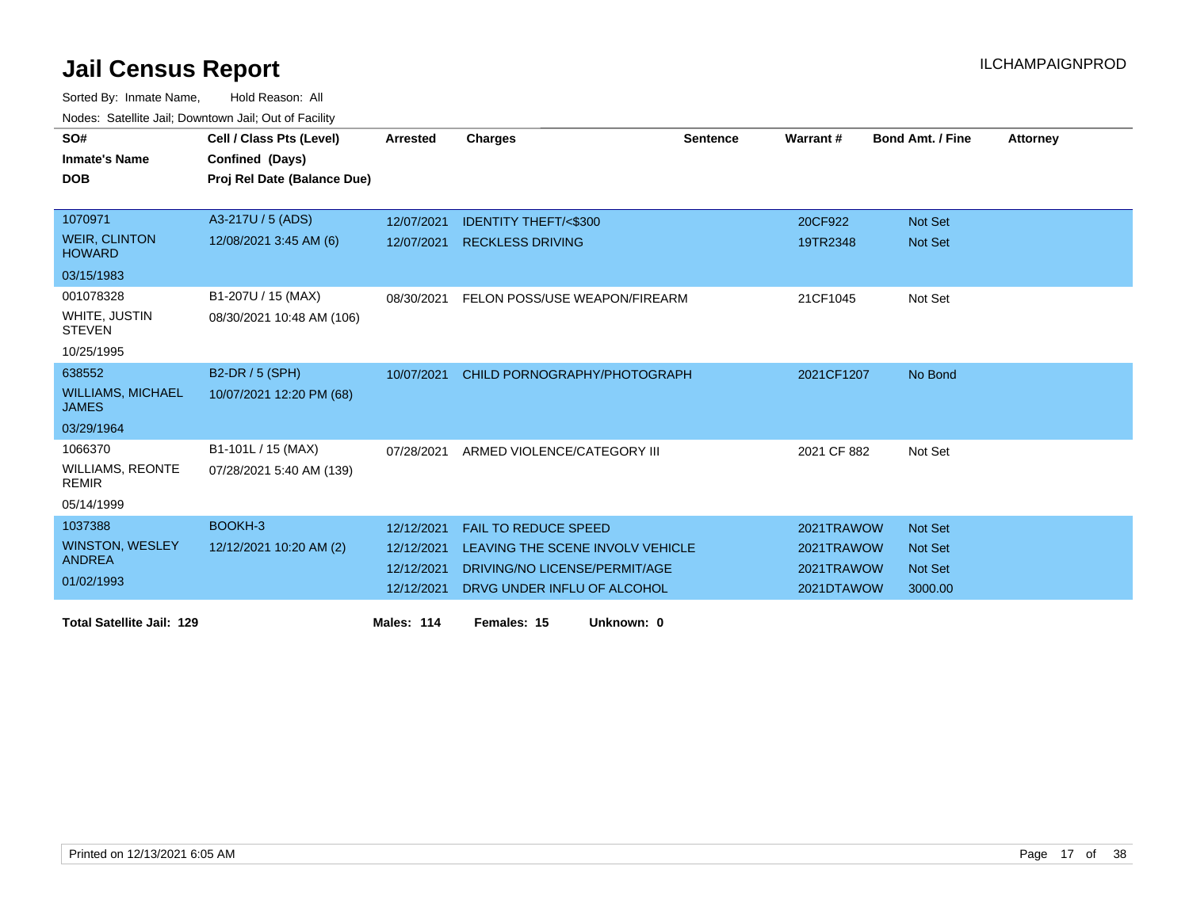| SO#                                      | Cell / Class Pts (Level)    | <b>Arrested</b> | <b>Charges</b>                   | <b>Sentence</b> | Warrant#    | <b>Bond Amt. / Fine</b> | <b>Attorney</b> |
|------------------------------------------|-----------------------------|-----------------|----------------------------------|-----------------|-------------|-------------------------|-----------------|
| <b>Inmate's Name</b>                     | Confined (Days)             |                 |                                  |                 |             |                         |                 |
| <b>DOB</b>                               | Proj Rel Date (Balance Due) |                 |                                  |                 |             |                         |                 |
|                                          |                             |                 |                                  |                 |             |                         |                 |
|                                          |                             |                 |                                  |                 |             |                         |                 |
| 1070971                                  | A3-217U / 5 (ADS)           | 12/07/2021      | <b>IDENTITY THEFT/&lt;\$300</b>  |                 | 20CF922     | <b>Not Set</b>          |                 |
| <b>WEIR, CLINTON</b><br><b>HOWARD</b>    | 12/08/2021 3:45 AM (6)      | 12/07/2021      | <b>RECKLESS DRIVING</b>          |                 | 19TR2348    | <b>Not Set</b>          |                 |
| 03/15/1983                               |                             |                 |                                  |                 |             |                         |                 |
| 001078328                                | B1-207U / 15 (MAX)          | 08/30/2021      | FELON POSS/USE WEAPON/FIREARM    |                 | 21CF1045    | Not Set                 |                 |
| WHITE, JUSTIN<br><b>STEVEN</b>           | 08/30/2021 10:48 AM (106)   |                 |                                  |                 |             |                         |                 |
| 10/25/1995                               |                             |                 |                                  |                 |             |                         |                 |
| 638552                                   | B2-DR / 5 (SPH)             | 10/07/2021      | CHILD PORNOGRAPHY/PHOTOGRAPH     |                 | 2021CF1207  | No Bond                 |                 |
| <b>WILLIAMS, MICHAEL</b><br><b>JAMES</b> | 10/07/2021 12:20 PM (68)    |                 |                                  |                 |             |                         |                 |
| 03/29/1964                               |                             |                 |                                  |                 |             |                         |                 |
| 1066370                                  | B1-101L / 15 (MAX)          | 07/28/2021      | ARMED VIOLENCE/CATEGORY III      |                 | 2021 CF 882 | Not Set                 |                 |
| <b>WILLIAMS, REONTE</b><br><b>REMIR</b>  | 07/28/2021 5:40 AM (139)    |                 |                                  |                 |             |                         |                 |
| 05/14/1999                               |                             |                 |                                  |                 |             |                         |                 |
| 1037388                                  | BOOKH-3                     | 12/12/2021      | <b>FAIL TO REDUCE SPEED</b>      |                 | 2021TRAWOW  | Not Set                 |                 |
| <b>WINSTON, WESLEY</b>                   | 12/12/2021 10:20 AM (2)     | 12/12/2021      | LEAVING THE SCENE INVOLV VEHICLE |                 | 2021TRAWOW  | <b>Not Set</b>          |                 |
| <b>ANDREA</b>                            |                             | 12/12/2021      | DRIVING/NO LICENSE/PERMIT/AGE    |                 | 2021TRAWOW  | <b>Not Set</b>          |                 |
| 01/02/1993                               |                             | 12/12/2021      | DRVG UNDER INFLU OF ALCOHOL      |                 | 2021DTAWOW  | 3000.00                 |                 |
|                                          |                             |                 |                                  |                 |             |                         |                 |
| <b>Total Satellite Jail: 129</b>         |                             | Males: 114      | Unknown: 0<br>Females: 15        |                 |             |                         |                 |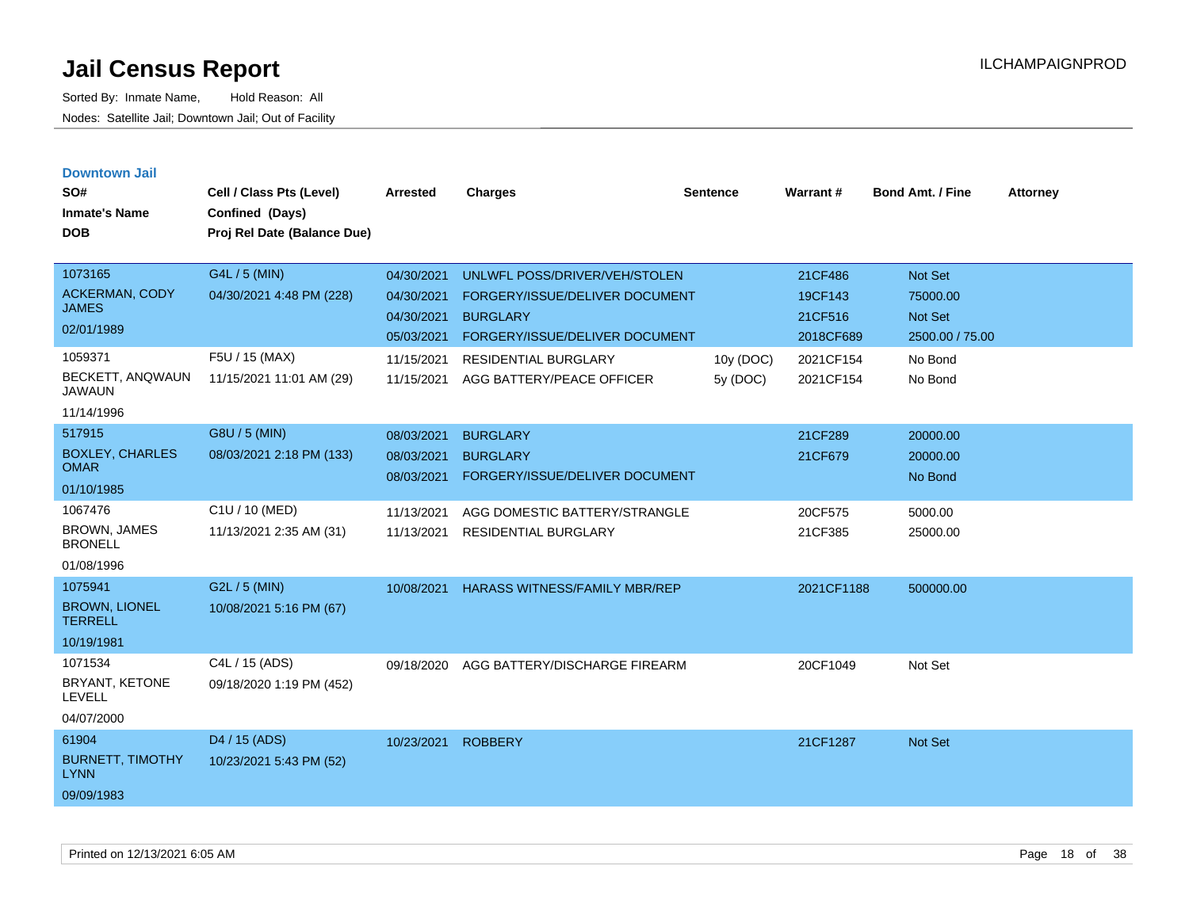| <b>Downtown Jail</b><br>SO#<br><b>Inmate's Name</b><br><b>DOB</b>                             | Cell / Class Pts (Level)<br>Confined (Days)<br>Proj Rel Date (Balance Due)              | <b>Arrested</b>                                                    | <b>Charges</b>                                                                                                                                      | <b>Sentence</b> | Warrant#                                                | <b>Bond Amt. / Fine</b>                                      | <b>Attorney</b> |
|-----------------------------------------------------------------------------------------------|-----------------------------------------------------------------------------------------|--------------------------------------------------------------------|-----------------------------------------------------------------------------------------------------------------------------------------------------|-----------------|---------------------------------------------------------|--------------------------------------------------------------|-----------------|
| 1073165<br><b>ACKERMAN, CODY</b><br><b>JAMES</b><br>02/01/1989<br>1059371<br>BECKETT, ANQWAUN | G4L / 5 (MIN)<br>04/30/2021 4:48 PM (228)<br>F5U / 15 (MAX)<br>11/15/2021 11:01 AM (29) | 04/30/2021<br>04/30/2021<br>04/30/2021<br>05/03/2021<br>11/15/2021 | UNLWFL POSS/DRIVER/VEH/STOLEN<br>FORGERY/ISSUE/DELIVER DOCUMENT<br><b>BURGLARY</b><br>FORGERY/ISSUE/DELIVER DOCUMENT<br><b>RESIDENTIAL BURGLARY</b> | 10y (DOC)       | 21CF486<br>19CF143<br>21CF516<br>2018CF689<br>2021CF154 | Not Set<br>75000.00<br>Not Set<br>2500.00 / 75.00<br>No Bond |                 |
| <b>JAWAUN</b><br>11/14/1996                                                                   |                                                                                         | 11/15/2021                                                         | AGG BATTERY/PEACE OFFICER                                                                                                                           | 5y (DOC)        | 2021CF154                                               | No Bond                                                      |                 |
| 517915<br><b>BOXLEY, CHARLES</b><br><b>OMAR</b><br>01/10/1985                                 | G8U / 5 (MIN)<br>08/03/2021 2:18 PM (133)                                               | 08/03/2021<br>08/03/2021<br>08/03/2021                             | <b>BURGLARY</b><br><b>BURGLARY</b><br>FORGERY/ISSUE/DELIVER DOCUMENT                                                                                |                 | 21CF289<br>21CF679                                      | 20000.00<br>20000.00<br>No Bond                              |                 |
| 1067476<br><b>BROWN, JAMES</b><br><b>BRONELL</b><br>01/08/1996                                | C1U / 10 (MED)<br>11/13/2021 2:35 AM (31)                                               | 11/13/2021<br>11/13/2021                                           | AGG DOMESTIC BATTERY/STRANGLE<br><b>RESIDENTIAL BURGLARY</b>                                                                                        |                 | 20CF575<br>21CF385                                      | 5000.00<br>25000.00                                          |                 |
| 1075941<br><b>BROWN, LIONEL</b><br><b>TERRELL</b><br>10/19/1981                               | G2L / 5 (MIN)<br>10/08/2021 5:16 PM (67)                                                | 10/08/2021                                                         | <b>HARASS WITNESS/FAMILY MBR/REP</b>                                                                                                                |                 | 2021CF1188                                              | 500000.00                                                    |                 |
| 1071534<br>BRYANT, KETONE<br><b>LEVELL</b><br>04/07/2000                                      | C4L / 15 (ADS)<br>09/18/2020 1:19 PM (452)                                              | 09/18/2020                                                         | AGG BATTERY/DISCHARGE FIREARM                                                                                                                       |                 | 20CF1049                                                | Not Set                                                      |                 |
| 61904<br><b>BURNETT, TIMOTHY</b><br><b>LYNN</b><br>09/09/1983                                 | D <sub>4</sub> / 15 (ADS)<br>10/23/2021 5:43 PM (52)                                    | 10/23/2021                                                         | <b>ROBBERY</b>                                                                                                                                      |                 | 21CF1287                                                | <b>Not Set</b>                                               |                 |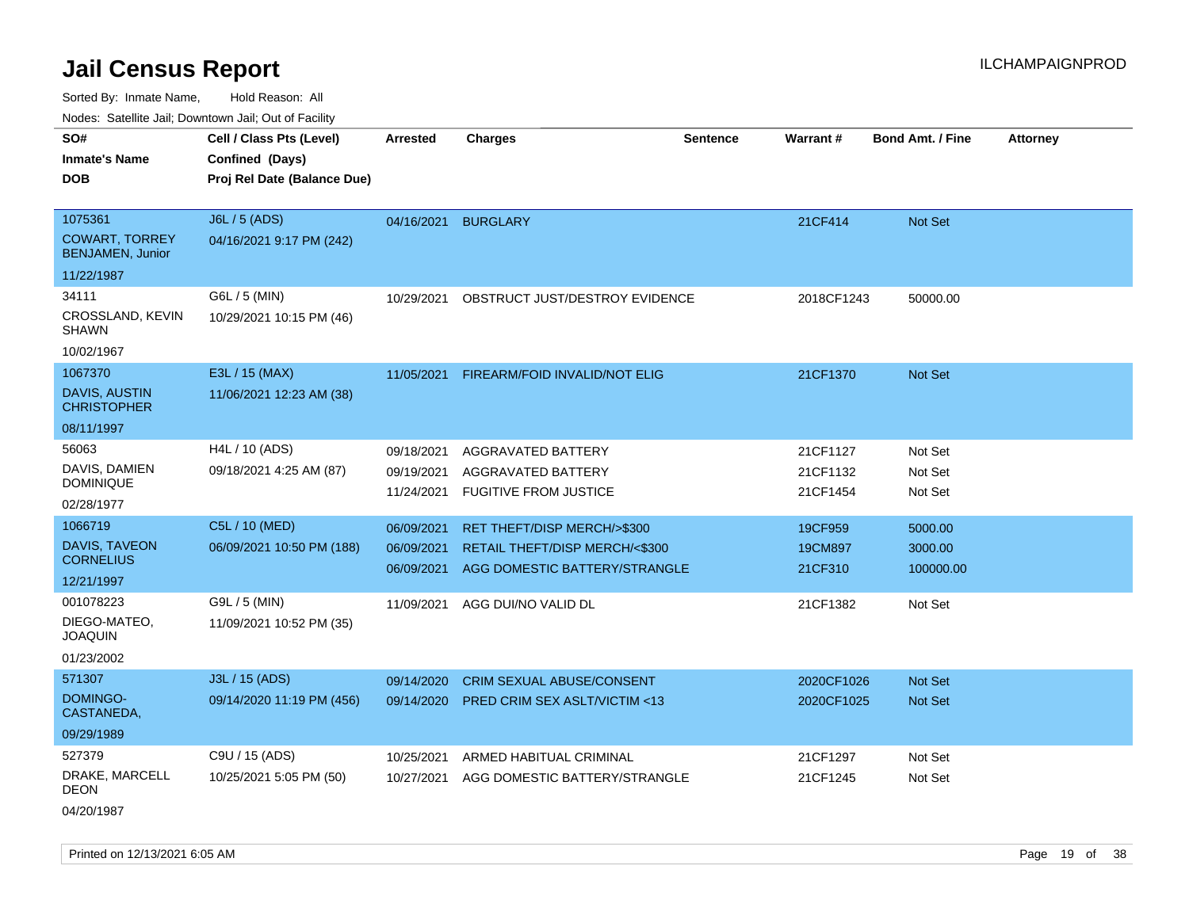Sorted By: Inmate Name, Hold Reason: All

Nodes: Satellite Jail; Downtown Jail; Out of Facility

| vouco. Catolino cali, Downtown cali, Out of Facility                  |                                                                            |                                        |                                                                                                |                 |                                  |                                 |                 |
|-----------------------------------------------------------------------|----------------------------------------------------------------------------|----------------------------------------|------------------------------------------------------------------------------------------------|-----------------|----------------------------------|---------------------------------|-----------------|
| SO#<br><b>Inmate's Name</b><br><b>DOB</b>                             | Cell / Class Pts (Level)<br>Confined (Days)<br>Proj Rel Date (Balance Due) | Arrested                               | <b>Charges</b>                                                                                 | <b>Sentence</b> | <b>Warrant#</b>                  | <b>Bond Amt. / Fine</b>         | <b>Attorney</b> |
| 1075361<br><b>COWART, TORREY</b><br>BENJAMEN, Junior                  | J6L / 5 (ADS)<br>04/16/2021 9:17 PM (242)                                  | 04/16/2021                             | <b>BURGLARY</b>                                                                                |                 | 21CF414                          | Not Set                         |                 |
| 11/22/1987<br>34111<br>CROSSLAND, KEVIN<br><b>SHAWN</b><br>10/02/1967 | G6L / 5 (MIN)<br>10/29/2021 10:15 PM (46)                                  | 10/29/2021                             | OBSTRUCT JUST/DESTROY EVIDENCE                                                                 |                 | 2018CF1243                       | 50000.00                        |                 |
| 1067370<br><b>DAVIS, AUSTIN</b><br><b>CHRISTOPHER</b><br>08/11/1997   | E3L / 15 (MAX)<br>11/06/2021 12:23 AM (38)                                 | 11/05/2021                             | FIREARM/FOID INVALID/NOT ELIG                                                                  |                 | 21CF1370                         | <b>Not Set</b>                  |                 |
| 56063<br>DAVIS, DAMIEN<br><b>DOMINIQUE</b><br>02/28/1977              | H4L / 10 (ADS)<br>09/18/2021 4:25 AM (87)                                  | 09/18/2021<br>09/19/2021<br>11/24/2021 | AGGRAVATED BATTERY<br>AGGRAVATED BATTERY<br><b>FUGITIVE FROM JUSTICE</b>                       |                 | 21CF1127<br>21CF1132<br>21CF1454 | Not Set<br>Not Set<br>Not Set   |                 |
| 1066719<br>DAVIS, TAVEON<br><b>CORNELIUS</b><br>12/21/1997            | C5L / 10 (MED)<br>06/09/2021 10:50 PM (188)                                | 06/09/2021<br>06/09/2021<br>06/09/2021 | RET THEFT/DISP MERCH/>\$300<br>RETAIL THEFT/DISP MERCH/<\$300<br>AGG DOMESTIC BATTERY/STRANGLE |                 | 19CF959<br>19CM897<br>21CF310    | 5000.00<br>3000.00<br>100000.00 |                 |
| 001078223<br>DIEGO-MATEO.<br><b>JOAQUIN</b><br>01/23/2002             | G9L / 5 (MIN)<br>11/09/2021 10:52 PM (35)                                  | 11/09/2021                             | AGG DUI/NO VALID DL                                                                            |                 | 21CF1382                         | Not Set                         |                 |
| 571307<br>DOMINGO-<br>CASTANEDA,<br>09/29/1989                        | J3L / 15 (ADS)<br>09/14/2020 11:19 PM (456)                                | 09/14/2020<br>09/14/2020               | CRIM SEXUAL ABUSE/CONSENT<br><b>PRED CRIM SEX ASLT/VICTIM &lt;13</b>                           |                 | 2020CF1026<br>2020CF1025         | Not Set<br><b>Not Set</b>       |                 |
| 527379<br>DRAKE, MARCELL<br><b>DEON</b>                               | C9U / 15 (ADS)<br>10/25/2021 5:05 PM (50)                                  | 10/25/2021<br>10/27/2021               | ARMED HABITUAL CRIMINAL<br>AGG DOMESTIC BATTERY/STRANGLE                                       |                 | 21CF1297<br>21CF1245             | Not Set<br>Not Set              |                 |

04/20/1987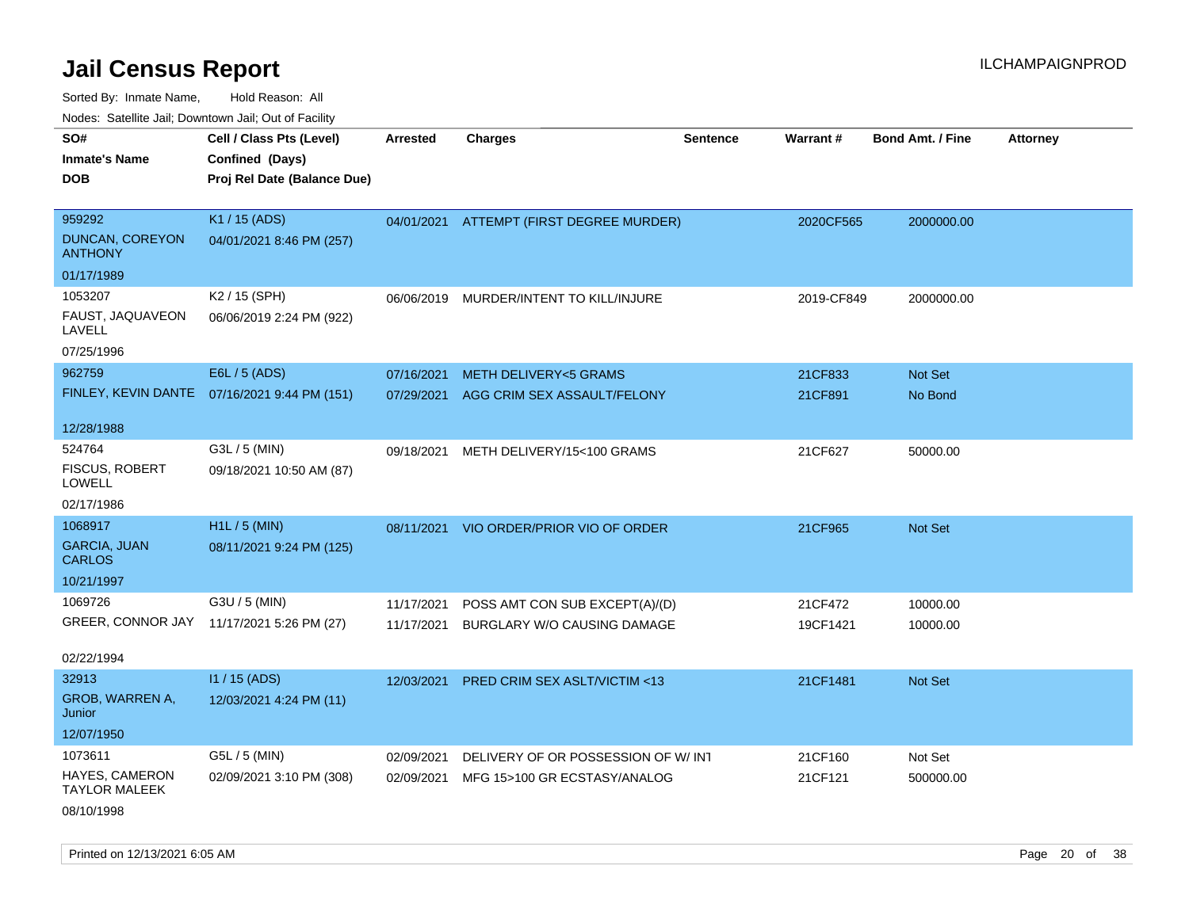Sorted By: Inmate Name, Hold Reason: All

Nodes: Satellite Jail; Downtown Jail; Out of Facility

| SO#<br><b>Inmate's Name</b><br><b>DOB</b> | Cell / Class Pts (Level)<br>Confined (Days)<br>Proj Rel Date (Balance Due) | <b>Arrested</b> | <b>Charges</b>                           | <b>Sentence</b> | <b>Warrant#</b> | <b>Bond Amt. / Fine</b> | <b>Attorney</b> |
|-------------------------------------------|----------------------------------------------------------------------------|-----------------|------------------------------------------|-----------------|-----------------|-------------------------|-----------------|
|                                           |                                                                            |                 |                                          |                 |                 |                         |                 |
| 959292                                    | K1 / 15 (ADS)                                                              |                 | 04/01/2021 ATTEMPT (FIRST DEGREE MURDER) |                 | 2020CF565       | 2000000.00              |                 |
| <b>DUNCAN, COREYON</b><br><b>ANTHONY</b>  | 04/01/2021 8:46 PM (257)                                                   |                 |                                          |                 |                 |                         |                 |
| 01/17/1989                                |                                                                            |                 |                                          |                 |                 |                         |                 |
| 1053207                                   | K2 / 15 (SPH)                                                              | 06/06/2019      | MURDER/INTENT TO KILL/INJURE             |                 | 2019-CF849      | 2000000.00              |                 |
| FAUST, JAQUAVEON<br>LAVELL                | 06/06/2019 2:24 PM (922)                                                   |                 |                                          |                 |                 |                         |                 |
| 07/25/1996                                |                                                                            |                 |                                          |                 |                 |                         |                 |
| 962759                                    | E6L / 5 (ADS)                                                              | 07/16/2021      | <b>METH DELIVERY&lt;5 GRAMS</b>          |                 | 21CF833         | <b>Not Set</b>          |                 |
|                                           | FINLEY, KEVIN DANTE  07/16/2021 9:44 PM (151)                              | 07/29/2021      | AGG CRIM SEX ASSAULT/FELONY              |                 | 21CF891         | No Bond                 |                 |
|                                           |                                                                            |                 |                                          |                 |                 |                         |                 |
| 12/28/1988                                |                                                                            |                 |                                          |                 |                 |                         |                 |
| 524764                                    | G3L / 5 (MIN)                                                              | 09/18/2021      | METH DELIVERY/15<100 GRAMS               |                 | 21CF627         | 50000.00                |                 |
| FISCUS, ROBERT<br>LOWELL                  | 09/18/2021 10:50 AM (87)                                                   |                 |                                          |                 |                 |                         |                 |
| 02/17/1986                                |                                                                            |                 |                                          |                 |                 |                         |                 |
| 1068917                                   | $H1L / 5$ (MIN)                                                            | 08/11/2021      | VIO ORDER/PRIOR VIO OF ORDER             |                 | 21CF965         | Not Set                 |                 |
| <b>GARCIA, JUAN</b><br><b>CARLOS</b>      | 08/11/2021 9:24 PM (125)                                                   |                 |                                          |                 |                 |                         |                 |
| 10/21/1997                                |                                                                            |                 |                                          |                 |                 |                         |                 |
| 1069726                                   | G3U / 5 (MIN)                                                              | 11/17/2021      | POSS AMT CON SUB EXCEPT(A)/(D)           |                 | 21CF472         | 10000.00                |                 |
|                                           | GREER, CONNOR JAY 11/17/2021 5:26 PM (27)                                  |                 | 11/17/2021 BURGLARY W/O CAUSING DAMAGE   |                 | 19CF1421        | 10000.00                |                 |
|                                           |                                                                            |                 |                                          |                 |                 |                         |                 |
| 02/22/1994                                |                                                                            |                 |                                          |                 |                 |                         |                 |
| 32913                                     | $11/15$ (ADS)                                                              | 12/03/2021      | <b>PRED CRIM SEX ASLT/VICTIM &lt;13</b>  |                 | 21CF1481        | <b>Not Set</b>          |                 |
| GROB, WARREN A,<br>Junior                 | 12/03/2021 4:24 PM (11)                                                    |                 |                                          |                 |                 |                         |                 |
| 12/07/1950                                |                                                                            |                 |                                          |                 |                 |                         |                 |
| 1073611                                   | G5L / 5 (MIN)                                                              | 02/09/2021      | DELIVERY OF OR POSSESSION OF W/ INT      |                 | 21CF160         | Not Set                 |                 |
| HAYES, CAMERON<br><b>TAYLOR MALEEK</b>    | 02/09/2021 3:10 PM (308)                                                   | 02/09/2021      | MFG 15>100 GR ECSTASY/ANALOG             |                 | 21CF121         | 500000.00               |                 |
|                                           |                                                                            |                 |                                          |                 |                 |                         |                 |

08/10/1998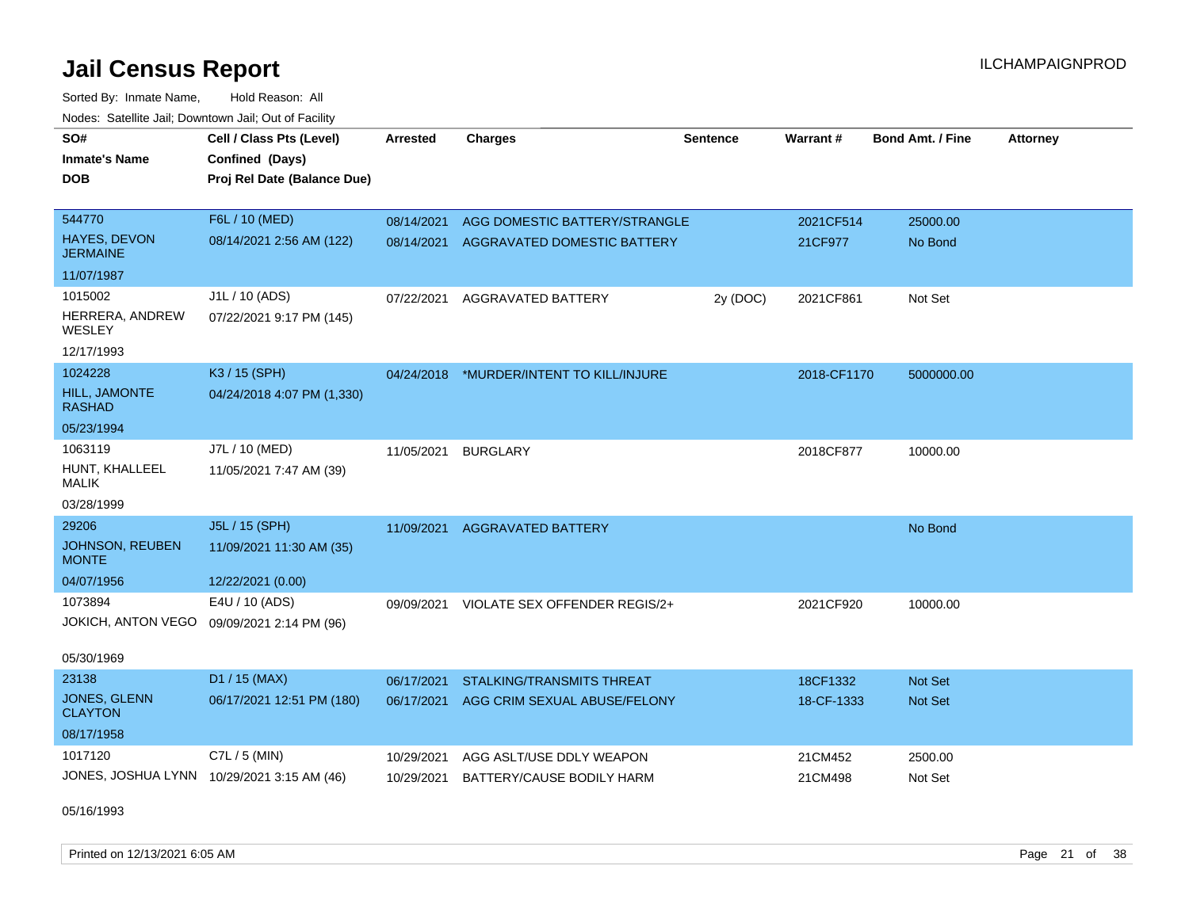Sorted By: Inmate Name, Hold Reason: All Nodes: Satellite Jail; Downtown Jail; Out of Facility

| SO#                                    | Cell / Class Pts (Level)                   | <b>Arrested</b> | <b>Charges</b>                           | <b>Sentence</b> | <b>Warrant#</b> | <b>Bond Amt. / Fine</b> | <b>Attorney</b> |
|----------------------------------------|--------------------------------------------|-----------------|------------------------------------------|-----------------|-----------------|-------------------------|-----------------|
| <b>Inmate's Name</b>                   | Confined (Days)                            |                 |                                          |                 |                 |                         |                 |
| <b>DOB</b>                             | Proj Rel Date (Balance Due)                |                 |                                          |                 |                 |                         |                 |
|                                        |                                            |                 |                                          |                 |                 |                         |                 |
| 544770                                 | F6L / 10 (MED)                             | 08/14/2021      | AGG DOMESTIC BATTERY/STRANGLE            |                 | 2021CF514       | 25000.00                |                 |
| <b>HAYES, DEVON</b><br><b>JERMAINE</b> | 08/14/2021 2:56 AM (122)                   | 08/14/2021      | <b>AGGRAVATED DOMESTIC BATTERY</b>       |                 | 21CF977         | No Bond                 |                 |
| 11/07/1987                             |                                            |                 |                                          |                 |                 |                         |                 |
| 1015002                                | J1L / 10 (ADS)                             | 07/22/2021      | AGGRAVATED BATTERY                       | 2y (DOC)        | 2021CF861       | Not Set                 |                 |
| HERRERA, ANDREW<br><b>WESLEY</b>       | 07/22/2021 9:17 PM (145)                   |                 |                                          |                 |                 |                         |                 |
| 12/17/1993                             |                                            |                 |                                          |                 |                 |                         |                 |
| 1024228                                | K3 / 15 (SPH)                              |                 | 04/24/2018 *MURDER/INTENT TO KILL/INJURE |                 | 2018-CF1170     | 5000000.00              |                 |
| HILL, JAMONTE<br><b>RASHAD</b>         | 04/24/2018 4:07 PM (1,330)                 |                 |                                          |                 |                 |                         |                 |
| 05/23/1994                             |                                            |                 |                                          |                 |                 |                         |                 |
| 1063119                                | J7L / 10 (MED)                             | 11/05/2021      | <b>BURGLARY</b>                          |                 | 2018CF877       | 10000.00                |                 |
| HUNT, KHALLEEL<br><b>MALIK</b>         | 11/05/2021 7:47 AM (39)                    |                 |                                          |                 |                 |                         |                 |
| 03/28/1999                             |                                            |                 |                                          |                 |                 |                         |                 |
| 29206                                  | J5L / 15 (SPH)                             | 11/09/2021      | <b>AGGRAVATED BATTERY</b>                |                 |                 | No Bond                 |                 |
| JOHNSON, REUBEN<br><b>MONTE</b>        | 11/09/2021 11:30 AM (35)                   |                 |                                          |                 |                 |                         |                 |
| 04/07/1956                             | 12/22/2021 (0.00)                          |                 |                                          |                 |                 |                         |                 |
| 1073894                                | E4U / 10 (ADS)                             | 09/09/2021      | VIOLATE SEX OFFENDER REGIS/2+            |                 | 2021CF920       | 10000.00                |                 |
| <b>JOKICH, ANTON VEGO</b>              | 09/09/2021 2:14 PM (96)                    |                 |                                          |                 |                 |                         |                 |
| 05/30/1969                             |                                            |                 |                                          |                 |                 |                         |                 |
| 23138                                  | D1 / 15 (MAX)                              | 06/17/2021      | <b>STALKING/TRANSMITS THREAT</b>         |                 | 18CF1332        | <b>Not Set</b>          |                 |
| JONES, GLENN<br><b>CLAYTON</b>         | 06/17/2021 12:51 PM (180)                  | 06/17/2021      | AGG CRIM SEXUAL ABUSE/FELONY             |                 | 18-CF-1333      | Not Set                 |                 |
| 08/17/1958                             |                                            |                 |                                          |                 |                 |                         |                 |
| 1017120                                | C7L / 5 (MIN)                              | 10/29/2021      | AGG ASLT/USE DDLY WEAPON                 |                 | 21CM452         | 2500.00                 |                 |
|                                        | JONES, JOSHUA LYNN 10/29/2021 3:15 AM (46) | 10/29/2021      | BATTERY/CAUSE BODILY HARM                |                 | 21CM498         | Not Set                 |                 |

05/16/1993

Printed on 12/13/2021 6:05 AM Page 21 of 38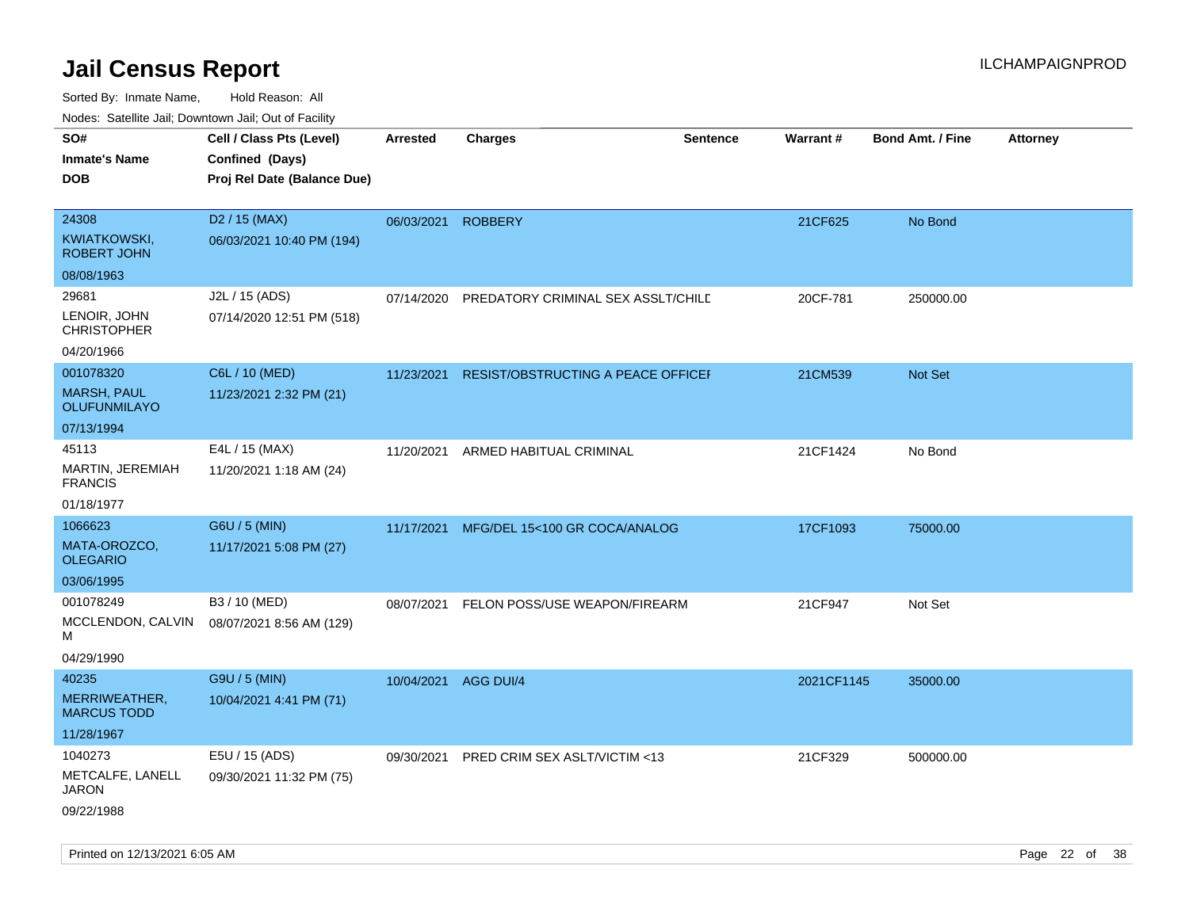| 110a00. 0atomto 0an, Domntonn 0an, 0at 011 aont,<br>SO#<br><b>Inmate's Name</b><br><b>DOB</b> | Cell / Class Pts (Level)<br>Confined (Days)<br>Proj Rel Date (Balance Due) | Arrested             | <b>Charges</b>                     | <b>Sentence</b> | <b>Warrant#</b> | <b>Bond Amt. / Fine</b> | <b>Attorney</b> |
|-----------------------------------------------------------------------------------------------|----------------------------------------------------------------------------|----------------------|------------------------------------|-----------------|-----------------|-------------------------|-----------------|
| 24308<br><b>KWIATKOWSKI,</b><br><b>ROBERT JOHN</b>                                            | D <sub>2</sub> / 15 (MAX)<br>06/03/2021 10:40 PM (194)                     | 06/03/2021           | <b>ROBBERY</b>                     |                 | 21CF625         | No Bond                 |                 |
| 08/08/1963                                                                                    |                                                                            |                      |                                    |                 |                 |                         |                 |
| 29681<br>LENOIR, JOHN<br><b>CHRISTOPHER</b>                                                   | J2L / 15 (ADS)<br>07/14/2020 12:51 PM (518)                                | 07/14/2020           | PREDATORY CRIMINAL SEX ASSLT/CHILD |                 | 20CF-781        | 250000.00               |                 |
| 04/20/1966                                                                                    |                                                                            |                      |                                    |                 |                 |                         |                 |
| 001078320<br><b>MARSH, PAUL</b><br><b>OLUFUNMILAYO</b>                                        | C6L / 10 (MED)<br>11/23/2021 2:32 PM (21)                                  | 11/23/2021           | RESIST/OBSTRUCTING A PEACE OFFICEF |                 | 21CM539         | <b>Not Set</b>          |                 |
| 07/13/1994                                                                                    |                                                                            |                      |                                    |                 |                 |                         |                 |
| 45113<br>MARTIN, JEREMIAH<br><b>FRANCIS</b>                                                   | E4L / 15 (MAX)<br>11/20/2021 1:18 AM (24)                                  | 11/20/2021           | ARMED HABITUAL CRIMINAL            |                 | 21CF1424        | No Bond                 |                 |
| 01/18/1977                                                                                    |                                                                            |                      |                                    |                 |                 |                         |                 |
| 1066623                                                                                       | G6U / 5 (MIN)                                                              | 11/17/2021           | MFG/DEL 15<100 GR COCA/ANALOG      |                 | 17CF1093        | 75000.00                |                 |
| MATA-OROZCO,<br><b>OLEGARIO</b>                                                               | 11/17/2021 5:08 PM (27)                                                    |                      |                                    |                 |                 |                         |                 |
| 03/06/1995                                                                                    |                                                                            |                      |                                    |                 |                 |                         |                 |
| 001078249<br>MCCLENDON, CALVIN<br>М                                                           | B3 / 10 (MED)<br>08/07/2021 8:56 AM (129)                                  | 08/07/2021           | FELON POSS/USE WEAPON/FIREARM      |                 | 21CF947         | Not Set                 |                 |
| 04/29/1990                                                                                    |                                                                            |                      |                                    |                 |                 |                         |                 |
| 40235<br>MERRIWEATHER,<br><b>MARCUS TODD</b><br>11/28/1967                                    | G9U / 5 (MIN)<br>10/04/2021 4:41 PM (71)                                   | 10/04/2021 AGG DUI/4 |                                    |                 | 2021CF1145      | 35000.00                |                 |
| 1040273                                                                                       | E5U / 15 (ADS)                                                             |                      |                                    |                 |                 |                         |                 |
| METCALFE, LANELL<br>JARON<br>09/22/1988                                                       | 09/30/2021 11:32 PM (75)                                                   | 09/30/2021           | PRED CRIM SEX ASLT/VICTIM <13      |                 | 21CF329         | 500000.00               |                 |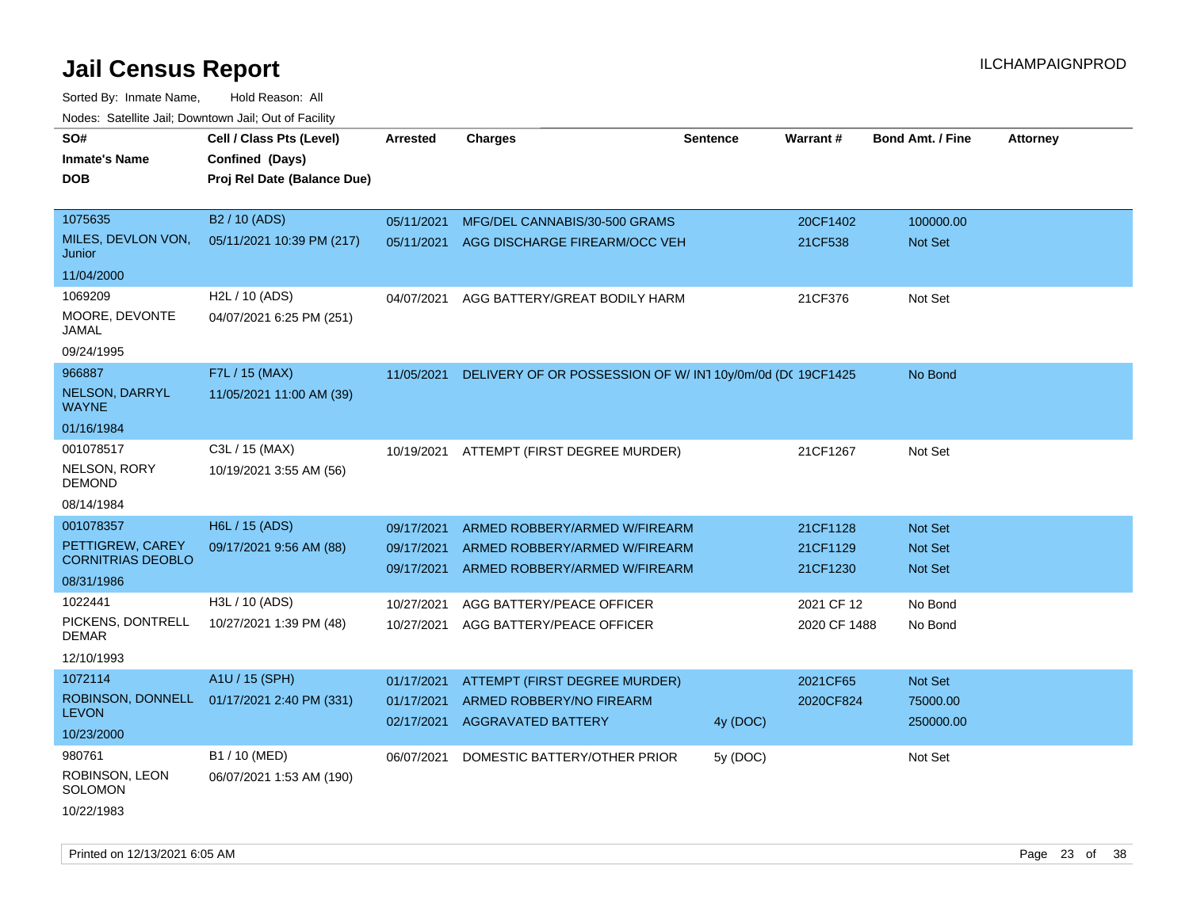| Noues. Sateme Jan, Downtown Jan, Out of Facility |                             |                          |                                                                |                 |                      |                           |                 |
|--------------------------------------------------|-----------------------------|--------------------------|----------------------------------------------------------------|-----------------|----------------------|---------------------------|-----------------|
| SO#                                              | Cell / Class Pts (Level)    | <b>Arrested</b>          | <b>Charges</b>                                                 | <b>Sentence</b> | Warrant#             | <b>Bond Amt. / Fine</b>   | <b>Attorney</b> |
| <b>Inmate's Name</b>                             | Confined (Days)             |                          |                                                                |                 |                      |                           |                 |
| DOB                                              | Proj Rel Date (Balance Due) |                          |                                                                |                 |                      |                           |                 |
|                                                  |                             |                          |                                                                |                 |                      |                           |                 |
| 1075635                                          | B <sub>2</sub> / 10 (ADS)   | 05/11/2021               | MFG/DEL CANNABIS/30-500 GRAMS                                  |                 | 20CF1402             | 100000.00                 |                 |
| MILES, DEVLON VON,<br>Junior                     | 05/11/2021 10:39 PM (217)   | 05/11/2021               | AGG DISCHARGE FIREARM/OCC VEH                                  |                 | 21CF538              | Not Set                   |                 |
| 11/04/2000                                       |                             |                          |                                                                |                 |                      |                           |                 |
| 1069209                                          | H <sub>2</sub> L / 10 (ADS) | 04/07/2021               | AGG BATTERY/GREAT BODILY HARM                                  |                 | 21CF376              | Not Set                   |                 |
| MOORE, DEVONTE<br>JAMAL                          | 04/07/2021 6:25 PM (251)    |                          |                                                                |                 |                      |                           |                 |
| 09/24/1995                                       |                             |                          |                                                                |                 |                      |                           |                 |
| 966887                                           | F7L / 15 (MAX)              | 11/05/2021               | DELIVERY OF OR POSSESSION OF W/IN110y/0m/0d (DC 19CF1425       |                 |                      | No Bond                   |                 |
| NELSON, DARRYL<br><b>WAYNE</b>                   | 11/05/2021 11:00 AM (39)    |                          |                                                                |                 |                      |                           |                 |
| 01/16/1984                                       |                             |                          |                                                                |                 |                      |                           |                 |
| 001078517                                        | C3L / 15 (MAX)              | 10/19/2021               | ATTEMPT (FIRST DEGREE MURDER)                                  |                 | 21CF1267             | Not Set                   |                 |
| NELSON, RORY<br>DEMOND                           | 10/19/2021 3:55 AM (56)     |                          |                                                                |                 |                      |                           |                 |
| 08/14/1984                                       |                             |                          |                                                                |                 |                      |                           |                 |
| 001078357                                        | H6L / 15 (ADS)              | 09/17/2021               | ARMED ROBBERY/ARMED W/FIREARM                                  |                 | 21CF1128             | <b>Not Set</b>            |                 |
| PETTIGREW, CAREY<br><b>CORNITRIAS DEOBLO</b>     | 09/17/2021 9:56 AM (88)     | 09/17/2021<br>09/17/2021 | ARMED ROBBERY/ARMED W/FIREARM<br>ARMED ROBBERY/ARMED W/FIREARM |                 | 21CF1129<br>21CF1230 | <b>Not Set</b><br>Not Set |                 |
| 08/31/1986                                       |                             |                          |                                                                |                 |                      |                           |                 |
| 1022441                                          | H3L / 10 (ADS)              | 10/27/2021               | AGG BATTERY/PEACE OFFICER                                      |                 | 2021 CF 12           | No Bond                   |                 |
| PICKENS, DONTRELL<br>DEMAR                       | 10/27/2021 1:39 PM (48)     | 10/27/2021               | AGG BATTERY/PEACE OFFICER                                      |                 | 2020 CF 1488         | No Bond                   |                 |
| 12/10/1993                                       |                             |                          |                                                                |                 |                      |                           |                 |
| 1072114                                          | A1U / 15 (SPH)              | 01/17/2021               | ATTEMPT (FIRST DEGREE MURDER)                                  |                 | 2021CF65             | Not Set                   |                 |
| ROBINSON, DONNELL                                | 01/17/2021 2:40 PM (331)    | 01/17/2021               | ARMED ROBBERY/NO FIREARM                                       |                 | 2020CF824            | 75000.00                  |                 |
| <b>LEVON</b>                                     |                             | 02/17/2021               | <b>AGGRAVATED BATTERY</b>                                      | 4y (DOC)        |                      | 250000.00                 |                 |
| 10/23/2000                                       |                             |                          |                                                                |                 |                      |                           |                 |
| 980761                                           | B1 / 10 (MED)               | 06/07/2021               | DOMESTIC BATTERY/OTHER PRIOR                                   | 5y (DOC)        |                      | Not Set                   |                 |
| ROBINSON, LEON<br>SOLOMON                        | 06/07/2021 1:53 AM (190)    |                          |                                                                |                 |                      |                           |                 |
| 10/22/1983                                       |                             |                          |                                                                |                 |                      |                           |                 |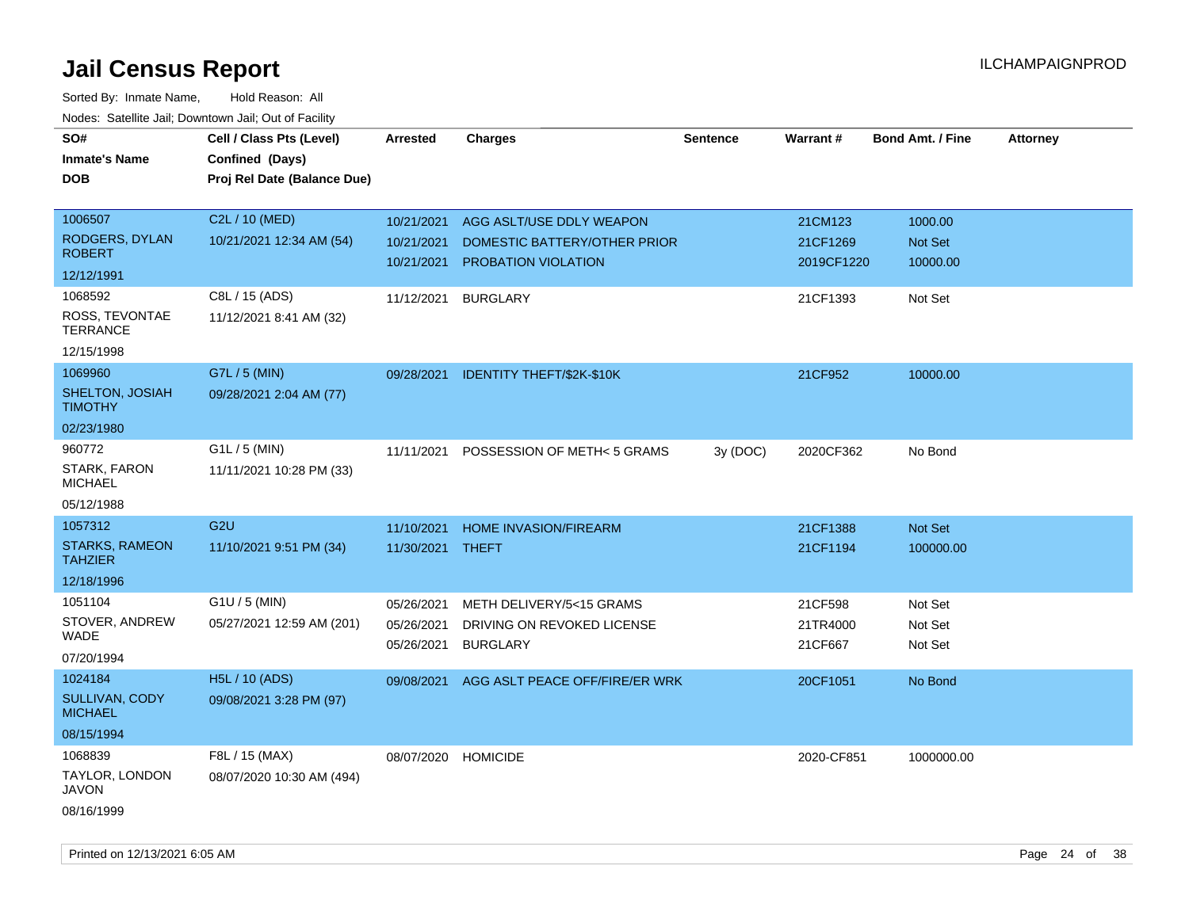| SO#<br><b>Inmate's Name</b><br><b>DOB</b> | Cell / Class Pts (Level)<br>Confined (Days)<br>Proj Rel Date (Balance Due) | <b>Arrested</b>     | <b>Charges</b>                 | <b>Sentence</b> | Warrant#   | <b>Bond Amt. / Fine</b> | <b>Attorney</b> |
|-------------------------------------------|----------------------------------------------------------------------------|---------------------|--------------------------------|-----------------|------------|-------------------------|-----------------|
|                                           |                                                                            |                     |                                |                 |            |                         |                 |
| 1006507                                   | C2L / 10 (MED)                                                             | 10/21/2021          | AGG ASLT/USE DDLY WEAPON       |                 | 21CM123    | 1000.00                 |                 |
| <b>RODGERS, DYLAN</b>                     | 10/21/2021 12:34 AM (54)                                                   | 10/21/2021          | DOMESTIC BATTERY/OTHER PRIOR   |                 | 21CF1269   | Not Set                 |                 |
| <b>ROBERT</b>                             |                                                                            | 10/21/2021          | PROBATION VIOLATION            |                 | 2019CF1220 | 10000.00                |                 |
| 12/12/1991                                |                                                                            |                     |                                |                 |            |                         |                 |
| 1068592                                   | C8L / 15 (ADS)                                                             | 11/12/2021          | <b>BURGLARY</b>                |                 | 21CF1393   | Not Set                 |                 |
| ROSS, TEVONTAE<br><b>TERRANCE</b>         | 11/12/2021 8:41 AM (32)                                                    |                     |                                |                 |            |                         |                 |
| 12/15/1998                                |                                                                            |                     |                                |                 |            |                         |                 |
| 1069960                                   | G7L / 5 (MIN)                                                              | 09/28/2021          | IDENTITY THEFT/\$2K-\$10K      |                 | 21CF952    | 10000.00                |                 |
| SHELTON, JOSIAH<br><b>TIMOTHY</b>         | 09/28/2021 2:04 AM (77)                                                    |                     |                                |                 |            |                         |                 |
| 02/23/1980                                |                                                                            |                     |                                |                 |            |                         |                 |
| 960772                                    | $G1L / 5$ (MIN)                                                            | 11/11/2021          | POSSESSION OF METH< 5 GRAMS    | 3y (DOC)        | 2020CF362  | No Bond                 |                 |
| <b>STARK, FARON</b><br><b>MICHAEL</b>     | 11/11/2021 10:28 PM (33)                                                   |                     |                                |                 |            |                         |                 |
| 05/12/1988                                |                                                                            |                     |                                |                 |            |                         |                 |
| 1057312                                   | G <sub>2U</sub>                                                            | 11/10/2021          | <b>HOME INVASION/FIREARM</b>   |                 | 21CF1388   | Not Set                 |                 |
| <b>STARKS, RAMEON</b><br><b>TAHZIER</b>   | 11/10/2021 9:51 PM (34)                                                    | 11/30/2021 THEFT    |                                |                 | 21CF1194   | 100000.00               |                 |
| 12/18/1996                                |                                                                            |                     |                                |                 |            |                         |                 |
| 1051104                                   | G1U / 5 (MIN)                                                              | 05/26/2021          | METH DELIVERY/5<15 GRAMS       |                 | 21CF598    | Not Set                 |                 |
| STOVER, ANDREW                            | 05/27/2021 12:59 AM (201)                                                  | 05/26/2021          | DRIVING ON REVOKED LICENSE     |                 | 21TR4000   | Not Set                 |                 |
| WADE                                      |                                                                            | 05/26/2021          | <b>BURGLARY</b>                |                 | 21CF667    | Not Set                 |                 |
| 07/20/1994                                |                                                                            |                     |                                |                 |            |                         |                 |
| 1024184                                   | H5L / 10 (ADS)                                                             | 09/08/2021          | AGG ASLT PEACE OFF/FIRE/ER WRK |                 | 20CF1051   | No Bond                 |                 |
| <b>SULLIVAN, CODY</b><br><b>MICHAEL</b>   | 09/08/2021 3:28 PM (97)                                                    |                     |                                |                 |            |                         |                 |
| 08/15/1994                                |                                                                            |                     |                                |                 |            |                         |                 |
| 1068839                                   | F8L / 15 (MAX)                                                             | 08/07/2020 HOMICIDE |                                |                 | 2020-CF851 | 1000000.00              |                 |
| TAYLOR, LONDON<br><b>JAVON</b>            | 08/07/2020 10:30 AM (494)                                                  |                     |                                |                 |            |                         |                 |
| 08/16/1999                                |                                                                            |                     |                                |                 |            |                         |                 |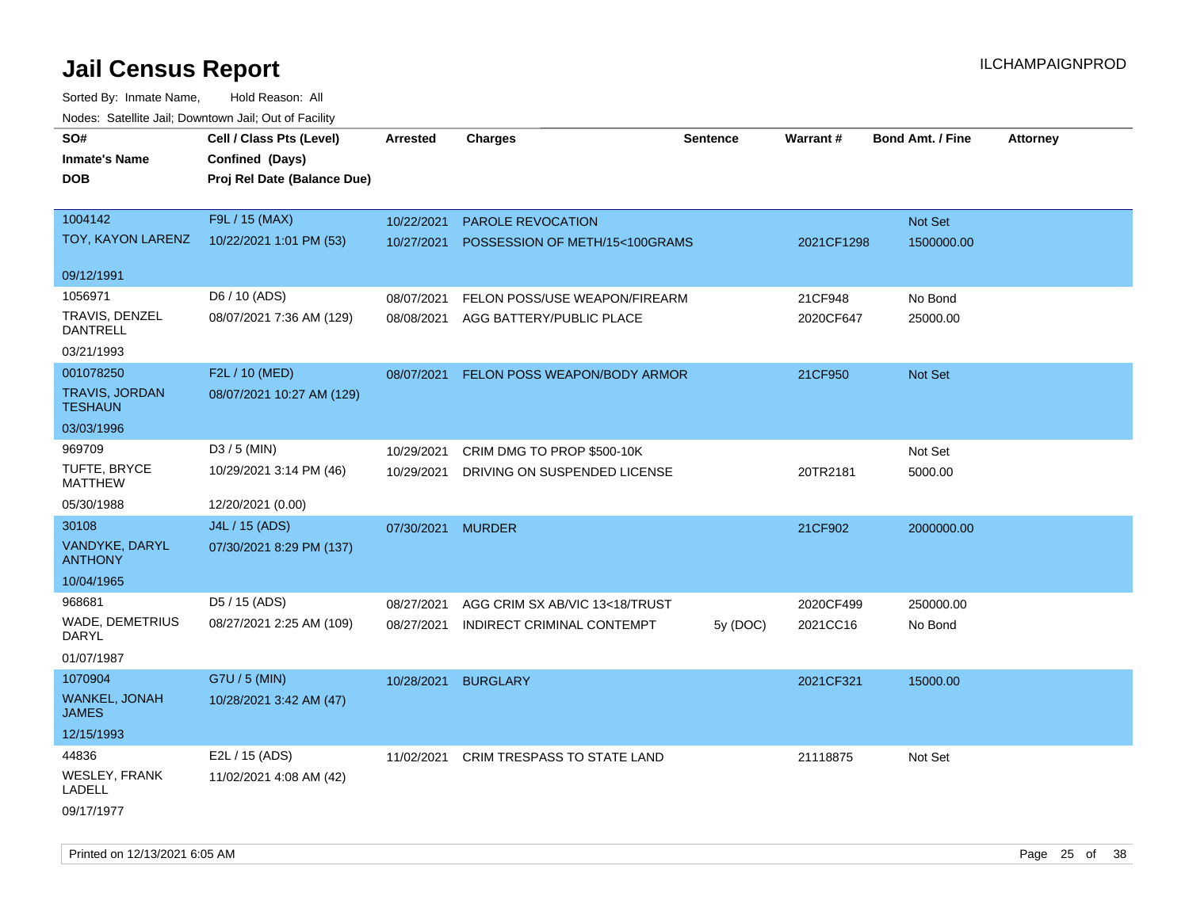| roaco. Oatomto dan, Downtown dan, Oat or Fability |                             |                 |                                |                 |            |                         |                 |
|---------------------------------------------------|-----------------------------|-----------------|--------------------------------|-----------------|------------|-------------------------|-----------------|
| SO#                                               | Cell / Class Pts (Level)    | <b>Arrested</b> | <b>Charges</b>                 | <b>Sentence</b> | Warrant#   | <b>Bond Amt. / Fine</b> | <b>Attorney</b> |
| <b>Inmate's Name</b>                              | Confined (Days)             |                 |                                |                 |            |                         |                 |
| <b>DOB</b>                                        | Proj Rel Date (Balance Due) |                 |                                |                 |            |                         |                 |
|                                                   |                             |                 |                                |                 |            |                         |                 |
| 1004142                                           | F9L / 15 (MAX)              | 10/22/2021      | PAROLE REVOCATION              |                 |            | Not Set                 |                 |
| TOY, KAYON LARENZ                                 | 10/22/2021 1:01 PM (53)     | 10/27/2021      | POSSESSION OF METH/15<100GRAMS |                 | 2021CF1298 | 1500000.00              |                 |
|                                                   |                             |                 |                                |                 |            |                         |                 |
| 09/12/1991                                        |                             |                 |                                |                 |            |                         |                 |
| 1056971                                           | D6 / 10 (ADS)               | 08/07/2021      | FELON POSS/USE WEAPON/FIREARM  |                 | 21CF948    | No Bond                 |                 |
| TRAVIS, DENZEL                                    | 08/07/2021 7:36 AM (129)    | 08/08/2021      | AGG BATTERY/PUBLIC PLACE       |                 | 2020CF647  | 25000.00                |                 |
| <b>DANTRELL</b>                                   |                             |                 |                                |                 |            |                         |                 |
| 03/21/1993                                        |                             |                 |                                |                 |            |                         |                 |
| 001078250                                         | F2L / 10 (MED)              | 08/07/2021      | FELON POSS WEAPON/BODY ARMOR   |                 | 21CF950    | Not Set                 |                 |
| TRAVIS, JORDAN<br><b>TESHAUN</b>                  | 08/07/2021 10:27 AM (129)   |                 |                                |                 |            |                         |                 |
| 03/03/1996                                        |                             |                 |                                |                 |            |                         |                 |
| 969709                                            | D3 / 5 (MIN)                | 10/29/2021      | CRIM DMG TO PROP \$500-10K     |                 |            | Not Set                 |                 |
| TUFTE, BRYCE                                      | 10/29/2021 3:14 PM (46)     | 10/29/2021      | DRIVING ON SUSPENDED LICENSE   |                 | 20TR2181   | 5000.00                 |                 |
| <b>MATTHEW</b>                                    |                             |                 |                                |                 |            |                         |                 |
| 05/30/1988                                        | 12/20/2021 (0.00)           |                 |                                |                 |            |                         |                 |
| 30108                                             | J4L / 15 (ADS)              | 07/30/2021      | <b>MURDER</b>                  |                 | 21CF902    | 2000000.00              |                 |
| VANDYKE, DARYL<br><b>ANTHONY</b>                  | 07/30/2021 8:29 PM (137)    |                 |                                |                 |            |                         |                 |
| 10/04/1965                                        |                             |                 |                                |                 |            |                         |                 |
| 968681                                            | D5 / 15 (ADS)               | 08/27/2021      | AGG CRIM SX AB/VIC 13<18/TRUST |                 | 2020CF499  | 250000.00               |                 |
| WADE, DEMETRIUS                                   | 08/27/2021 2:25 AM (109)    | 08/27/2021      | INDIRECT CRIMINAL CONTEMPT     | 5y (DOC)        | 2021CC16   | No Bond                 |                 |
| DARYL                                             |                             |                 |                                |                 |            |                         |                 |
| 01/07/1987                                        |                             |                 |                                |                 |            |                         |                 |
| 1070904                                           | G7U / 5 (MIN)               | 10/28/2021      | <b>BURGLARY</b>                |                 | 2021CF321  | 15000.00                |                 |
| WANKEL, JONAH<br><b>JAMES</b>                     | 10/28/2021 3:42 AM (47)     |                 |                                |                 |            |                         |                 |
| 12/15/1993                                        |                             |                 |                                |                 |            |                         |                 |
| 44836                                             | E2L / 15 (ADS)              | 11/02/2021      | CRIM TRESPASS TO STATE LAND    |                 | 21118875   | Not Set                 |                 |
| WESLEY, FRANK<br><b>LADELL</b>                    | 11/02/2021 4:08 AM (42)     |                 |                                |                 |            |                         |                 |
| 09/17/1977                                        |                             |                 |                                |                 |            |                         |                 |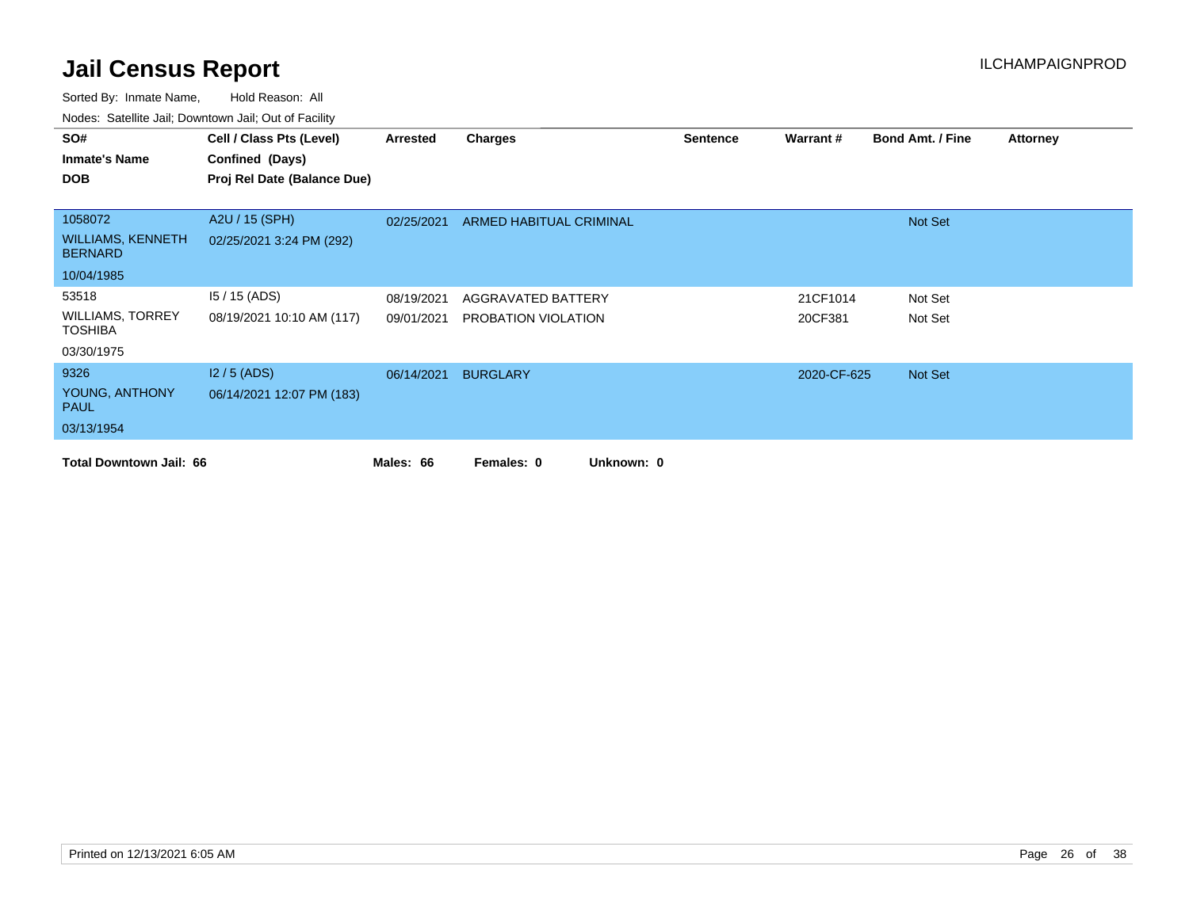| SO#                                        | Cell / Class Pts (Level)    | Arrested   | <b>Charges</b>           | <b>Sentence</b> | Warrant#    | <b>Bond Amt. / Fine</b> | <b>Attorney</b> |
|--------------------------------------------|-----------------------------|------------|--------------------------|-----------------|-------------|-------------------------|-----------------|
| <b>Inmate's Name</b>                       | Confined (Days)             |            |                          |                 |             |                         |                 |
| <b>DOB</b>                                 | Proj Rel Date (Balance Due) |            |                          |                 |             |                         |                 |
|                                            |                             |            |                          |                 |             |                         |                 |
| 1058072                                    | A2U / 15 (SPH)              | 02/25/2021 | ARMED HABITUAL CRIMINAL  |                 |             | Not Set                 |                 |
| <b>WILLIAMS, KENNETH</b><br><b>BERNARD</b> | 02/25/2021 3:24 PM (292)    |            |                          |                 |             |                         |                 |
| 10/04/1985                                 |                             |            |                          |                 |             |                         |                 |
| 53518                                      | $15/15$ (ADS)               | 08/19/2021 | AGGRAVATED BATTERY       |                 | 21CF1014    | Not Set                 |                 |
| <b>WILLIAMS, TORREY</b><br><b>TOSHIBA</b>  | 08/19/2021 10:10 AM (117)   | 09/01/2021 | PROBATION VIOLATION      |                 | 20CF381     | Not Set                 |                 |
| 03/30/1975                                 |                             |            |                          |                 |             |                         |                 |
| 9326                                       | $12/5$ (ADS)                | 06/14/2021 | <b>BURGLARY</b>          |                 | 2020-CF-625 | Not Set                 |                 |
| YOUNG, ANTHONY<br><b>PAUL</b>              | 06/14/2021 12:07 PM (183)   |            |                          |                 |             |                         |                 |
| 03/13/1954                                 |                             |            |                          |                 |             |                         |                 |
| <b>Total Downtown Jail: 66</b>             |                             | Males: 66  | Unknown: 0<br>Females: 0 |                 |             |                         |                 |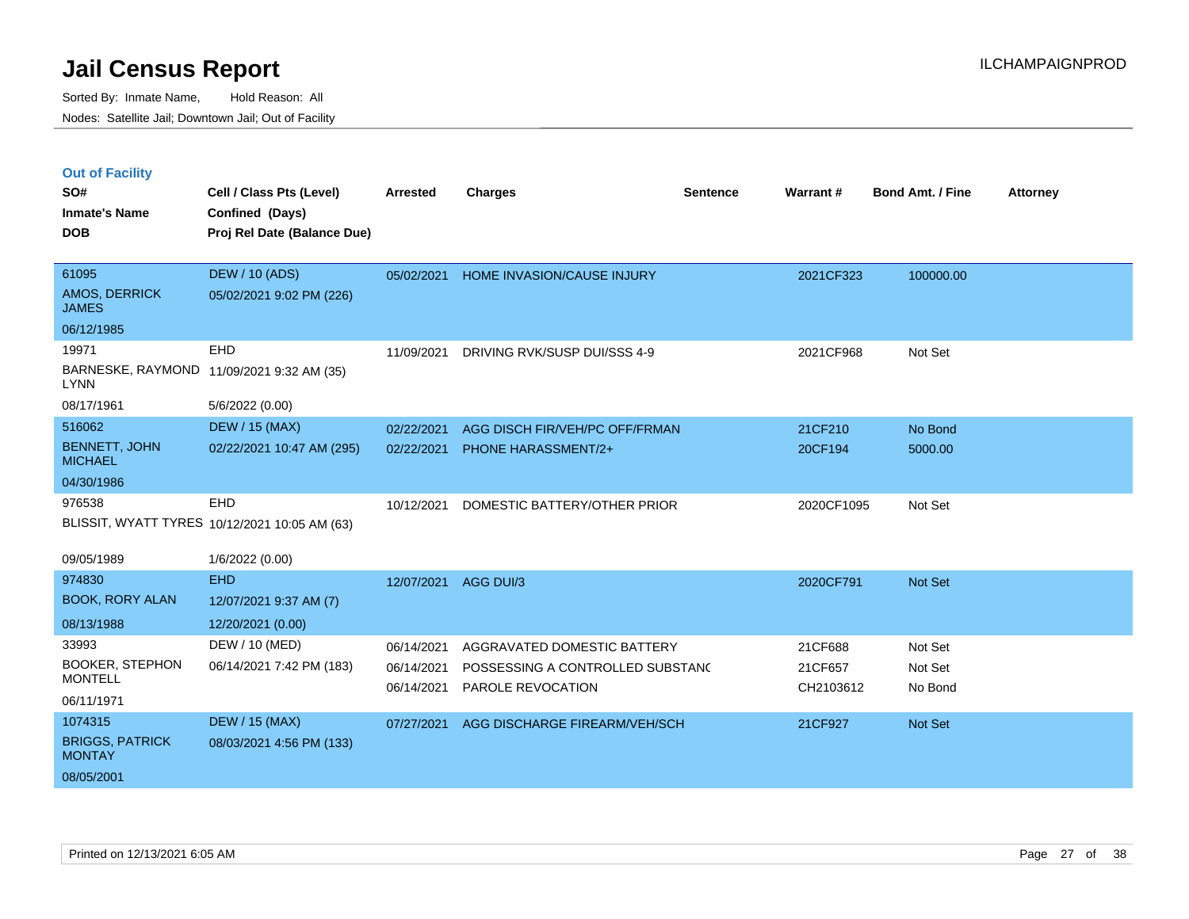| <b>Out of Facility</b> |  |  |
|------------------------|--|--|
|                        |  |  |

| SO#<br><b>Inmate's Name</b>             | Cell / Class Pts (Level)<br>Confined (Days)   | Arrested   | <b>Charges</b>                   | <b>Sentence</b> | Warrant#   | <b>Bond Amt. / Fine</b> | <b>Attorney</b> |
|-----------------------------------------|-----------------------------------------------|------------|----------------------------------|-----------------|------------|-------------------------|-----------------|
| <b>DOB</b>                              | Proj Rel Date (Balance Due)                   |            |                                  |                 |            |                         |                 |
| 61095                                   | <b>DEW / 10 (ADS)</b>                         | 05/02/2021 | HOME INVASION/CAUSE INJURY       |                 | 2021CF323  | 100000.00               |                 |
| AMOS, DERRICK<br><b>JAMES</b>           | 05/02/2021 9:02 PM (226)                      |            |                                  |                 |            |                         |                 |
| 06/12/1985                              |                                               |            |                                  |                 |            |                         |                 |
| 19971                                   | EHD                                           | 11/09/2021 | DRIVING RVK/SUSP DUI/SSS 4-9     |                 | 2021CF968  | Not Set                 |                 |
| <b>LYNN</b>                             | BARNESKE, RAYMOND 11/09/2021 9:32 AM (35)     |            |                                  |                 |            |                         |                 |
| 08/17/1961                              | 5/6/2022 (0.00)                               |            |                                  |                 |            |                         |                 |
| 516062                                  | <b>DEW / 15 (MAX)</b>                         | 02/22/2021 | AGG DISCH FIR/VEH/PC OFF/FRMAN   |                 | 21CF210    | No Bond                 |                 |
| <b>BENNETT, JOHN</b><br><b>MICHAEL</b>  | 02/22/2021 10:47 AM (295)                     | 02/22/2021 | <b>PHONE HARASSMENT/2+</b>       |                 | 20CF194    | 5000.00                 |                 |
| 04/30/1986                              |                                               |            |                                  |                 |            |                         |                 |
| 976538                                  | EHD                                           | 10/12/2021 | DOMESTIC BATTERY/OTHER PRIOR     |                 | 2020CF1095 | Not Set                 |                 |
|                                         | BLISSIT, WYATT TYRES 10/12/2021 10:05 AM (63) |            |                                  |                 |            |                         |                 |
| 09/05/1989                              | 1/6/2022 (0.00)                               |            |                                  |                 |            |                         |                 |
| 974830                                  | <b>EHD</b>                                    | 12/07/2021 | AGG DUI/3                        |                 | 2020CF791  | Not Set                 |                 |
| <b>BOOK, RORY ALAN</b>                  | 12/07/2021 9:37 AM (7)                        |            |                                  |                 |            |                         |                 |
| 08/13/1988                              | 12/20/2021 (0.00)                             |            |                                  |                 |            |                         |                 |
| 33993                                   | DEW / 10 (MED)                                | 06/14/2021 | AGGRAVATED DOMESTIC BATTERY      |                 | 21CF688    | Not Set                 |                 |
| <b>BOOKER, STEPHON</b>                  | 06/14/2021 7:42 PM (183)                      | 06/14/2021 | POSSESSING A CONTROLLED SUBSTANC |                 | 21CF657    | Not Set                 |                 |
| <b>MONTELL</b>                          |                                               | 06/14/2021 | PAROLE REVOCATION                |                 | CH2103612  | No Bond                 |                 |
| 06/11/1971                              |                                               |            |                                  |                 |            |                         |                 |
| 1074315                                 | <b>DEW / 15 (MAX)</b>                         | 07/27/2021 | AGG DISCHARGE FIREARM/VEH/SCH    |                 | 21CF927    | Not Set                 |                 |
| <b>BRIGGS, PATRICK</b><br><b>MONTAY</b> | 08/03/2021 4:56 PM (133)                      |            |                                  |                 |            |                         |                 |
| 08/05/2001                              |                                               |            |                                  |                 |            |                         |                 |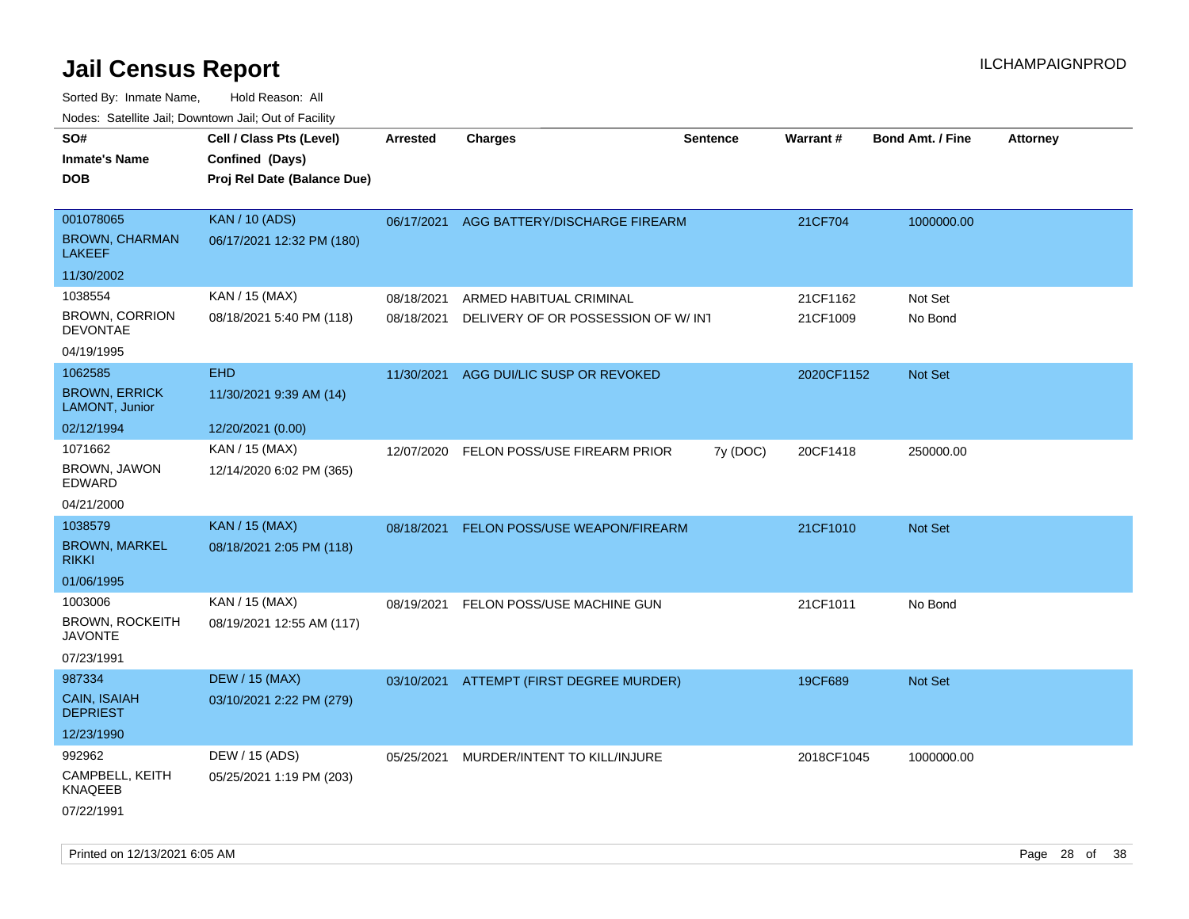| ivouss. Satellite Jall, Downtown Jall, Out of Facility |                             |            |                                          |                 |                 |                         |                 |
|--------------------------------------------------------|-----------------------------|------------|------------------------------------------|-----------------|-----------------|-------------------------|-----------------|
| SO#                                                    | Cell / Class Pts (Level)    | Arrested   | <b>Charges</b>                           | <b>Sentence</b> | <b>Warrant#</b> | <b>Bond Amt. / Fine</b> | <b>Attorney</b> |
| <b>Inmate's Name</b>                                   | Confined (Days)             |            |                                          |                 |                 |                         |                 |
| <b>DOB</b>                                             | Proj Rel Date (Balance Due) |            |                                          |                 |                 |                         |                 |
|                                                        |                             |            |                                          |                 |                 |                         |                 |
| 001078065                                              | <b>KAN / 10 (ADS)</b>       |            | 06/17/2021 AGG BATTERY/DISCHARGE FIREARM |                 | 21CF704         | 1000000.00              |                 |
| <b>BROWN, CHARMAN</b><br><b>LAKEEF</b>                 | 06/17/2021 12:32 PM (180)   |            |                                          |                 |                 |                         |                 |
| 11/30/2002                                             |                             |            |                                          |                 |                 |                         |                 |
| 1038554                                                | KAN / 15 (MAX)              | 08/18/2021 | ARMED HABITUAL CRIMINAL                  |                 | 21CF1162        | Not Set                 |                 |
| <b>BROWN, CORRION</b><br><b>DEVONTAE</b>               | 08/18/2021 5:40 PM (118)    | 08/18/2021 | DELIVERY OF OR POSSESSION OF W/ INT      |                 | 21CF1009        | No Bond                 |                 |
| 04/19/1995                                             |                             |            |                                          |                 |                 |                         |                 |
| 1062585                                                | <b>EHD</b>                  | 11/30/2021 | AGG DUI/LIC SUSP OR REVOKED              |                 | 2020CF1152      | <b>Not Set</b>          |                 |
| <b>BROWN, ERRICK</b><br>LAMONT, Junior                 | 11/30/2021 9:39 AM (14)     |            |                                          |                 |                 |                         |                 |
| 02/12/1994                                             | 12/20/2021 (0.00)           |            |                                          |                 |                 |                         |                 |
| 1071662                                                | KAN / 15 (MAX)              | 12/07/2020 | FELON POSS/USE FIREARM PRIOR             | 7y (DOC)        | 20CF1418        | 250000.00               |                 |
| BROWN, JAWON<br>EDWARD                                 | 12/14/2020 6:02 PM (365)    |            |                                          |                 |                 |                         |                 |
| 04/21/2000                                             |                             |            |                                          |                 |                 |                         |                 |
| 1038579                                                | <b>KAN / 15 (MAX)</b>       | 08/18/2021 | <b>FELON POSS/USE WEAPON/FIREARM</b>     |                 | 21CF1010        | Not Set                 |                 |
| <b>BROWN, MARKEL</b><br><b>RIKKI</b>                   | 08/18/2021 2:05 PM (118)    |            |                                          |                 |                 |                         |                 |
| 01/06/1995                                             |                             |            |                                          |                 |                 |                         |                 |
| 1003006                                                | KAN / 15 (MAX)              | 08/19/2021 | FELON POSS/USE MACHINE GUN               |                 | 21CF1011        | No Bond                 |                 |
| <b>BROWN, ROCKEITH</b><br>JAVONTE                      | 08/19/2021 12:55 AM (117)   |            |                                          |                 |                 |                         |                 |
| 07/23/1991                                             |                             |            |                                          |                 |                 |                         |                 |
| 987334                                                 | <b>DEW / 15 (MAX)</b>       |            | 03/10/2021 ATTEMPT (FIRST DEGREE MURDER) |                 | 19CF689         | <b>Not Set</b>          |                 |
| CAIN, ISAIAH<br><b>DEPRIEST</b>                        | 03/10/2021 2:22 PM (279)    |            |                                          |                 |                 |                         |                 |
| 12/23/1990                                             |                             |            |                                          |                 |                 |                         |                 |
| 992962                                                 | DEW / 15 (ADS)              | 05/25/2021 | MURDER/INTENT TO KILL/INJURE             |                 | 2018CF1045      | 1000000.00              |                 |
| CAMPBELL, KEITH<br><b>KNAQEEB</b>                      | 05/25/2021 1:19 PM (203)    |            |                                          |                 |                 |                         |                 |
| 07/22/1991                                             |                             |            |                                          |                 |                 |                         |                 |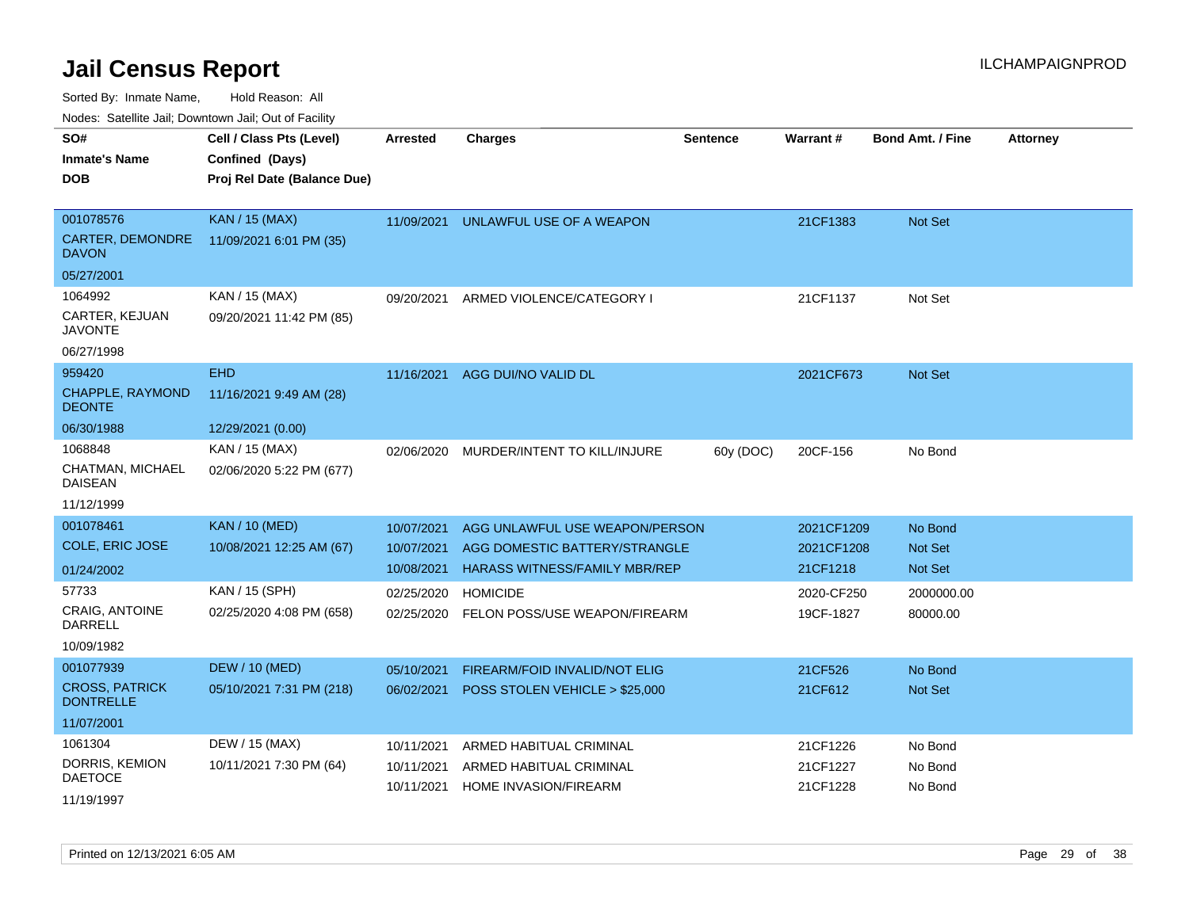Sorted By: Inmate Name, Hold Reason: All

Nodes: Satellite Jail; Downtown Jail; Out of Facility

| SO#                                | Cell / Class Pts (Level)    | <b>Arrested</b> | <b>Charges</b>                       | <b>Sentence</b> | <b>Warrant#</b> | <b>Bond Amt. / Fine</b> | <b>Attorney</b> |
|------------------------------------|-----------------------------|-----------------|--------------------------------------|-----------------|-----------------|-------------------------|-----------------|
| <b>Inmate's Name</b>               | Confined (Days)             |                 |                                      |                 |                 |                         |                 |
| <b>DOB</b>                         | Proj Rel Date (Balance Due) |                 |                                      |                 |                 |                         |                 |
|                                    |                             |                 |                                      |                 |                 |                         |                 |
| 001078576                          | <b>KAN / 15 (MAX)</b>       | 11/09/2021      | UNLAWFUL USE OF A WEAPON             |                 | 21CF1383        | <b>Not Set</b>          |                 |
| CARTER, DEMONDRE<br><b>DAVON</b>   | 11/09/2021 6:01 PM (35)     |                 |                                      |                 |                 |                         |                 |
| 05/27/2001                         |                             |                 |                                      |                 |                 |                         |                 |
| 1064992                            | KAN / 15 (MAX)              | 09/20/2021      | ARMED VIOLENCE/CATEGORY I            |                 | 21CF1137        | Not Set                 |                 |
| CARTER, KEJUAN<br><b>JAVONTE</b>   | 09/20/2021 11:42 PM (85)    |                 |                                      |                 |                 |                         |                 |
| 06/27/1998                         |                             |                 |                                      |                 |                 |                         |                 |
| 959420                             | <b>EHD</b>                  | 11/16/2021      | AGG DUI/NO VALID DL                  |                 | 2021CF673       | Not Set                 |                 |
| CHAPPLE, RAYMOND<br><b>DEONTE</b>  | 11/16/2021 9:49 AM (28)     |                 |                                      |                 |                 |                         |                 |
| 06/30/1988                         | 12/29/2021 (0.00)           |                 |                                      |                 |                 |                         |                 |
| 1068848                            | KAN / 15 (MAX)              | 02/06/2020      | MURDER/INTENT TO KILL/INJURE         | 60y (DOC)       | 20CF-156        | No Bond                 |                 |
| CHATMAN, MICHAEL<br><b>DAISEAN</b> | 02/06/2020 5:22 PM (677)    |                 |                                      |                 |                 |                         |                 |
| 11/12/1999                         |                             |                 |                                      |                 |                 |                         |                 |
| 001078461                          | <b>KAN / 10 (MED)</b>       | 10/07/2021      | AGG UNLAWFUL USE WEAPON/PERSON       |                 | 2021CF1209      | No Bond                 |                 |
| COLE, ERIC JOSE                    | 10/08/2021 12:25 AM (67)    | 10/07/2021      | AGG DOMESTIC BATTERY/STRANGLE        |                 | 2021CF1208      | <b>Not Set</b>          |                 |
| 01/24/2002                         |                             | 10/08/2021      | <b>HARASS WITNESS/FAMILY MBR/REP</b> |                 | 21CF1218        | <b>Not Set</b>          |                 |
| 57733                              | KAN / 15 (SPH)              | 02/25/2020      | <b>HOMICIDE</b>                      |                 | 2020-CF250      | 2000000.00              |                 |
| <b>CRAIG, ANTOINE</b><br>DARRELL   | 02/25/2020 4:08 PM (658)    | 02/25/2020      | FELON POSS/USE WEAPON/FIREARM        |                 | 19CF-1827       | 80000.00                |                 |
| 10/09/1982                         |                             |                 |                                      |                 |                 |                         |                 |
| 001077939                          | <b>DEW / 10 (MED)</b>       | 05/10/2021      | FIREARM/FOID INVALID/NOT ELIG        |                 | 21CF526         | No Bond                 |                 |
| <b>CROSS, PATRICK</b>              | 05/10/2021 7:31 PM (218)    | 06/02/2021      | POSS STOLEN VEHICLE > \$25,000       |                 | 21CF612         | <b>Not Set</b>          |                 |
| <b>DONTRELLE</b>                   |                             |                 |                                      |                 |                 |                         |                 |
| 11/07/2001                         |                             |                 |                                      |                 |                 |                         |                 |
| 1061304                            | DEW / 15 (MAX)              | 10/11/2021      | ARMED HABITUAL CRIMINAL              |                 | 21CF1226        | No Bond                 |                 |
| DORRIS, KEMION                     | 10/11/2021 7:30 PM (64)     | 10/11/2021      | ARMED HABITUAL CRIMINAL              |                 | 21CF1227        | No Bond                 |                 |
| <b>DAETOCE</b>                     |                             | 10/11/2021      | <b>HOME INVASION/FIREARM</b>         |                 | 21CF1228        | No Bond                 |                 |
| 11/19/1997                         |                             |                 |                                      |                 |                 |                         |                 |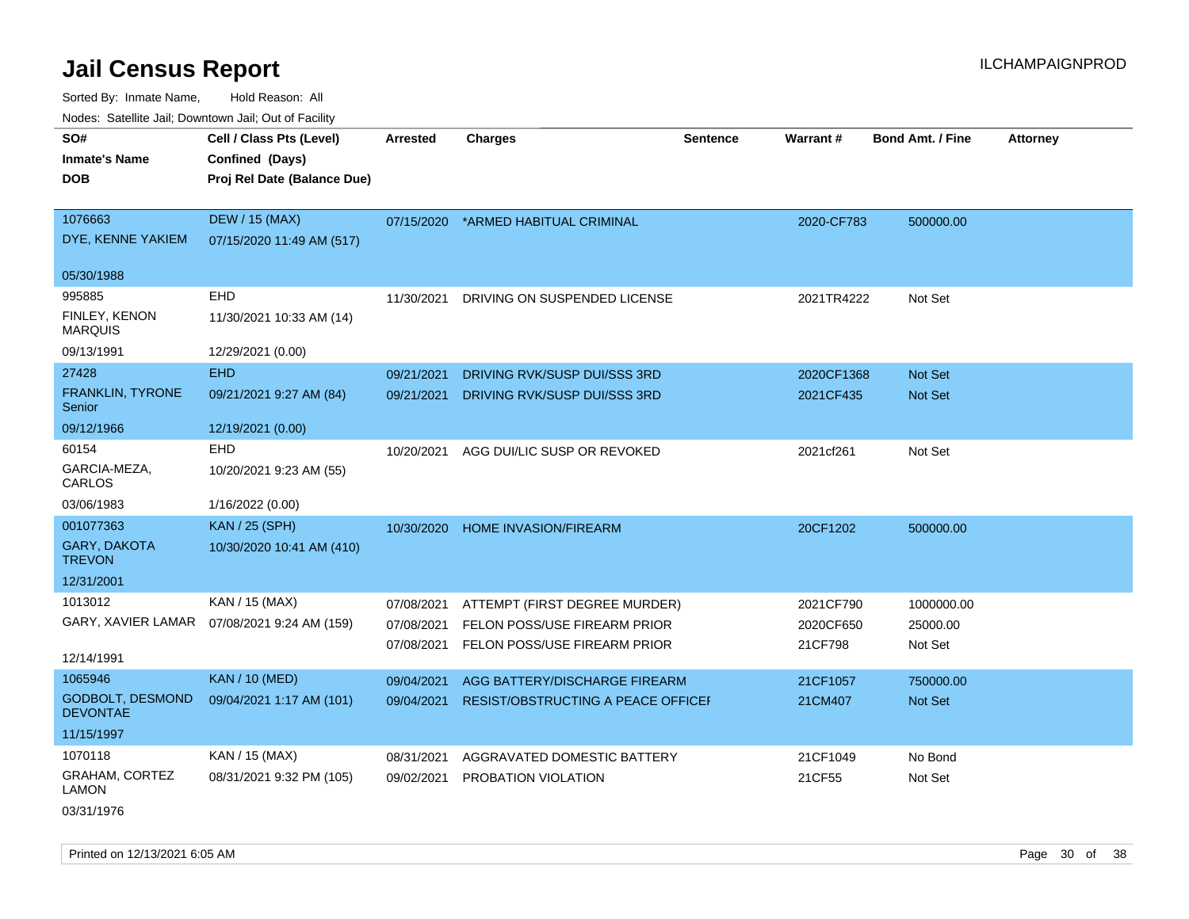Sorted By: Inmate Name, Hold Reason: All Nodes: Satellite Jail; Downtown Jail; Out of Facility

| Noucs. Calcillic Jail, Downtown Jail, Out of Facility |                                              |                 |                                    |                 |                 |                         |                 |
|-------------------------------------------------------|----------------------------------------------|-----------------|------------------------------------|-----------------|-----------------|-------------------------|-----------------|
| SO#                                                   | Cell / Class Pts (Level)                     | <b>Arrested</b> | <b>Charges</b>                     | <b>Sentence</b> | <b>Warrant#</b> | <b>Bond Amt. / Fine</b> | <b>Attorney</b> |
| <b>Inmate's Name</b>                                  | Confined (Days)                              |                 |                                    |                 |                 |                         |                 |
| DOB                                                   | Proj Rel Date (Balance Due)                  |                 |                                    |                 |                 |                         |                 |
|                                                       |                                              |                 |                                    |                 |                 |                         |                 |
| 1076663                                               | <b>DEW / 15 (MAX)</b>                        | 07/15/2020      | *ARMED HABITUAL CRIMINAL           |                 | 2020-CF783      | 500000.00               |                 |
| DYE, KENNE YAKIEM                                     | 07/15/2020 11:49 AM (517)                    |                 |                                    |                 |                 |                         |                 |
| 05/30/1988                                            |                                              |                 |                                    |                 |                 |                         |                 |
| 995885                                                | EHD                                          | 11/30/2021      | DRIVING ON SUSPENDED LICENSE       |                 | 2021TR4222      | Not Set                 |                 |
| FINLEY, KENON<br><b>MARQUIS</b>                       | 11/30/2021 10:33 AM (14)                     |                 |                                    |                 |                 |                         |                 |
| 09/13/1991                                            | 12/29/2021 (0.00)                            |                 |                                    |                 |                 |                         |                 |
| 27428                                                 | <b>EHD</b>                                   | 09/21/2021      | DRIVING RVK/SUSP DUI/SSS 3RD       |                 | 2020CF1368      | <b>Not Set</b>          |                 |
| FRANKLIN, TYRONE<br>Senior                            | 09/21/2021 9:27 AM (84)                      | 09/21/2021      | DRIVING RVK/SUSP DUI/SSS 3RD       |                 | 2021CF435       | Not Set                 |                 |
| 09/12/1966                                            | 12/19/2021 (0.00)                            |                 |                                    |                 |                 |                         |                 |
| 60154                                                 | EHD                                          | 10/20/2021      | AGG DUI/LIC SUSP OR REVOKED        |                 | 2021cf261       | Not Set                 |                 |
| GARCIA-MEZA,<br>CARLOS                                | 10/20/2021 9:23 AM (55)                      |                 |                                    |                 |                 |                         |                 |
| 03/06/1983                                            | 1/16/2022 (0.00)                             |                 |                                    |                 |                 |                         |                 |
| 001077363                                             | <b>KAN / 25 (SPH)</b>                        | 10/30/2020      | <b>HOME INVASION/FIREARM</b>       |                 | 20CF1202        | 500000.00               |                 |
| <b>GARY, DAKOTA</b><br><b>TREVON</b>                  | 10/30/2020 10:41 AM (410)                    |                 |                                    |                 |                 |                         |                 |
| 12/31/2001                                            |                                              |                 |                                    |                 |                 |                         |                 |
| 1013012                                               | KAN / 15 (MAX)                               | 07/08/2021      | ATTEMPT (FIRST DEGREE MURDER)      |                 | 2021CF790       | 1000000.00              |                 |
|                                                       | GARY, XAVIER LAMAR  07/08/2021 9:24 AM (159) | 07/08/2021      | FELON POSS/USE FIREARM PRIOR       |                 | 2020CF650       | 25000.00                |                 |
|                                                       |                                              | 07/08/2021      | FELON POSS/USE FIREARM PRIOR       |                 | 21CF798         | Not Set                 |                 |
| 12/14/1991                                            |                                              |                 |                                    |                 |                 |                         |                 |
| 1065946                                               | <b>KAN / 10 (MED)</b>                        | 09/04/2021      | AGG BATTERY/DISCHARGE FIREARM      |                 | 21CF1057        | 750000.00               |                 |
| GODBOLT, DESMOND<br><b>DEVONTAE</b>                   | 09/04/2021 1:17 AM (101)                     | 09/04/2021      | RESIST/OBSTRUCTING A PEACE OFFICEI |                 | 21CM407         | Not Set                 |                 |
| 11/15/1997                                            |                                              |                 |                                    |                 |                 |                         |                 |
| 1070118                                               | KAN / 15 (MAX)                               | 08/31/2021      | AGGRAVATED DOMESTIC BATTERY        |                 | 21CF1049        | No Bond                 |                 |
| <b>GRAHAM, CORTEZ</b><br><b>LAMON</b>                 | 08/31/2021 9:32 PM (105)                     | 09/02/2021      | PROBATION VIOLATION                |                 | 21CF55          | Not Set                 |                 |

03/31/1976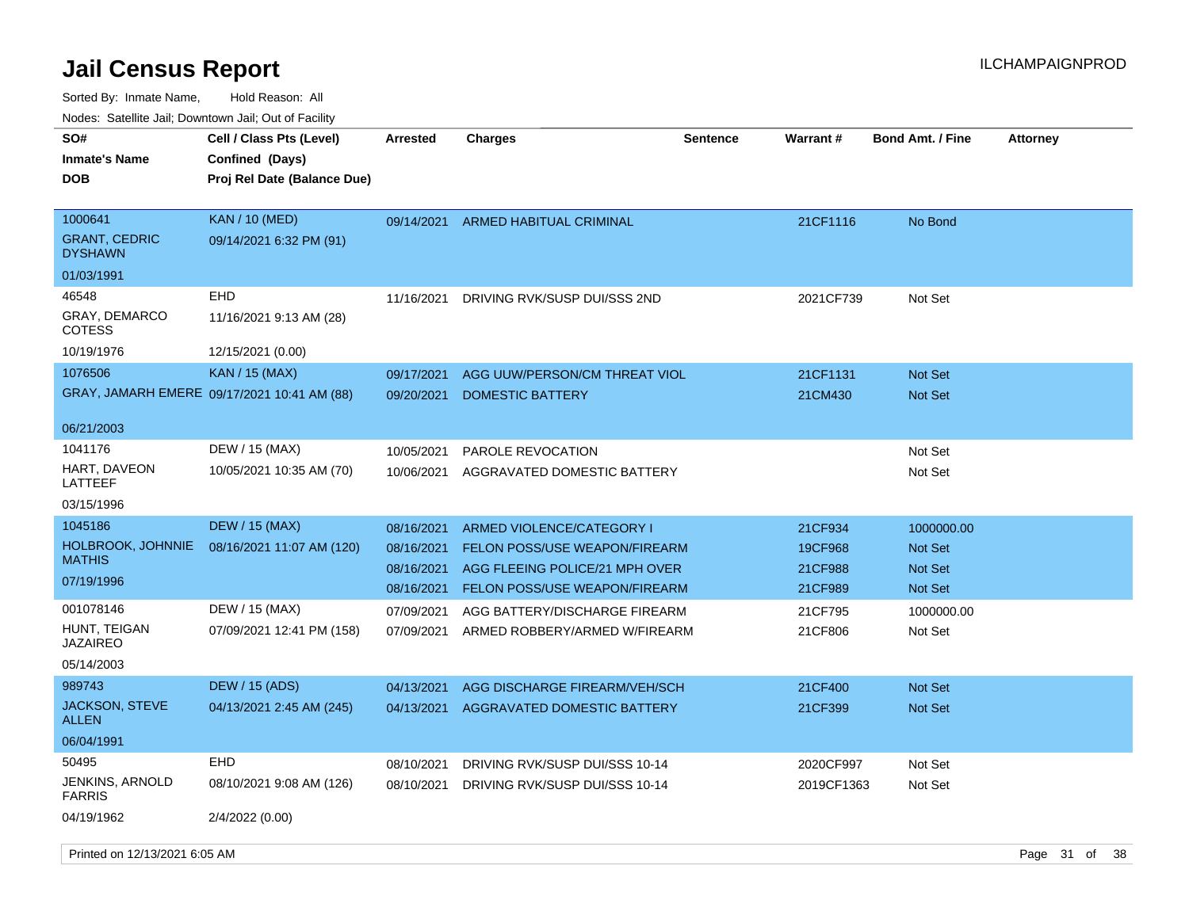| rougs. Calcinic Jan, Downtown Jan, Out of Facility |                                                                            |                 |                                |                 |                 |                         |                 |
|----------------------------------------------------|----------------------------------------------------------------------------|-----------------|--------------------------------|-----------------|-----------------|-------------------------|-----------------|
| SO#<br><b>Inmate's Name</b><br><b>DOB</b>          | Cell / Class Pts (Level)<br>Confined (Days)<br>Proj Rel Date (Balance Due) | <b>Arrested</b> | <b>Charges</b>                 | <b>Sentence</b> | <b>Warrant#</b> | <b>Bond Amt. / Fine</b> | <b>Attorney</b> |
| 1000641<br><b>GRANT, CEDRIC</b><br><b>DYSHAWN</b>  | <b>KAN / 10 (MED)</b><br>09/14/2021 6:32 PM (91)                           | 09/14/2021      | ARMED HABITUAL CRIMINAL        |                 | 21CF1116        | No Bond                 |                 |
| 01/03/1991                                         |                                                                            |                 |                                |                 |                 |                         |                 |
| 46548                                              | EHD                                                                        | 11/16/2021      | DRIVING RVK/SUSP DUI/SSS 2ND   |                 | 2021CF739       | Not Set                 |                 |
| <b>GRAY, DEMARCO</b><br><b>COTESS</b>              | 11/16/2021 9:13 AM (28)                                                    |                 |                                |                 |                 |                         |                 |
| 10/19/1976                                         | 12/15/2021 (0.00)                                                          |                 |                                |                 |                 |                         |                 |
| 1076506                                            | KAN / 15 (MAX)                                                             | 09/17/2021      | AGG UUW/PERSON/CM THREAT VIOL  |                 | 21CF1131        | <b>Not Set</b>          |                 |
|                                                    | GRAY, JAMARH EMERE 09/17/2021 10:41 AM (88)                                | 09/20/2021      | <b>DOMESTIC BATTERY</b>        |                 | 21CM430         | <b>Not Set</b>          |                 |
| 06/21/2003                                         |                                                                            |                 |                                |                 |                 |                         |                 |
| 1041176                                            | DEW / 15 (MAX)                                                             | 10/05/2021      | PAROLE REVOCATION              |                 |                 | Not Set                 |                 |
| HART, DAVEON<br>LATTEEF                            | 10/05/2021 10:35 AM (70)                                                   | 10/06/2021      | AGGRAVATED DOMESTIC BATTERY    |                 |                 | Not Set                 |                 |
| 03/15/1996                                         |                                                                            |                 |                                |                 |                 |                         |                 |
| 1045186                                            | <b>DEW / 15 (MAX)</b>                                                      | 08/16/2021      | ARMED VIOLENCE/CATEGORY I      |                 | 21CF934         | 1000000.00              |                 |
| <b>HOLBROOK, JOHNNIE</b>                           | 08/16/2021 11:07 AM (120)                                                  | 08/16/2021      | FELON POSS/USE WEAPON/FIREARM  |                 | 19CF968         | <b>Not Set</b>          |                 |
| <b>MATHIS</b>                                      |                                                                            | 08/16/2021      | AGG FLEEING POLICE/21 MPH OVER |                 | 21CF988         | <b>Not Set</b>          |                 |
| 07/19/1996                                         |                                                                            | 08/16/2021      | FELON POSS/USE WEAPON/FIREARM  |                 | 21CF989         | <b>Not Set</b>          |                 |
| 001078146                                          | DEW / 15 (MAX)                                                             | 07/09/2021      | AGG BATTERY/DISCHARGE FIREARM  |                 | 21CF795         | 1000000.00              |                 |
| HUNT, TEIGAN<br><b>JAZAIREO</b>                    | 07/09/2021 12:41 PM (158)                                                  | 07/09/2021      | ARMED ROBBERY/ARMED W/FIREARM  |                 | 21CF806         | Not Set                 |                 |
| 05/14/2003                                         |                                                                            |                 |                                |                 |                 |                         |                 |
| 989743                                             | <b>DEW / 15 (ADS)</b>                                                      | 04/13/2021      | AGG DISCHARGE FIREARM/VEH/SCH  |                 | 21CF400         | <b>Not Set</b>          |                 |
| <b>JACKSON, STEVE</b><br>ALLEN                     | 04/13/2021 2:45 AM (245)                                                   | 04/13/2021      | AGGRAVATED DOMESTIC BATTERY    |                 | 21CF399         | <b>Not Set</b>          |                 |
| 06/04/1991                                         |                                                                            |                 |                                |                 |                 |                         |                 |
| 50495                                              | EHD                                                                        | 08/10/2021      | DRIVING RVK/SUSP DUI/SSS 10-14 |                 | 2020CF997       | Not Set                 |                 |
| <b>JENKINS, ARNOLD</b><br><b>FARRIS</b>            | 08/10/2021 9:08 AM (126)                                                   | 08/10/2021      | DRIVING RVK/SUSP DUI/SSS 10-14 |                 | 2019CF1363      | Not Set                 |                 |
| 04/19/1962                                         | 2/4/2022 (0.00)                                                            |                 |                                |                 |                 |                         |                 |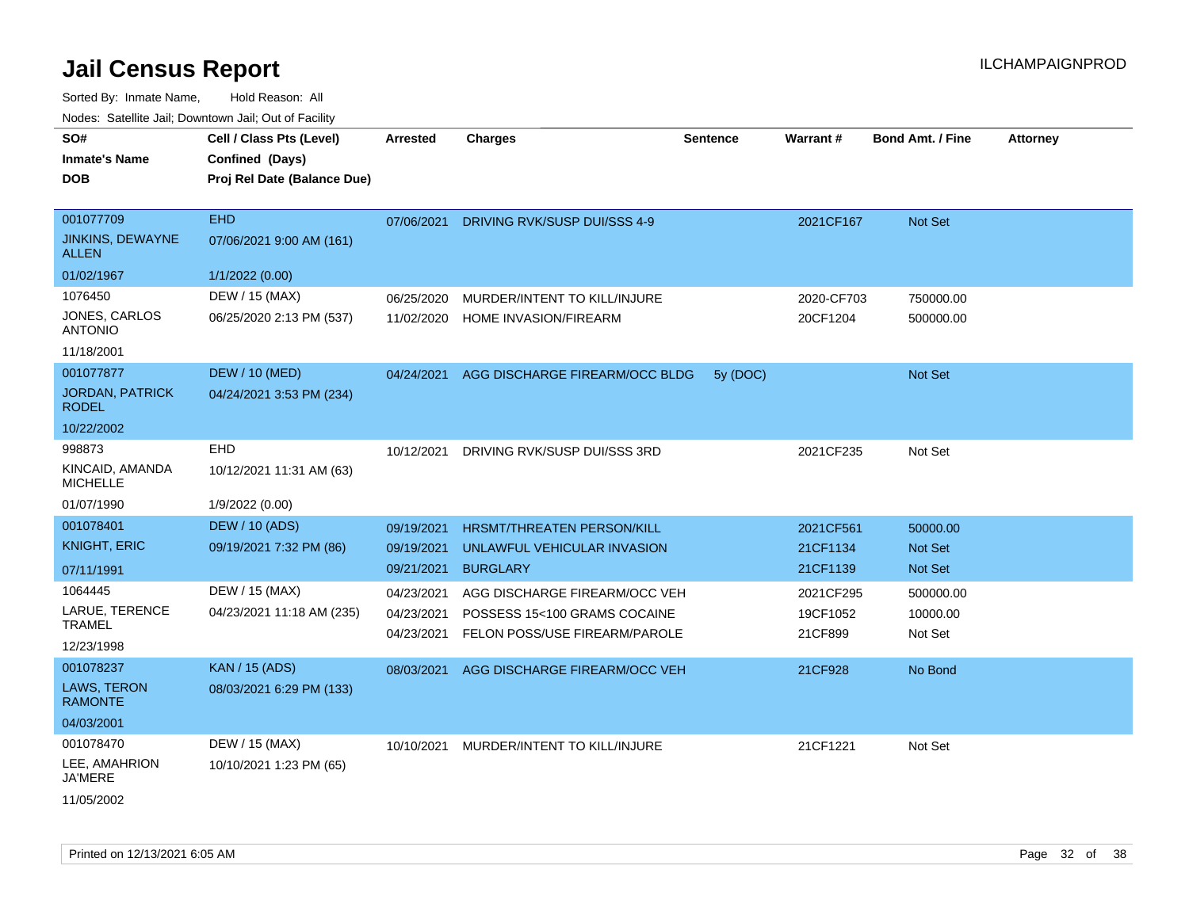| SO#<br><b>Inmate's Name</b><br><b>DOB</b>                                   | Cell / Class Pts (Level)<br>Confined (Days)<br>Proj Rel Date (Balance Due)                      | <b>Arrested</b>                                                    | <b>Charges</b>                                                                                                                                       | <b>Sentence</b> | <b>Warrant#</b>                                            | <b>Bond Amt. / Fine</b>                                        | <b>Attorney</b> |
|-----------------------------------------------------------------------------|-------------------------------------------------------------------------------------------------|--------------------------------------------------------------------|------------------------------------------------------------------------------------------------------------------------------------------------------|-----------------|------------------------------------------------------------|----------------------------------------------------------------|-----------------|
| 001077709<br><b>JINKINS, DEWAYNE</b><br><b>ALLEN</b>                        | <b>EHD</b><br>07/06/2021 9:00 AM (161)                                                          | 07/06/2021                                                         | DRIVING RVK/SUSP DUI/SSS 4-9                                                                                                                         |                 | 2021CF167                                                  | Not Set                                                        |                 |
| 01/02/1967<br>1076450<br>JONES, CARLOS<br><b>ANTONIO</b><br>11/18/2001      | 1/1/2022 (0.00)<br>DEW / 15 (MAX)<br>06/25/2020 2:13 PM (537)                                   | 06/25/2020<br>11/02/2020                                           | MURDER/INTENT TO KILL/INJURE<br>HOME INVASION/FIREARM                                                                                                |                 | 2020-CF703<br>20CF1204                                     | 750000.00<br>500000.00                                         |                 |
| 001077877<br><b>JORDAN, PATRICK</b><br><b>RODEL</b><br>10/22/2002           | <b>DEW / 10 (MED)</b><br>04/24/2021 3:53 PM (234)                                               | 04/24/2021                                                         | AGG DISCHARGE FIREARM/OCC BLDG                                                                                                                       | 5y (DOC)        |                                                            | Not Set                                                        |                 |
| 998873<br>KINCAID, AMANDA<br><b>MICHELLE</b><br>01/07/1990                  | EHD<br>10/12/2021 11:31 AM (63)<br>1/9/2022 (0.00)                                              | 10/12/2021                                                         | DRIVING RVK/SUSP DUI/SSS 3RD                                                                                                                         |                 | 2021CF235                                                  | Not Set                                                        |                 |
| 001078401<br><b>KNIGHT, ERIC</b><br>07/11/1991<br>1064445<br>LARUE, TERENCE | <b>DEW / 10 (ADS)</b><br>09/19/2021 7:32 PM (86)<br>DEW / 15 (MAX)<br>04/23/2021 11:18 AM (235) | 09/19/2021<br>09/19/2021<br>09/21/2021<br>04/23/2021<br>04/23/2021 | <b>HRSMT/THREATEN PERSON/KILL</b><br>UNLAWFUL VEHICULAR INVASION<br><b>BURGLARY</b><br>AGG DISCHARGE FIREARM/OCC VEH<br>POSSESS 15<100 GRAMS COCAINE |                 | 2021CF561<br>21CF1134<br>21CF1139<br>2021CF295<br>19CF1052 | 50000.00<br><b>Not Set</b><br>Not Set<br>500000.00<br>10000.00 |                 |
| <b>TRAMEL</b><br>12/23/1998<br>001078237<br>LAWS, TERON<br><b>RAMONTE</b>   | <b>KAN / 15 (ADS)</b><br>08/03/2021 6:29 PM (133)                                               | 04/23/2021<br>08/03/2021                                           | FELON POSS/USE FIREARM/PAROLE<br>AGG DISCHARGE FIREARM/OCC VEH                                                                                       |                 | 21CF899<br>21CF928                                         | Not Set<br>No Bond                                             |                 |
| 04/03/2001<br>001078470<br>LEE, AMAHRION<br><b>JA'MERE</b><br>11/05/2002    | DEW / 15 (MAX)<br>10/10/2021 1:23 PM (65)                                                       | 10/10/2021                                                         | MURDER/INTENT TO KILL/INJURE                                                                                                                         |                 | 21CF1221                                                   | Not Set                                                        |                 |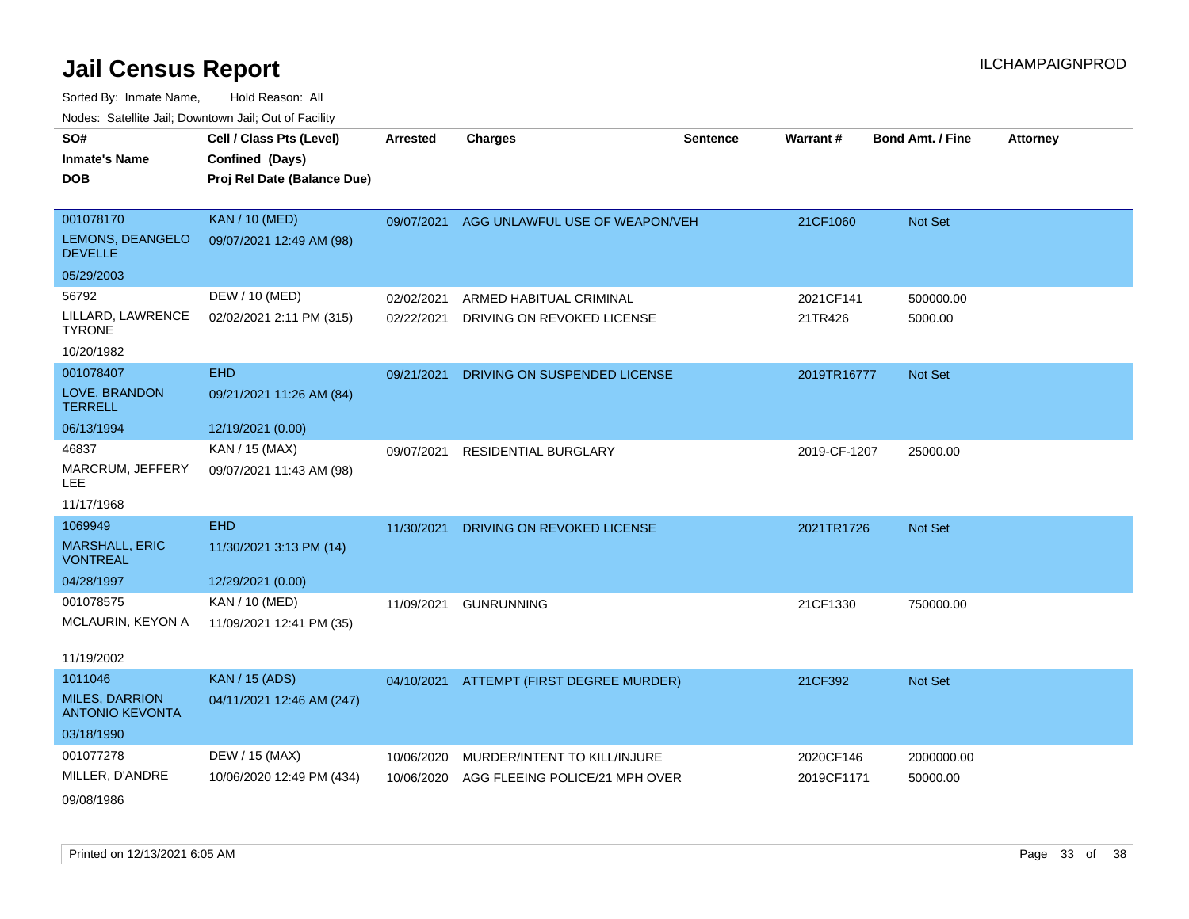| SO#                                             | Cell / Class Pts (Level)    | Arrested   | <b>Charges</b>                           | <b>Sentence</b> | <b>Warrant#</b> | <b>Bond Amt. / Fine</b> | <b>Attorney</b> |
|-------------------------------------------------|-----------------------------|------------|------------------------------------------|-----------------|-----------------|-------------------------|-----------------|
| <b>Inmate's Name</b>                            | Confined (Days)             |            |                                          |                 |                 |                         |                 |
| <b>DOB</b>                                      | Proj Rel Date (Balance Due) |            |                                          |                 |                 |                         |                 |
|                                                 |                             |            |                                          |                 |                 |                         |                 |
| 001078170                                       | <b>KAN / 10 (MED)</b>       | 09/07/2021 | AGG UNLAWFUL USE OF WEAPON/VEH           |                 | 21CF1060        | Not Set                 |                 |
| LEMONS, DEANGELO<br><b>DEVELLE</b>              | 09/07/2021 12:49 AM (98)    |            |                                          |                 |                 |                         |                 |
| 05/29/2003                                      |                             |            |                                          |                 |                 |                         |                 |
| 56792                                           | DEW / 10 (MED)              | 02/02/2021 | ARMED HABITUAL CRIMINAL                  |                 | 2021CF141       | 500000.00               |                 |
| LILLARD, LAWRENCE<br><b>TYRONE</b>              | 02/02/2021 2:11 PM (315)    | 02/22/2021 | DRIVING ON REVOKED LICENSE               |                 | 21TR426         | 5000.00                 |                 |
| 10/20/1982                                      |                             |            |                                          |                 |                 |                         |                 |
| 001078407                                       | <b>EHD</b>                  | 09/21/2021 | DRIVING ON SUSPENDED LICENSE             |                 | 2019TR16777     | Not Set                 |                 |
| LOVE, BRANDON<br><b>TERRELL</b>                 | 09/21/2021 11:26 AM (84)    |            |                                          |                 |                 |                         |                 |
| 06/13/1994                                      | 12/19/2021 (0.00)           |            |                                          |                 |                 |                         |                 |
| 46837                                           | KAN / 15 (MAX)              | 09/07/2021 | <b>RESIDENTIAL BURGLARY</b>              |                 | 2019-CF-1207    | 25000.00                |                 |
| MARCRUM, JEFFERY<br>LEE                         | 09/07/2021 11:43 AM (98)    |            |                                          |                 |                 |                         |                 |
| 11/17/1968                                      |                             |            |                                          |                 |                 |                         |                 |
| 1069949                                         | <b>EHD</b>                  | 11/30/2021 | DRIVING ON REVOKED LICENSE               |                 | 2021TR1726      | <b>Not Set</b>          |                 |
| <b>MARSHALL, ERIC</b><br><b>VONTREAL</b>        | 11/30/2021 3:13 PM (14)     |            |                                          |                 |                 |                         |                 |
| 04/28/1997                                      | 12/29/2021 (0.00)           |            |                                          |                 |                 |                         |                 |
| 001078575                                       | KAN / 10 (MED)              | 11/09/2021 | <b>GUNRUNNING</b>                        |                 | 21CF1330        | 750000.00               |                 |
| MCLAURIN, KEYON A                               | 11/09/2021 12:41 PM (35)    |            |                                          |                 |                 |                         |                 |
|                                                 |                             |            |                                          |                 |                 |                         |                 |
| 11/19/2002                                      |                             |            |                                          |                 |                 |                         |                 |
| 1011046                                         | <b>KAN / 15 (ADS)</b>       |            | 04/10/2021 ATTEMPT (FIRST DEGREE MURDER) |                 | 21CF392         | Not Set                 |                 |
| <b>MILES, DARRION</b><br><b>ANTONIO KEVONTA</b> | 04/11/2021 12:46 AM (247)   |            |                                          |                 |                 |                         |                 |
| 03/18/1990                                      |                             |            |                                          |                 |                 |                         |                 |
| 001077278                                       | DEW / 15 (MAX)              | 10/06/2020 | MURDER/INTENT TO KILL/INJURE             |                 | 2020CF146       | 2000000.00              |                 |
| MILLER, D'ANDRE                                 | 10/06/2020 12:49 PM (434)   | 10/06/2020 | AGG FLEEING POLICE/21 MPH OVER           |                 | 2019CF1171      | 50000.00                |                 |
| 09/08/1986                                      |                             |            |                                          |                 |                 |                         |                 |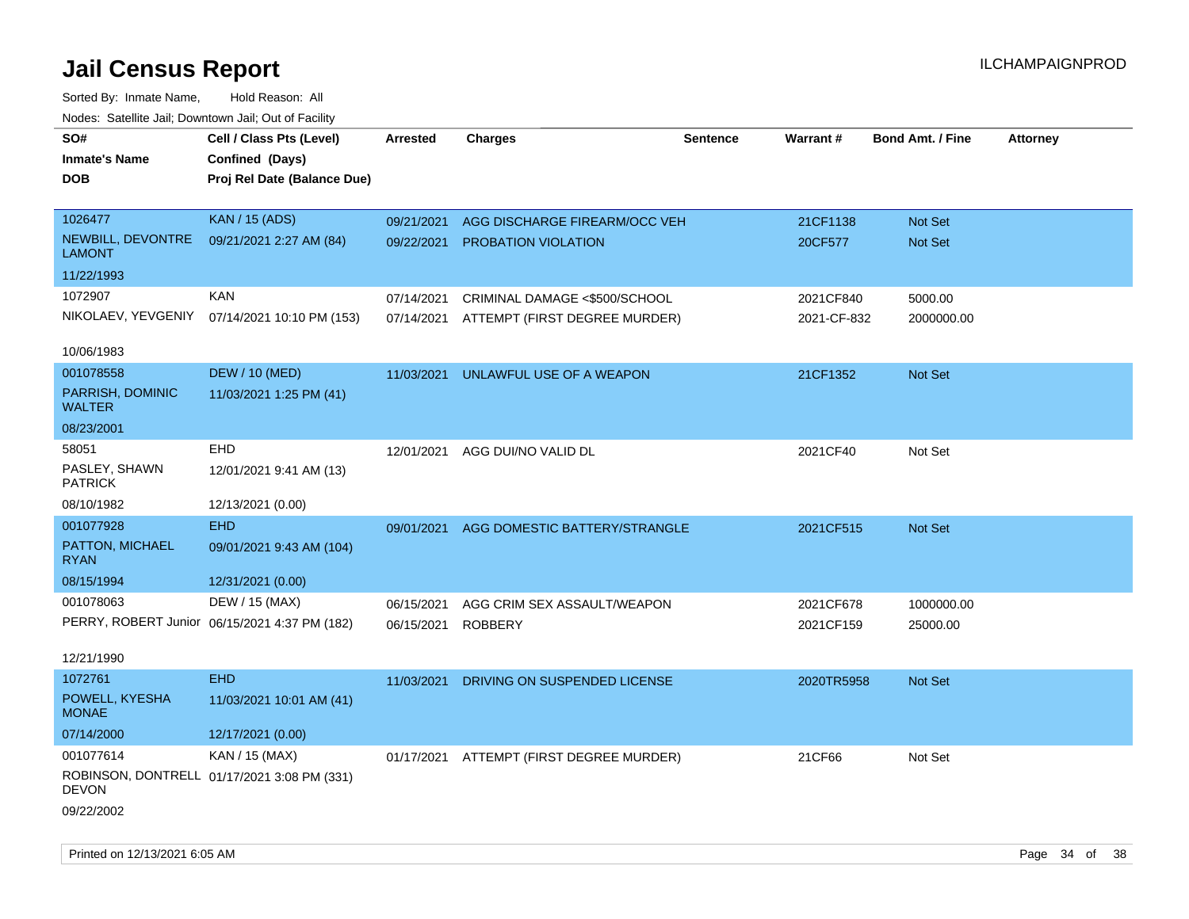| rouco. Calcillo Jali, Downtown Jali, Out of Facility |                                               |                 |                                          |          |             |                         |                 |
|------------------------------------------------------|-----------------------------------------------|-----------------|------------------------------------------|----------|-------------|-------------------------|-----------------|
| SO#                                                  | Cell / Class Pts (Level)                      | <b>Arrested</b> | <b>Charges</b>                           | Sentence | Warrant#    | <b>Bond Amt. / Fine</b> | <b>Attorney</b> |
| <b>Inmate's Name</b>                                 | Confined (Days)                               |                 |                                          |          |             |                         |                 |
| DOB                                                  | Proj Rel Date (Balance Due)                   |                 |                                          |          |             |                         |                 |
|                                                      |                                               |                 |                                          |          |             |                         |                 |
| 1026477                                              | <b>KAN / 15 (ADS)</b>                         | 09/21/2021      | AGG DISCHARGE FIREARM/OCC VEH            |          | 21CF1138    | Not Set                 |                 |
| NEWBILL, DEVONTRE<br>LAMONT                          | 09/21/2021 2:27 AM (84)                       | 09/22/2021      | PROBATION VIOLATION                      |          | 20CF577     | Not Set                 |                 |
| 11/22/1993                                           |                                               |                 |                                          |          |             |                         |                 |
| 1072907                                              | <b>KAN</b>                                    | 07/14/2021      | CRIMINAL DAMAGE <\$500/SCHOOL            |          | 2021CF840   | 5000.00                 |                 |
|                                                      | NIKOLAEV, YEVGENIY 07/14/2021 10:10 PM (153)  | 07/14/2021      | ATTEMPT (FIRST DEGREE MURDER)            |          | 2021-CF-832 | 2000000.00              |                 |
|                                                      |                                               |                 |                                          |          |             |                         |                 |
| 10/06/1983                                           |                                               |                 |                                          |          |             |                         |                 |
| 001078558                                            | <b>DEW / 10 (MED)</b>                         | 11/03/2021      | UNLAWFUL USE OF A WEAPON                 |          | 21CF1352    | Not Set                 |                 |
| PARRISH, DOMINIC<br><b>WALTER</b>                    | 11/03/2021 1:25 PM (41)                       |                 |                                          |          |             |                         |                 |
| 08/23/2001                                           |                                               |                 |                                          |          |             |                         |                 |
| 58051                                                | EHD                                           | 12/01/2021      | AGG DUI/NO VALID DL                      |          | 2021CF40    | Not Set                 |                 |
| PASLEY, SHAWN<br><b>PATRICK</b>                      | 12/01/2021 9:41 AM (13)                       |                 |                                          |          |             |                         |                 |
| 08/10/1982                                           | 12/13/2021 (0.00)                             |                 |                                          |          |             |                         |                 |
| 001077928                                            | <b>EHD</b>                                    | 09/01/2021      | AGG DOMESTIC BATTERY/STRANGLE            |          | 2021CF515   | Not Set                 |                 |
| PATTON, MICHAEL<br><b>RYAN</b>                       | 09/01/2021 9:43 AM (104)                      |                 |                                          |          |             |                         |                 |
| 08/15/1994                                           | 12/31/2021 (0.00)                             |                 |                                          |          |             |                         |                 |
| 001078063                                            | DEW / 15 (MAX)                                | 06/15/2021      | AGG CRIM SEX ASSAULT/WEAPON              |          | 2021CF678   | 1000000.00              |                 |
|                                                      | PERRY, ROBERT Junior 06/15/2021 4:37 PM (182) | 06/15/2021      | <b>ROBBERY</b>                           |          | 2021CF159   | 25000.00                |                 |
|                                                      |                                               |                 |                                          |          |             |                         |                 |
| 12/21/1990                                           |                                               |                 |                                          |          |             |                         |                 |
| 1072761                                              | <b>EHD</b>                                    | 11/03/2021      | DRIVING ON SUSPENDED LICENSE             |          | 2020TR5958  | <b>Not Set</b>          |                 |
| POWELL, KYESHA<br><b>MONAE</b>                       | 11/03/2021 10:01 AM (41)                      |                 |                                          |          |             |                         |                 |
| 07/14/2000                                           | 12/17/2021 (0.00)                             |                 |                                          |          |             |                         |                 |
| 001077614                                            | KAN / 15 (MAX)                                |                 | 01/17/2021 ATTEMPT (FIRST DEGREE MURDER) |          | 21CF66      | Not Set                 |                 |
| <b>DEVON</b>                                         | ROBINSON, DONTRELL 01/17/2021 3:08 PM (331)   |                 |                                          |          |             |                         |                 |
| 09/22/2002                                           |                                               |                 |                                          |          |             |                         |                 |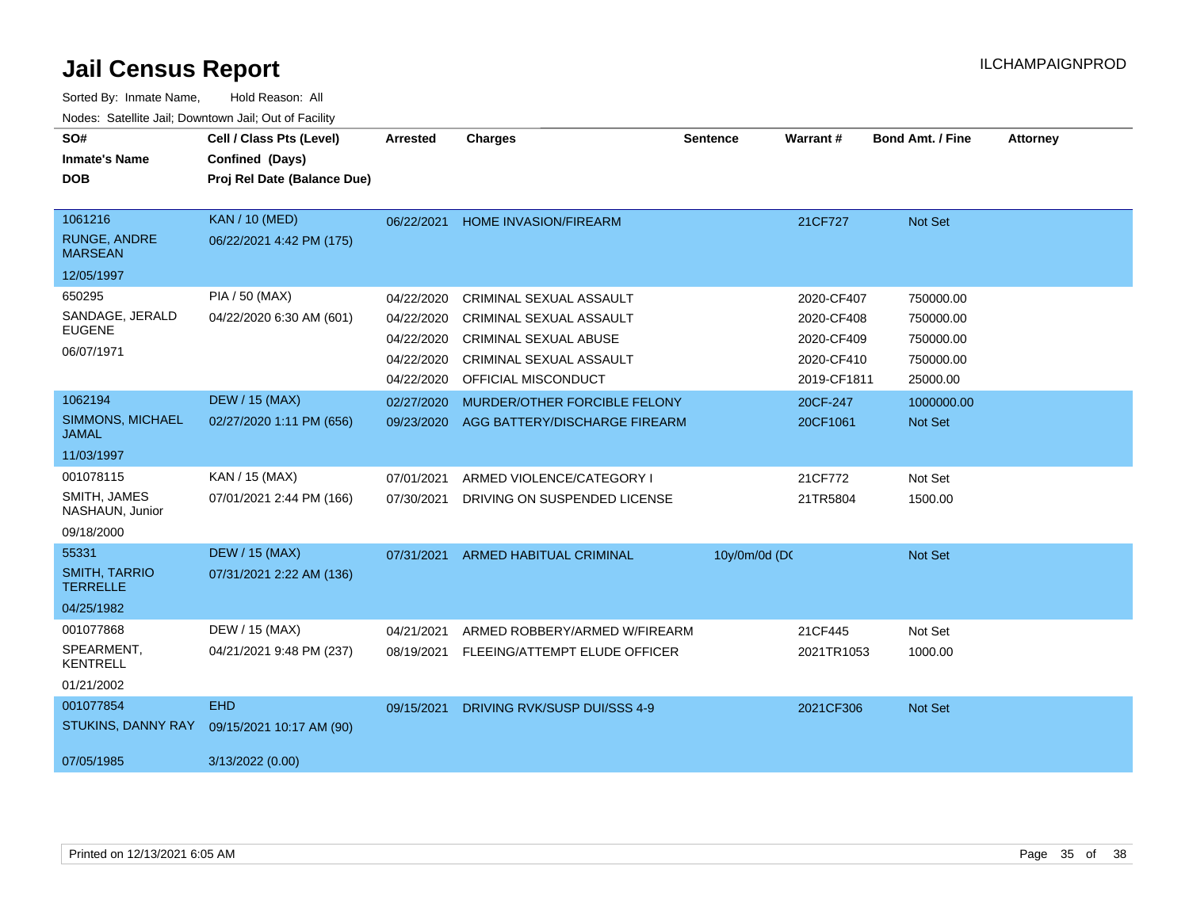| SO#<br><b>Inmate's Name</b><br><b>DOB</b>                      | Cell / Class Pts (Level)<br>Confined (Days)<br>Proj Rel Date (Balance Due) | <b>Arrested</b>                                                    | <b>Charges</b>                                                                                                                              | <b>Sentence</b> | Warrant#                                                            | <b>Bond Amt. / Fine</b>                                      | <b>Attorney</b> |
|----------------------------------------------------------------|----------------------------------------------------------------------------|--------------------------------------------------------------------|---------------------------------------------------------------------------------------------------------------------------------------------|-----------------|---------------------------------------------------------------------|--------------------------------------------------------------|-----------------|
| 1061216<br><b>RUNGE, ANDRE</b><br><b>MARSEAN</b><br>12/05/1997 | <b>KAN / 10 (MED)</b><br>06/22/2021 4:42 PM (175)                          | 06/22/2021                                                         | <b>HOME INVASION/FIREARM</b>                                                                                                                |                 | 21CF727                                                             | Not Set                                                      |                 |
| 650295<br>SANDAGE, JERALD<br><b>EUGENE</b><br>06/07/1971       | PIA / 50 (MAX)<br>04/22/2020 6:30 AM (601)                                 | 04/22/2020<br>04/22/2020<br>04/22/2020<br>04/22/2020<br>04/22/2020 | CRIMINAL SEXUAL ASSAULT<br><b>CRIMINAL SEXUAL ASSAULT</b><br><b>CRIMINAL SEXUAL ABUSE</b><br>CRIMINAL SEXUAL ASSAULT<br>OFFICIAL MISCONDUCT |                 | 2020-CF407<br>2020-CF408<br>2020-CF409<br>2020-CF410<br>2019-CF1811 | 750000.00<br>750000.00<br>750000.00<br>750000.00<br>25000.00 |                 |
| 1062194<br>SIMMONS, MICHAEL<br><b>JAMAL</b><br>11/03/1997      | <b>DEW / 15 (MAX)</b><br>02/27/2020 1:11 PM (656)                          | 02/27/2020<br>09/23/2020                                           | MURDER/OTHER FORCIBLE FELONY<br>AGG BATTERY/DISCHARGE FIREARM                                                                               |                 | 20CF-247<br>20CF1061                                                | 1000000.00<br>Not Set                                        |                 |
| 001078115<br>SMITH, JAMES<br>NASHAUN, Junior<br>09/18/2000     | KAN / 15 (MAX)<br>07/01/2021 2:44 PM (166)                                 | 07/01/2021<br>07/30/2021                                           | ARMED VIOLENCE/CATEGORY I<br>DRIVING ON SUSPENDED LICENSE                                                                                   |                 | 21CF772<br>21TR5804                                                 | Not Set<br>1500.00                                           |                 |
| 55331<br><b>SMITH, TARRIO</b><br><b>TERRELLE</b><br>04/25/1982 | <b>DEW / 15 (MAX)</b><br>07/31/2021 2:22 AM (136)                          | 07/31/2021                                                         | <b>ARMED HABITUAL CRIMINAL</b>                                                                                                              | 10y/0m/0d (DC   |                                                                     | Not Set                                                      |                 |
| 001077868<br>SPEARMENT.<br><b>KENTRELL</b><br>01/21/2002       | DEW / 15 (MAX)<br>04/21/2021 9:48 PM (237)                                 | 04/21/2021<br>08/19/2021                                           | ARMED ROBBERY/ARMED W/FIREARM<br>FLEEING/ATTEMPT ELUDE OFFICER                                                                              |                 | 21CF445<br>2021TR1053                                               | Not Set<br>1000.00                                           |                 |
| 001077854<br>STUKINS, DANNY RAY<br>07/05/1985                  | <b>EHD</b><br>09/15/2021 10:17 AM (90)<br>3/13/2022 (0.00)                 | 09/15/2021                                                         | DRIVING RVK/SUSP DUI/SSS 4-9                                                                                                                |                 | 2021CF306                                                           | Not Set                                                      |                 |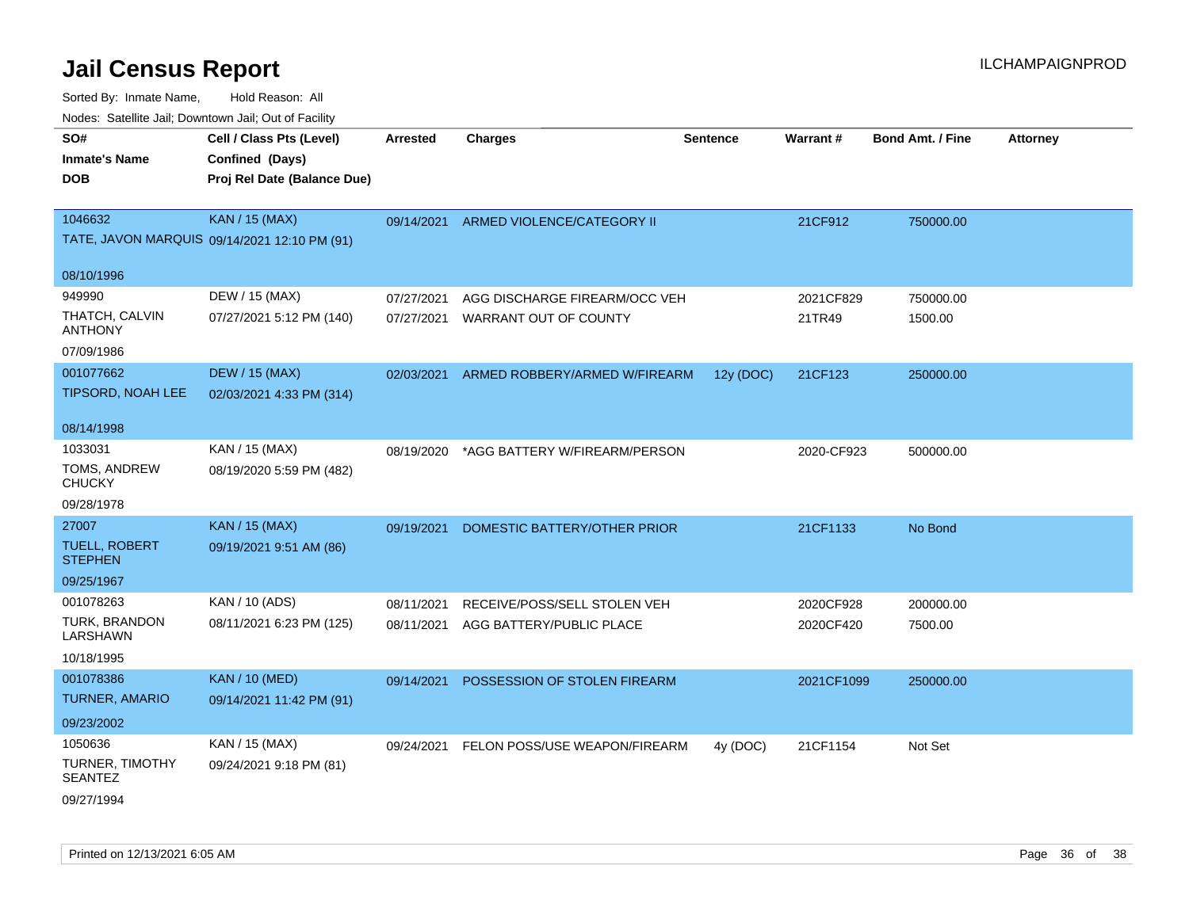| SO#                                      | Cell / Class Pts (Level)                     | <b>Arrested</b> | <b>Charges</b>                | <b>Sentence</b> | <b>Warrant#</b> | <b>Bond Amt. / Fine</b> | <b>Attorney</b> |
|------------------------------------------|----------------------------------------------|-----------------|-------------------------------|-----------------|-----------------|-------------------------|-----------------|
| Inmate's Name                            | Confined (Days)                              |                 |                               |                 |                 |                         |                 |
| <b>DOB</b>                               | Proj Rel Date (Balance Due)                  |                 |                               |                 |                 |                         |                 |
|                                          |                                              |                 |                               |                 |                 |                         |                 |
| 1046632                                  | <b>KAN / 15 (MAX)</b>                        | 09/14/2021      | ARMED VIOLENCE/CATEGORY II    |                 | 21CF912         | 750000.00               |                 |
|                                          | TATE, JAVON MARQUIS 09/14/2021 12:10 PM (91) |                 |                               |                 |                 |                         |                 |
| 08/10/1996                               |                                              |                 |                               |                 |                 |                         |                 |
| 949990                                   | DEW / 15 (MAX)                               | 07/27/2021      | AGG DISCHARGE FIREARM/OCC VEH |                 | 2021CF829       | 750000.00               |                 |
| THATCH, CALVIN                           |                                              |                 |                               |                 |                 |                         |                 |
| ANTHONY                                  | 07/27/2021 5:12 PM (140)                     | 07/27/2021      | WARRANT OUT OF COUNTY         |                 | 21TR49          | 1500.00                 |                 |
| 07/09/1986                               |                                              |                 |                               |                 |                 |                         |                 |
| 001077662                                | <b>DEW / 15 (MAX)</b>                        | 02/03/2021      | ARMED ROBBERY/ARMED W/FIREARM | 12y (DOC)       | 21CF123         | 250000.00               |                 |
| TIPSORD, NOAH LEE                        | 02/03/2021 4:33 PM (314)                     |                 |                               |                 |                 |                         |                 |
|                                          |                                              |                 |                               |                 |                 |                         |                 |
| 08/14/1998                               |                                              |                 |                               |                 |                 |                         |                 |
| 1033031                                  | KAN / 15 (MAX)                               | 08/19/2020      | *AGG BATTERY W/FIREARM/PERSON |                 | 2020-CF923      | 500000.00               |                 |
| TOMS, ANDREW<br><b>CHUCKY</b>            | 08/19/2020 5:59 PM (482)                     |                 |                               |                 |                 |                         |                 |
| 09/28/1978                               |                                              |                 |                               |                 |                 |                         |                 |
| 27007                                    | <b>KAN / 15 (MAX)</b>                        | 09/19/2021      | DOMESTIC BATTERY/OTHER PRIOR  |                 | 21CF1133        | No Bond                 |                 |
| <b>TUELL, ROBERT</b><br><b>STEPHEN</b>   | 09/19/2021 9:51 AM (86)                      |                 |                               |                 |                 |                         |                 |
| 09/25/1967                               |                                              |                 |                               |                 |                 |                         |                 |
| 001078263                                | KAN / 10 (ADS)                               | 08/11/2021      | RECEIVE/POSS/SELL STOLEN VEH  |                 | 2020CF928       | 200000.00               |                 |
| TURK, BRANDON<br><b>LARSHAWN</b>         | 08/11/2021 6:23 PM (125)                     | 08/11/2021      | AGG BATTERY/PUBLIC PLACE      |                 | 2020CF420       | 7500.00                 |                 |
| 10/18/1995                               |                                              |                 |                               |                 |                 |                         |                 |
| 001078386                                | <b>KAN / 10 (MED)</b>                        | 09/14/2021      | POSSESSION OF STOLEN FIREARM  |                 | 2021CF1099      | 250000.00               |                 |
| <b>TURNER, AMARIO</b>                    | 09/14/2021 11:42 PM (91)                     |                 |                               |                 |                 |                         |                 |
| 09/23/2002                               |                                              |                 |                               |                 |                 |                         |                 |
| 1050636                                  | KAN / 15 (MAX)                               | 09/24/2021      | FELON POSS/USE WEAPON/FIREARM | 4y (DOC)        | 21CF1154        | Not Set                 |                 |
| <b>TURNER, TIMOTHY</b><br><b>SEANTEZ</b> | 09/24/2021 9:18 PM (81)                      |                 |                               |                 |                 |                         |                 |
| 09/27/1994                               |                                              |                 |                               |                 |                 |                         |                 |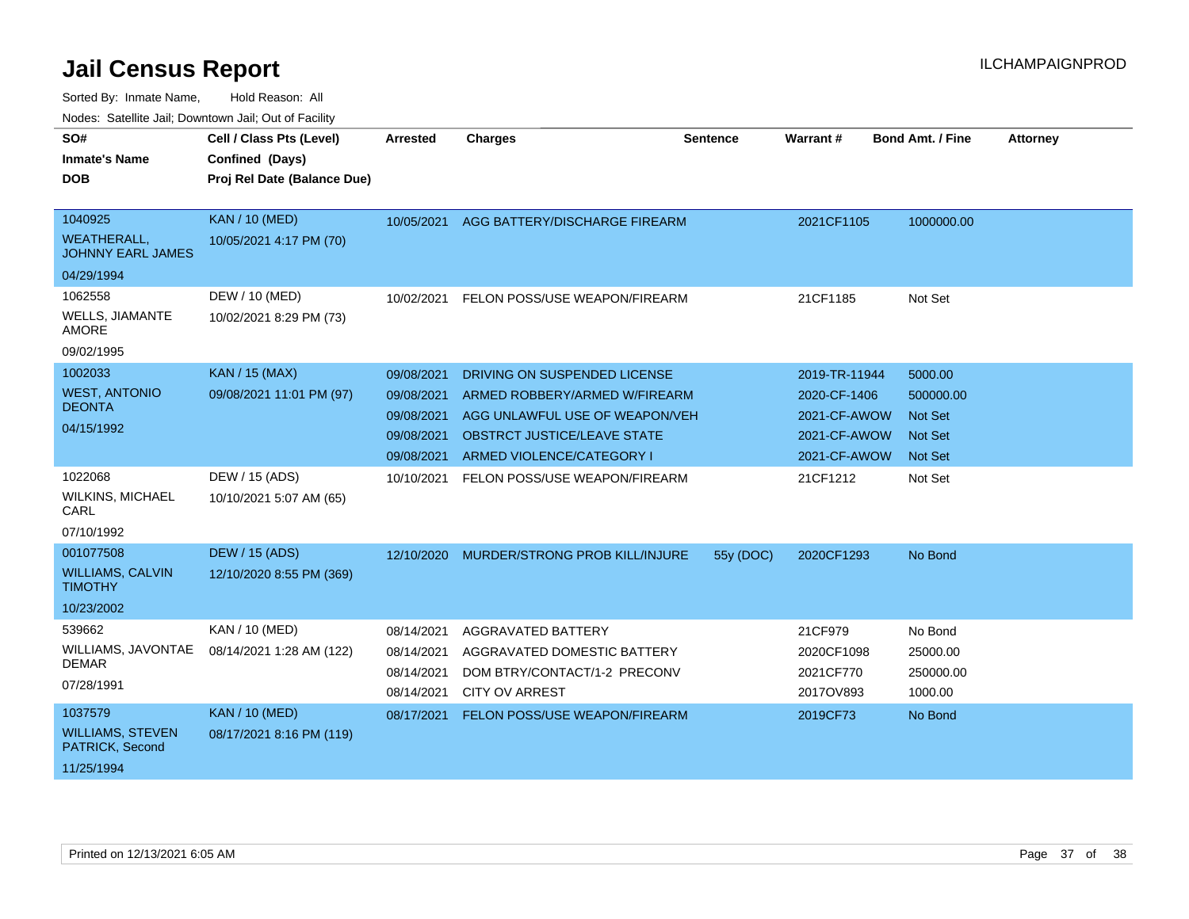Sorted By: Inmate Name, Hold Reason: All

| Nodes: Satellite Jail; Downtown Jail; Out of Facility |                             |                 |                                           |                 |               |                         |                 |
|-------------------------------------------------------|-----------------------------|-----------------|-------------------------------------------|-----------------|---------------|-------------------------|-----------------|
| SO#                                                   | Cell / Class Pts (Level)    | <b>Arrested</b> | <b>Charges</b>                            | <b>Sentence</b> | Warrant#      | <b>Bond Amt. / Fine</b> | <b>Attorney</b> |
| <b>Inmate's Name</b>                                  | Confined (Days)             |                 |                                           |                 |               |                         |                 |
| <b>DOB</b>                                            | Proj Rel Date (Balance Due) |                 |                                           |                 |               |                         |                 |
|                                                       |                             |                 |                                           |                 |               |                         |                 |
| 1040925                                               | <b>KAN / 10 (MED)</b>       | 10/05/2021      | AGG BATTERY/DISCHARGE FIREARM             |                 | 2021CF1105    | 1000000.00              |                 |
| <b>WEATHERALL,</b><br><b>JOHNNY EARL JAMES</b>        | 10/05/2021 4:17 PM (70)     |                 |                                           |                 |               |                         |                 |
| 04/29/1994                                            |                             |                 |                                           |                 |               |                         |                 |
| 1062558                                               | DEW / 10 (MED)              | 10/02/2021      | FELON POSS/USE WEAPON/FIREARM             |                 | 21CF1185      | Not Set                 |                 |
| <b>WELLS, JIAMANTE</b><br><b>AMORE</b>                | 10/02/2021 8:29 PM (73)     |                 |                                           |                 |               |                         |                 |
| 09/02/1995                                            |                             |                 |                                           |                 |               |                         |                 |
| 1002033                                               | <b>KAN / 15 (MAX)</b>       | 09/08/2021      | DRIVING ON SUSPENDED LICENSE              |                 | 2019-TR-11944 | 5000.00                 |                 |
| <b>WEST, ANTONIO</b>                                  | 09/08/2021 11:01 PM (97)    | 09/08/2021      | ARMED ROBBERY/ARMED W/FIREARM             |                 | 2020-CF-1406  | 500000.00               |                 |
| <b>DEONTA</b>                                         |                             | 09/08/2021      | AGG UNLAWFUL USE OF WEAPON/VEH            |                 | 2021-CF-AWOW  | <b>Not Set</b>          |                 |
| 04/15/1992                                            |                             | 09/08/2021      | <b>OBSTRCT JUSTICE/LEAVE STATE</b>        |                 | 2021-CF-AWOW  | <b>Not Set</b>          |                 |
|                                                       |                             | 09/08/2021      | ARMED VIOLENCE/CATEGORY I                 |                 | 2021-CF-AWOW  | <b>Not Set</b>          |                 |
| 1022068                                               | DEW / 15 (ADS)              | 10/10/2021      | FELON POSS/USE WEAPON/FIREARM             |                 | 21CF1212      | Not Set                 |                 |
| <b>WILKINS, MICHAEL</b><br>CARL                       | 10/10/2021 5:07 AM (65)     |                 |                                           |                 |               |                         |                 |
| 07/10/1992                                            |                             |                 |                                           |                 |               |                         |                 |
| 001077508                                             | <b>DEW / 15 (ADS)</b>       |                 | 12/10/2020 MURDER/STRONG PROB KILL/INJURE | 55y (DOC)       | 2020CF1293    | No Bond                 |                 |
| <b>WILLIAMS, CALVIN</b><br><b>TIMOTHY</b>             | 12/10/2020 8:55 PM (369)    |                 |                                           |                 |               |                         |                 |
| 10/23/2002                                            |                             |                 |                                           |                 |               |                         |                 |
| 539662                                                | KAN / 10 (MED)              | 08/14/2021      | <b>AGGRAVATED BATTERY</b>                 |                 | 21CF979       | No Bond                 |                 |
| WILLIAMS, JAVONTAE                                    | 08/14/2021 1:28 AM (122)    | 08/14/2021      | AGGRAVATED DOMESTIC BATTERY               |                 | 2020CF1098    | 25000.00                |                 |
| <b>DEMAR</b>                                          |                             | 08/14/2021      | DOM BTRY/CONTACT/1-2 PRECONV              |                 | 2021CF770     | 250000.00               |                 |
| 07/28/1991                                            |                             | 08/14/2021      | <b>CITY OV ARREST</b>                     |                 | 2017OV893     | 1000.00                 |                 |
| 1037579                                               | <b>KAN / 10 (MED)</b>       | 08/17/2021      | FELON POSS/USE WEAPON/FIREARM             |                 | 2019CF73      | No Bond                 |                 |
| <b>WILLIAMS, STEVEN</b><br>PATRICK, Second            | 08/17/2021 8:16 PM (119)    |                 |                                           |                 |               |                         |                 |
| 11/25/1994                                            |                             |                 |                                           |                 |               |                         |                 |